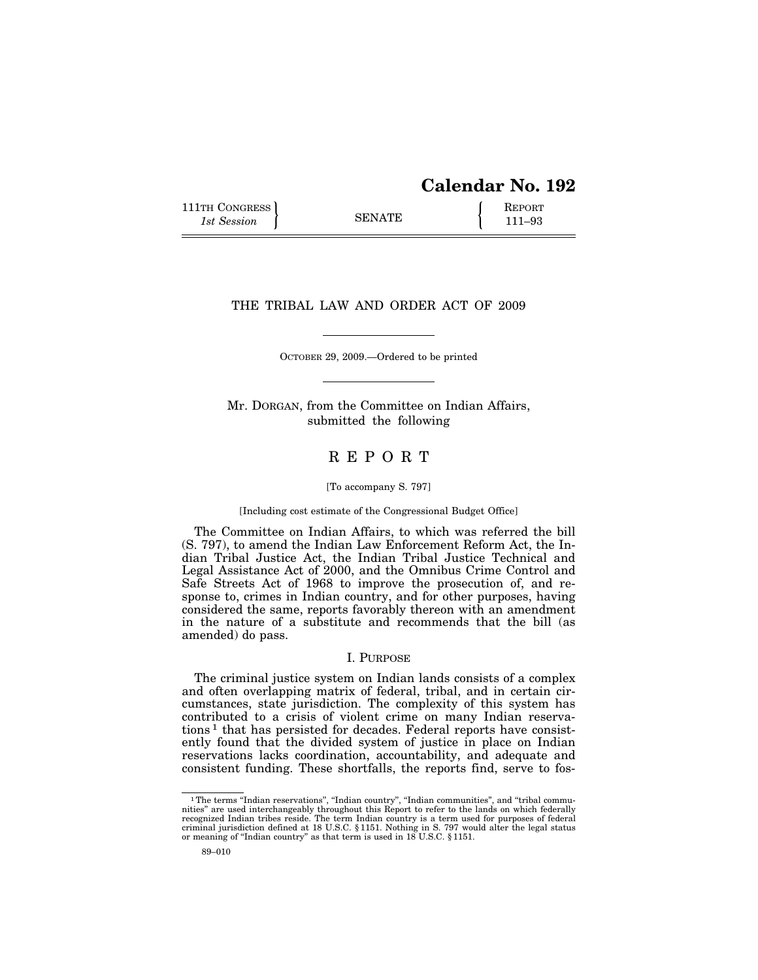# **Calendar No. 192**

111TH CONGRESS **REPORT** 111TH CONGRESS **REPORT** SENATE **111–93** 

#### THE TRIBAL LAW AND ORDER ACT OF 2009

OCTOBER 29, 2009.—Ordered to be printed

Mr. DORGAN, from the Committee on Indian Affairs, submitted the following

## R E P O R T

#### [To accompany S. 797]

#### [Including cost estimate of the Congressional Budget Office]

The Committee on Indian Affairs, to which was referred the bill (S. 797), to amend the Indian Law Enforcement Reform Act, the Indian Tribal Justice Act, the Indian Tribal Justice Technical and Legal Assistance Act of 2000, and the Omnibus Crime Control and Safe Streets Act of 1968 to improve the prosecution of, and response to, crimes in Indian country, and for other purposes, having considered the same, reports favorably thereon with an amendment in the nature of a substitute and recommends that the bill (as amended) do pass.

#### I. PURPOSE

The criminal justice system on Indian lands consists of a complex and often overlapping matrix of federal, tribal, and in certain circumstances, state jurisdiction. The complexity of this system has contributed to a crisis of violent crime on many Indian reservations 1 that has persisted for decades. Federal reports have consistently found that the divided system of justice in place on Indian reservations lacks coordination, accountability, and adequate and consistent funding. These shortfalls, the reports find, serve to fos-

<sup>&</sup>lt;sup>1</sup>The terms "Indian reservations", "Indian country", "Indian communities", and "tribal communities'' are used interchangeably throughout this Report to refer to the lands on which federally recognized Indian tribes reside. The term Indian country is a term used for purposes of federal criminal jurisdiction defined at 18 U.S.C. § 1151. Nothing in S. 797 would alter the legal status or meaning of ''Indian country'' as that term is used in 18 U.S.C. § 1151.

<sup>89–010</sup>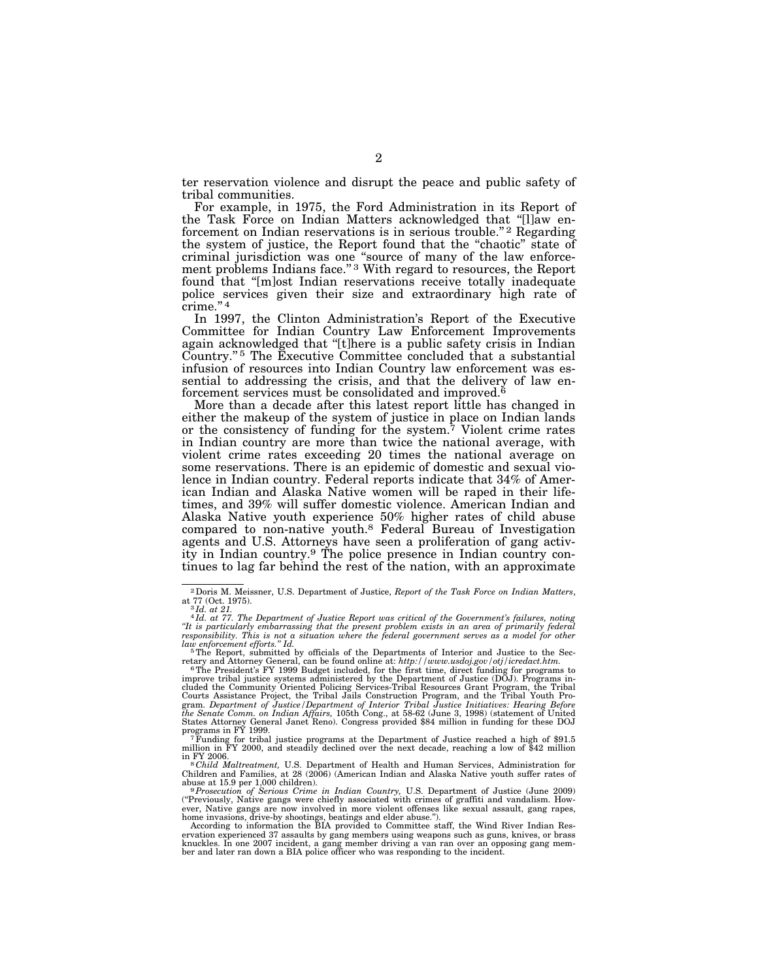ter reservation violence and disrupt the peace and public safety of tribal communities.

For example, in 1975, the Ford Administration in its Report of the Task Force on Indian Matters acknowledged that ''[l]aw enforcement on Indian reservations is in serious trouble."<sup>2</sup> Regarding the system of justice, the Report found that the ''chaotic'' state of criminal jurisdiction was one ''source of many of the law enforcement problems Indians face."<sup>3</sup> With regard to resources, the Report found that ''[m]ost Indian reservations receive totally inadequate police services given their size and extraordinary high rate of crime."<sup>4</sup>

In 1997, the Clinton Administration's Report of the Executive Committee for Indian Country Law Enforcement Improvements again acknowledged that ''[t]here is a public safety crisis in Indian Country."<sup>5</sup> The Executive Committee concluded that a substantial infusion of resources into Indian Country law enforcement was essential to addressing the crisis, and that the delivery of law enforcement services must be consolidated and improved.<sup> $6$ </sup>

More than a decade after this latest report little has changed in either the makeup of the system of justice in place on Indian lands or the consistency of funding for the system.<sup>7</sup> Violent crime rates in Indian country are more than twice the national average, with violent crime rates exceeding 20 times the national average on some reservations. There is an epidemic of domestic and sexual violence in Indian country. Federal reports indicate that 34% of American Indian and Alaska Native women will be raped in their lifetimes, and 39% will suffer domestic violence. American Indian and Alaska Native youth experience 50% higher rates of child abuse compared to non-native youth.8 Federal Bureau of Investigation agents and U.S. Attorneys have seen a proliferation of gang activity in Indian country.9 The police presence in Indian country continues to lag far behind the rest of the nation, with an approximate

<sup>&</sup>lt;sup>2</sup> Doris M. Meissner, U.S. Department of Justice, *Report of the Task Force on Indian Matters*, at  $77$  (Oct. 1975).<br><sup>3</sup> Id. at 21. Azi 21. The Department of Justice Report was critical of the Government's failures, noti

*<sup>&#</sup>x27;'It is particularly embarrassing that the present problem exists in an area of primarily federal responsibility. This is not a situation where the federal government serves as a model for other* 

<sup>&</sup>lt;sup>5</sup>The Report, submitted by officials of the Departments of Interior and Justice to the Secretary and Attorney General, can be found online at: *http://www.usdoj.gov/otj/icredact.htm.* 6The President's FY 1999 Budget included, for the first time, direct funding for programs to

improve tribal justice systems administered by the Department of Justice (DOJ). Programs in-<br>cluded the Community Oriented Policing Services-Tribal Resources Grant Program, the Tribal<br>Courts Assistance Project, the Tribal gram. *Department of Justice* / Department of Interior Tribal Justice Initiatives: Hearing Before<br>the Senate Comm. on Indian Affairs, 105th Cong., at 58-62 (June 3, 1998) (statement of United<br>States Attorney General Janet

programs in FY 1999. 7Funding for tribal justice programs at the Department of Justice reached a high of \$91.5 million in FY 2000, and steadily declined over the next decade, reaching a low of \$42 million

in FY 2006. 8 *Child Maltreatment,* U.S. Department of Health and Human Services, Administration for Children and Families, at 28 (2006) (American Indian and Alaska Native youth suffer rates of

abuse at 15.9 per 1,000 children).<br><sup>9 p</sup>rosecution of Serious Crime in Indian Country, U.S. Department of Justice (June 2009)<br>("Previously, Native gangs were chiefly associated with crimes of graffiti and vandalism. However, Native gangs are now involved in more violent offenses like sexual assault, gang rapes,<br>home invasions, drive-by shootings, beatings and elder abuse.").<br>According to information the BIA provided to Committee staff, t

ervation experienced 37 assaults by gang members using weapons such as guns, knives, or brass knuckles. In one 2007 incident, a gang member driving a van ran over an opposing gang mem-ber and later ran down a BIA police officer who was responding to the incident.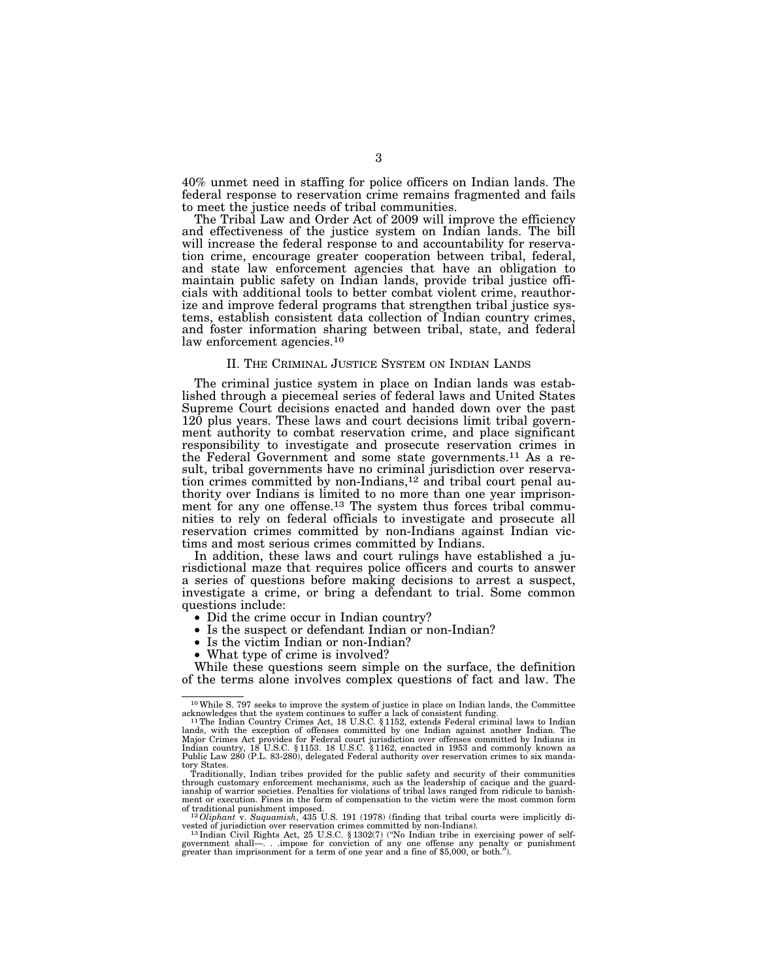40% unmet need in staffing for police officers on Indian lands. The federal response to reservation crime remains fragmented and fails to meet the justice needs of tribal communities.

The Tribal Law and Order Act of 2009 will improve the efficiency and effectiveness of the justice system on Indian lands. The bill will increase the federal response to and accountability for reservation crime, encourage greater cooperation between tribal, federal, and state law enforcement agencies that have an obligation to maintain public safety on Indian lands, provide tribal justice officials with additional tools to better combat violent crime, reauthorize and improve federal programs that strengthen tribal justice systems, establish consistent data collection of Indian country crimes, and foster information sharing between tribal, state, and federal law enforcement agencies.<sup>10</sup>

#### II. THE CRIMINAL JUSTICE SYSTEM ON INDIAN LANDS

The criminal justice system in place on Indian lands was established through a piecemeal series of federal laws and United States Supreme Court decisions enacted and handed down over the past 120 plus years. These laws and court decisions limit tribal government authority to combat reservation crime, and place significant responsibility to investigate and prosecute reservation crimes in the Federal Government and some state governments.11 As a result, tribal governments have no criminal jurisdiction over reservation crimes committed by non-Indians,12 and tribal court penal authority over Indians is limited to no more than one year imprisonment for any one offense.<sup>13</sup> The system thus forces tribal communities to rely on federal officials to investigate and prosecute all reservation crimes committed by non-Indians against Indian victims and most serious crimes committed by Indians.

In addition, these laws and court rulings have established a jurisdictional maze that requires police officers and courts to answer a series of questions before making decisions to arrest a suspect, investigate a crime, or bring a defendant to trial. Some common questions include:

- Did the crime occur in Indian country?
- Is the suspect or defendant Indian or non-Indian?
- Is the victim Indian or non-Indian?
- What type of crime is involved?

While these questions seem simple on the surface, the definition of the terms alone involves complex questions of fact and law. The

<sup>10</sup>While S. 797 seeks to improve the system of justice in place on Indian lands, the Committee acknowledges that the system continues to suffer a lack of consistent funding. 11The Indian Country Crimes Act, 18 U.S.C. § 1152, extends Federal criminal laws to Indian

lands, with the exception of offenses committed by one Indian against another Indian. The<br>Major Crimes Act provides for Federal court jurisdiction over offenses committed by Indians in<br>Indian country, 18 U.S.C. §1153. 18 U Public Law 280 (P.L. 83-280), delegated Federal authority over reservation crimes to six manda-

tory States. Traditionally, Indian tribes provided for the public safety and security of their communities through customary enforcement mechanisms, such as the leadership of cacique and the guard-ianship of warrior societies. Penalties for violations of tribal laws ranged from ridicule to banishment or execution. Fines in the form of compensation to the victim were the most common form

of traditional punishment imposed.<br>
<sup>12</sup>*Oliphant* v. *Suquamish*, 435 U.S. 191 (1978) (finding that tribal courts were implicitly divested of jurisdiction over reservation crimes committed by non-Indians).

vested of jurisdiction over reservation crimes committed by non-Indians).<br><sup>13</sup> Indian Civil Rights Act, 25 U.S.C. § 1302(7) ("No Indian tribe in exercising power of self-<br>government shall—. . .impose for conviction of any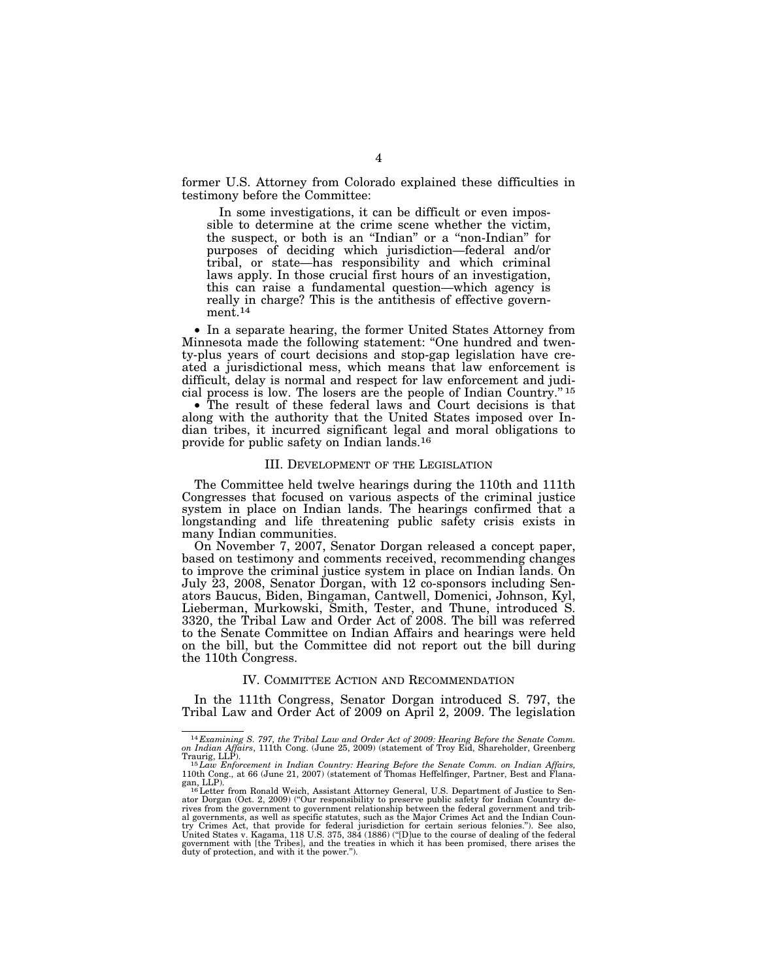former U.S. Attorney from Colorado explained these difficulties in testimony before the Committee:

In some investigations, it can be difficult or even impossible to determine at the crime scene whether the victim, the suspect, or both is an ''Indian'' or a ''non-Indian'' for purposes of deciding which jurisdiction—federal and/or tribal, or state—has responsibility and which criminal laws apply. In those crucial first hours of an investigation, this can raise a fundamental question—which agency is really in charge? This is the antithesis of effective government.14

• In a separate hearing, the former United States Attorney from Minnesota made the following statement: ''One hundred and twenty-plus years of court decisions and stop-gap legislation have created a jurisdictional mess, which means that law enforcement is difficult, delay is normal and respect for law enforcement and judicial process is low. The losers are the people of Indian Country.'' 15

• The result of these federal laws and Court decisions is that along with the authority that the United States imposed over Indian tribes, it incurred significant legal and moral obligations to provide for public safety on Indian lands.16

#### III. DEVELOPMENT OF THE LEGISLATION

The Committee held twelve hearings during the 110th and 111th Congresses that focused on various aspects of the criminal justice system in place on Indian lands. The hearings confirmed that a longstanding and life threatening public safety crisis exists in many Indian communities.

On November 7, 2007, Senator Dorgan released a concept paper, based on testimony and comments received, recommending changes to improve the criminal justice system in place on Indian lands. On July 23, 2008, Senator Dorgan, with 12 co-sponsors including Senators Baucus, Biden, Bingaman, Cantwell, Domenici, Johnson, Kyl, Lieberman, Murkowski, Smith, Tester, and Thune, introduced S. 3320, the Tribal Law and Order Act of 2008. The bill was referred to the Senate Committee on Indian Affairs and hearings were held on the bill, but the Committee did not report out the bill during the 110th Congress.

#### IV. COMMITTEE ACTION AND RECOMMENDATION

In the 111th Congress, Senator Dorgan introduced S. 797, the Tribal Law and Order Act of 2009 on April 2, 2009. The legislation

<sup>14</sup> *Examining S. 797, the Tribal Law and Order Act of 2009: Hearing Before the Senate Comm. on Indian Affairs*, 111th Cong. (June 25, 2009) (statement of Troy Eid, Shareholder, Greenberg

Traurig, LLP).<br><sup>15</sup>Law Enforcement in Indian Country: Hearing Before the Senate Comm. on Indian Affairs,<br>110th Cong., at 66 (June 21, 2007) (statement of Thomas Heffelfinger, Partner, Best and Flanagan, LLP).<br><sup>16</sup>Letter from Ronald Weich, Assistant Attorney General, U.S. Department of Justice to Sen-

ator Dorgan (Oct. 2, 2009) (''Our responsibility to preserve public safety for Indian Country derives from the government to government relationship between the federal government and trib-<br>al governments, as well as specific statutes, such as the Major Crimes Act and the Indian Coun-<br>try Crimes Act, that provide for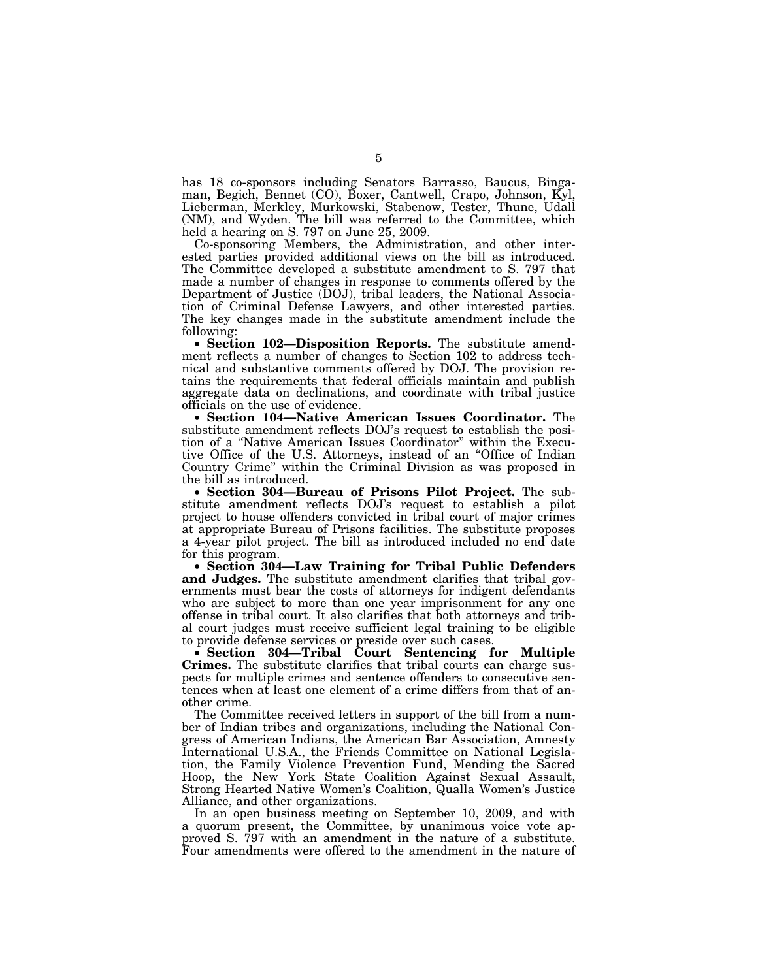has 18 co-sponsors including Senators Barrasso, Baucus, Bingaman, Begich, Bennet (CO), Boxer, Cantwell, Crapo, Johnson, Kyl, Lieberman, Merkley, Murkowski, Stabenow, Tester, Thune, Udall (NM), and Wyden. The bill was referred to the Committee, which held a hearing on S. 797 on June 25, 2009.

Co-sponsoring Members, the Administration, and other interested parties provided additional views on the bill as introduced. The Committee developed a substitute amendment to S. 797 that made a number of changes in response to comments offered by the Department of Justice (DOJ), tribal leaders, the National Association of Criminal Defense Lawyers, and other interested parties. The key changes made in the substitute amendment include the following:

• **Section 102—Disposition Reports.** The substitute amendment reflects a number of changes to Section 102 to address technical and substantive comments offered by DOJ. The provision retains the requirements that federal officials maintain and publish aggregate data on declinations, and coordinate with tribal justice officials on the use of evidence.

• **Section 104—Native American Issues Coordinator.** The substitute amendment reflects DOJ's request to establish the position of a ''Native American Issues Coordinator'' within the Executive Office of the U.S. Attorneys, instead of an ''Office of Indian Country Crime'' within the Criminal Division as was proposed in the bill as introduced.

• **Section 304—Bureau of Prisons Pilot Project.** The substitute amendment reflects DOJ's request to establish a pilot project to house offenders convicted in tribal court of major crimes at appropriate Bureau of Prisons facilities. The substitute proposes a 4-year pilot project. The bill as introduced included no end date for this program.

• **Section 304—Law Training for Tribal Public Defenders and Judges.** The substitute amendment clarifies that tribal governments must bear the costs of attorneys for indigent defendants who are subject to more than one year imprisonment for any one offense in tribal court. It also clarifies that both attorneys and tribal court judges must receive sufficient legal training to be eligible to provide defense services or preside over such cases.

• **Section 304—Tribal Court Sentencing for Multiple Crimes.** The substitute clarifies that tribal courts can charge suspects for multiple crimes and sentence offenders to consecutive sentences when at least one element of a crime differs from that of another crime.

The Committee received letters in support of the bill from a number of Indian tribes and organizations, including the National Congress of American Indians, the American Bar Association, Amnesty International U.S.A., the Friends Committee on National Legislation, the Family Violence Prevention Fund, Mending the Sacred Hoop, the New York State Coalition Against Sexual Assault, Strong Hearted Native Women's Coalition, Qualla Women's Justice Alliance, and other organizations.

In an open business meeting on September 10, 2009, and with a quorum present, the Committee, by unanimous voice vote approved S. 797 with an amendment in the nature of a substitute. Four amendments were offered to the amendment in the nature of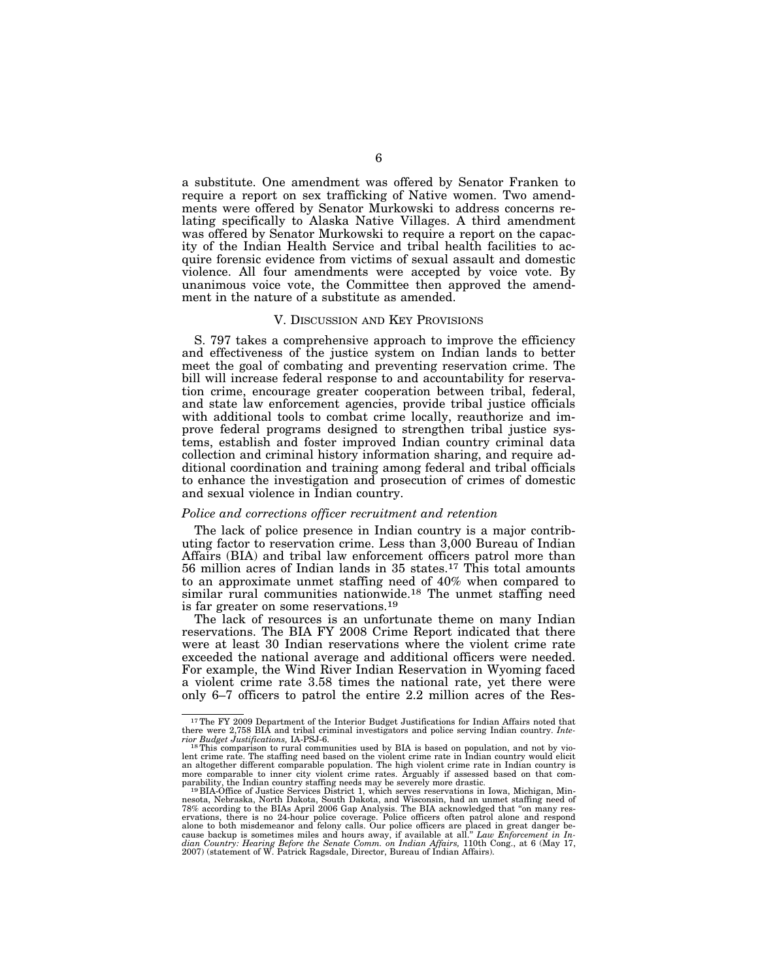a substitute. One amendment was offered by Senator Franken to require a report on sex trafficking of Native women. Two amendments were offered by Senator Murkowski to address concerns relating specifically to Alaska Native Villages. A third amendment was offered by Senator Murkowski to require a report on the capacity of the Indian Health Service and tribal health facilities to acquire forensic evidence from victims of sexual assault and domestic violence. All four amendments were accepted by voice vote. By unanimous voice vote, the Committee then approved the amendment in the nature of a substitute as amended.

#### V. DISCUSSION AND KEY PROVISIONS

S. 797 takes a comprehensive approach to improve the efficiency and effectiveness of the justice system on Indian lands to better meet the goal of combating and preventing reservation crime. The bill will increase federal response to and accountability for reservation crime, encourage greater cooperation between tribal, federal, and state law enforcement agencies, provide tribal justice officials with additional tools to combat crime locally, reauthorize and improve federal programs designed to strengthen tribal justice systems, establish and foster improved Indian country criminal data collection and criminal history information sharing, and require additional coordination and training among federal and tribal officials to enhance the investigation and prosecution of crimes of domestic and sexual violence in Indian country.

#### *Police and corrections officer recruitment and retention*

The lack of police presence in Indian country is a major contributing factor to reservation crime. Less than 3,000 Bureau of Indian Affairs (BIA) and tribal law enforcement officers patrol more than 56 million acres of Indian lands in 35 states.17 This total amounts to an approximate unmet staffing need of 40% when compared to similar rural communities nationwide.<sup>18</sup> The unmet staffing need is far greater on some reservations.19

The lack of resources is an unfortunate theme on many Indian reservations. The BIA FY 2008 Crime Report indicated that there were at least 30 Indian reservations where the violent crime rate exceeded the national average and additional officers were needed. For example, the Wind River Indian Reservation in Wyoming faced a violent crime rate 3.58 times the national rate, yet there were only 6–7 officers to patrol the entire 2.2 million acres of the Res-

<sup>&</sup>lt;sup>17</sup>The FY 2009 Department of the Interior Budget Justifications for Indian Affairs noted that there were 2,758 BIA and tribal criminal investigators and police serving Indian country. *Inte-*

*rior Budget Justifications,* IA-PSJ-6. 18This comparison to rural communities used by BIA is based on population, and not by vio-<br><sup>18</sup>This comparison to rural communities used by BIA is based on population, and not by vio lent crime rate. The staffing need based on the violent crime rate in Indian country would elicit<br>an altogether different comparable population. The high violent crime rate in Indian country is<br>more comparable to inner cit

parability, the Indian country staffing needs may be severely more drastic.<br><sup>19</sup>BIA-Office of Justice Services District 1, which serves reservations in Iowa, Michigan, Min-<br>nesota, Nebraska, North Dakota, South Dakota, and 78% according to the BIAs April 2006 Gap Analysis. The BIA acknowledged that "on many reservations, there is no 24-hour police coverage. Police officers often patrol alone and respond and responding alone is alone to both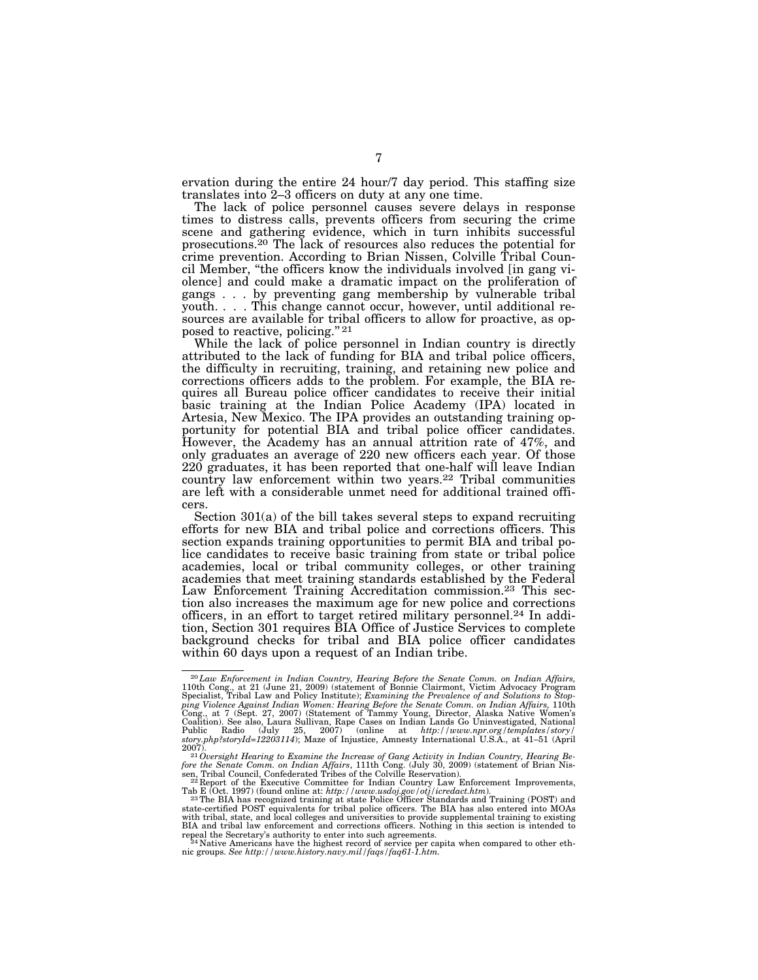ervation during the entire 24 hour/7 day period. This staffing size translates into 2–3 officers on duty at any one time.

The lack of police personnel causes severe delays in response times to distress calls, prevents officers from securing the crime scene and gathering evidence, which in turn inhibits successful prosecutions.20 The lack of resources also reduces the potential for crime prevention. According to Brian Nissen, Colville Tribal Council Member, ''the officers know the individuals involved [in gang violence] and could make a dramatic impact on the proliferation of gangs . . . by preventing gang membership by vulnerable tribal youth. . . . This change cannot occur, however, until additional resources are available for tribal officers to allow for proactive, as opposed to reactive, policing."<sup>21</sup>

While the lack of police personnel in Indian country is directly attributed to the lack of funding for BIA and tribal police officers, the difficulty in recruiting, training, and retaining new police and corrections officers adds to the problem. For example, the BIA requires all Bureau police officer candidates to receive their initial basic training at the Indian Police Academy (IPA) located in Artesia, New Mexico. The IPA provides an outstanding training opportunity for potential BIA and tribal police officer candidates. However, the Academy has an annual attrition rate of 47%, and only graduates an average of 220 new officers each year. Of those 220 graduates, it has been reported that one-half will leave Indian country law enforcement within two years.22 Tribal communities are left with a considerable unmet need for additional trained officers.

Section 301(a) of the bill takes several steps to expand recruiting efforts for new BIA and tribal police and corrections officers. This section expands training opportunities to permit BIA and tribal police candidates to receive basic training from state or tribal police academies, local or tribal community colleges, or other training academies that meet training standards established by the Federal Law Enforcement Training Accreditation commission.<sup>23</sup> This section also increases the maximum age for new police and corrections officers, in an effort to target retired military personnel.24 In addition, Section 301 requires BIA Office of Justice Services to complete background checks for tribal and BIA police officer candidates within 60 days upon a request of an Indian tribe.

 $^{20}$ Law Enforcement in Indian Country, Hearing Before the Senate Comm. on Indian Affairs, 110th Cong., at 21 (June 21, 2009) (statement of Bonnie Clairmont, Victim Advocacy Program Specialist, Tribal Law and Policy Inst ping Violence Against Indian Women: Hearing Before the Senate Comm. on Indian Affairs, 110th Cong., at 7 (Sept. 27, 2007) (Statement of Tammy Young, Director, Alaska Native Women's Coalition). See also, Laura Sullivan, Rap

<sup>2007).&</sup>lt;br><sup>21</sup> Oversight Hearing to Examine the Increase of Gang Activity in Indian Country, Hearing Be-<br>fore the Senate Comm. on Indian Affairs, 111th Cong. (July 30, 2009) (statement of Brian Nis-<br>sen, Tribal Council, Conf

Tab E (Oct. 1997) (found online at: *http://www.usdoj.gov/otj/icredact.htm*). 23The BIA has recognized training at state Police Officer Standards and Training (POST) and

state-certified POST equivalents for tribal police officers. The BIA has also entered into MOAs<br>with tribal, state, and local colleges and universities to provide supplemental training to existing<br>BIA and tribal law enforc

repeal the Secretary's authority to enter into such agreements.<br><sup>24</sup> Native Americans have the highest record of service per capita when compared to other eth-<br>nic groups. *See http://www.history.navy.mil/faqs/faq61-1.htm.*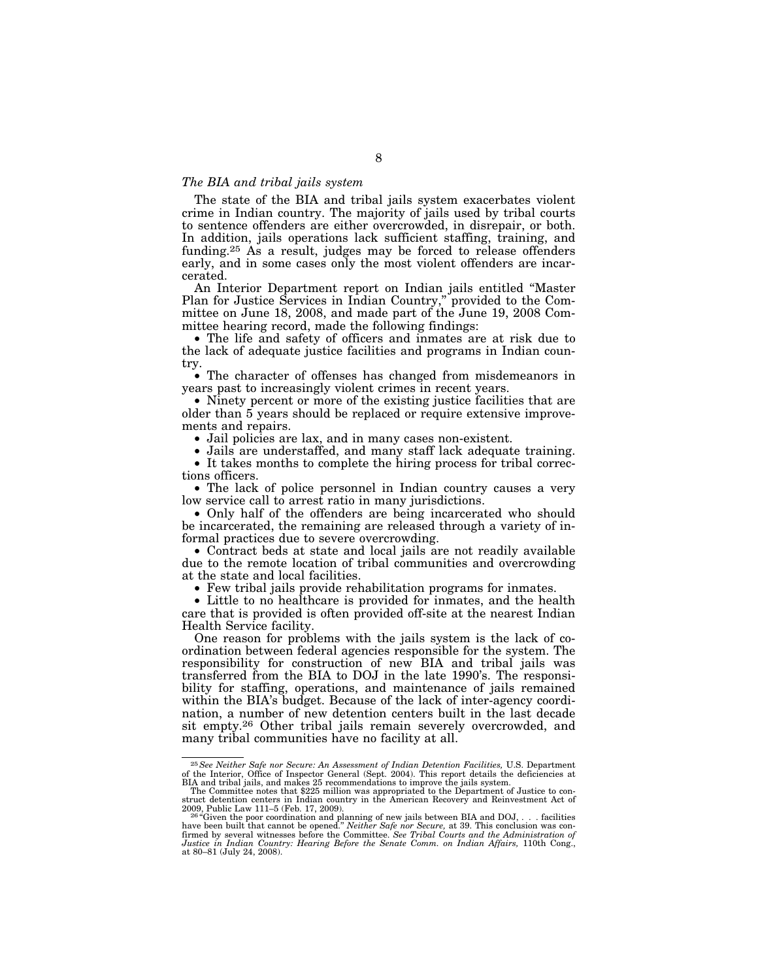#### *The BIA and tribal jails system*

The state of the BIA and tribal jails system exacerbates violent crime in Indian country. The majority of jails used by tribal courts to sentence offenders are either overcrowded, in disrepair, or both. In addition, jails operations lack sufficient staffing, training, and funding.25 As a result, judges may be forced to release offenders early, and in some cases only the most violent offenders are incarcerated.

An Interior Department report on Indian jails entitled ''Master Plan for Justice Services in Indian Country,'' provided to the Committee on June 18, 2008, and made part of the June 19, 2008 Committee hearing record, made the following findings:

• The life and safety of officers and inmates are at risk due to the lack of adequate justice facilities and programs in Indian country.

• The character of offenses has changed from misdemeanors in years past to increasingly violent crimes in recent years.

• Ninety percent or more of the existing justice facilities that are older than 5 years should be replaced or require extensive improvements and repairs.

• Jail policies are lax, and in many cases non-existent.

• Jails are understaffed, and many staff lack adequate training.

• It takes months to complete the hiring process for tribal corrections officers.

• The lack of police personnel in Indian country causes a very low service call to arrest ratio in many jurisdictions.

• Only half of the offenders are being incarcerated who should be incarcerated, the remaining are released through a variety of informal practices due to severe overcrowding.

• Contract beds at state and local jails are not readily available due to the remote location of tribal communities and overcrowding at the state and local facilities.

• Few tribal jails provide rehabilitation programs for inmates.

• Little to no healthcare is provided for inmates, and the health care that is provided is often provided off-site at the nearest Indian Health Service facility.

One reason for problems with the jails system is the lack of coordination between federal agencies responsible for the system. The responsibility for construction of new BIA and tribal jails was transferred from the BIA to DOJ in the late 1990's. The responsibility for staffing, operations, and maintenance of jails remained within the BIA's budget. Because of the lack of inter-agency coordination, a number of new detention centers built in the last decade sit empty.26 Other tribal jails remain severely overcrowded, and many tribal communities have no facility at all.

<sup>&</sup>lt;sup>25</sup> See Neither Safe nor Secure: An Assessment of Indian Detention Facilities, U.S. Department of the Interior, Office of Inspector General (Sept. 2004). This report details the deficiencies at

BIA and tribal jails, and makes 25 recommendations to improve the jails system.<br>The Committee notes that \$225 million was appropriated to the Department of Justice to con-<br>struct detention centers in Indian country in the

<sup>2009,</sup> Public Law 111–5 (Feb. 17, 2009).<br><sup>264</sup>Given the poor coordination and planning of new jails between BIA and DOJ, . . . facilities<br>have been built that cannot be opened." *Neither Safe nor Secure,* at 39. This conclu firmed by several witnesses before the Committee. *See Tribal Courts and the Administration of Justice in Indian Country: Hearing Before the Senate Comm. on Indian Affairs,* 110th Cong., at 80–81 (July 24, 2008).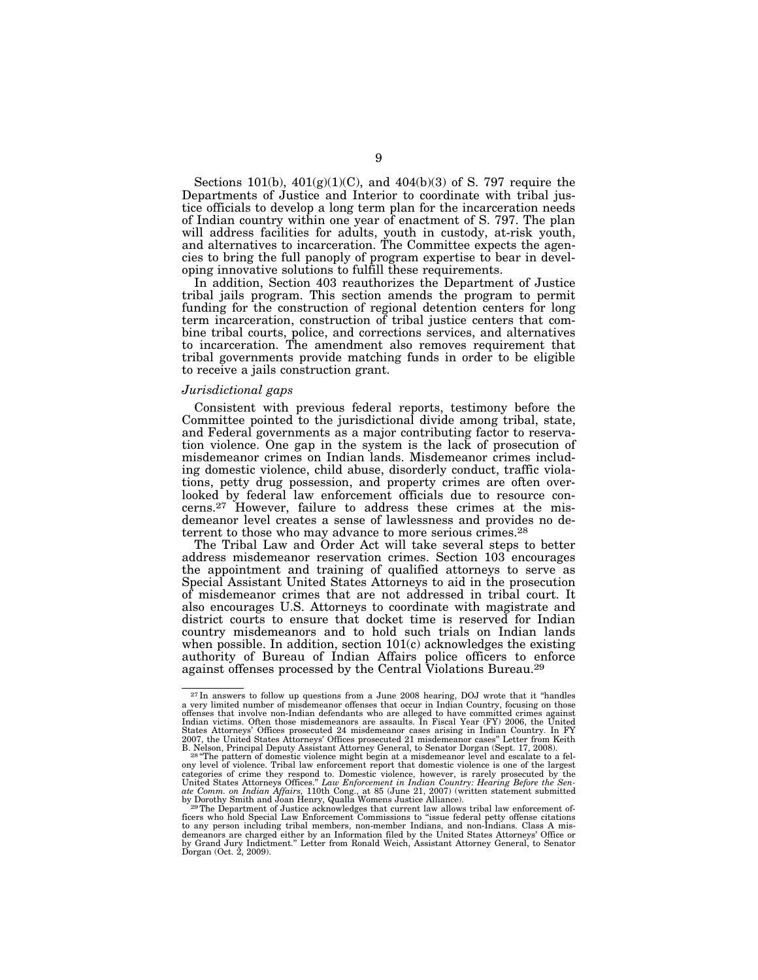Sections 101(b),  $401(g)(1)(C)$ , and  $404(b)(3)$  of S. 797 require the Departments of Justice and Interior to coordinate with tribal justice officials to develop a long term plan for the incarceration needs of Indian country within one year of enactment of S. 797. The plan will address facilities for adults, youth in custody, at-risk youth, and alternatives to incarceration. The Committee expects the agencies to bring the full panoply of program expertise to bear in developing innovative solutions to fulfill these requirements.

In addition, Section 403 reauthorizes the Department of Justice tribal jails program. This section amends the program to permit funding for the construction of regional detention centers for long term incarceration, construction of tribal justice centers that combine tribal courts, police, and corrections services, and alternatives to incarceration. The amendment also removes requirement that tribal governments provide matching funds in order to be eligible to receive a jails construction grant.

#### *Jurisdictional gaps*

Consistent with previous federal reports, testimony before the Committee pointed to the jurisdictional divide among tribal, state, and Federal governments as a major contributing factor to reservation violence. One gap in the system is the lack of prosecution of misdemeanor crimes on Indian lands. Misdemeanor crimes including domestic violence, child abuse, disorderly conduct, traffic violations, petty drug possession, and property crimes are often overlooked by federal law enforcement officials due to resource concerns.27 However, failure to address these crimes at the misdemeanor level creates a sense of lawlessness and provides no deterrent to those who may advance to more serious crimes.<sup>28</sup>

The Tribal Law and Order Act will take several steps to better address misdemeanor reservation crimes. Section 103 encourages the appointment and training of qualified attorneys to serve as Special Assistant United States Attorneys to aid in the prosecution of misdemeanor crimes that are not addressed in tribal court. It also encourages U.S. Attorneys to coordinate with magistrate and district courts to ensure that docket time is reserved for Indian country misdemeanors and to hold such trials on Indian lands when possible. In addition, section  $101(c)$  acknowledges the existing authority of Bureau of Indian Affairs police officers to enforce against offenses processed by the Central Violations Bureau.<sup>29</sup>

<sup>&</sup>lt;sup>27</sup> In answers to follow up questions from a June 2008 hearing, DOJ wrote that it "handles a very limited number of misdemeanor offenses that occur in Indian Country, focusing on those offenses that involve non-Indian defendants who are alleged to have committed crimes against Indian victims. Often those misdemeanors are assaults. In Fiscal Year (FY) 2006, the United States Attorneys' Offices prosecuted 24 misdemeanor cases arising in Indian Country. In FY 2007, the United States Attorneys' Offices prosecuted 21 misdemeanor cases" Letter from Keith B. Nelson, Principal Deputy Assistant

ony level of violence. Tribal law enforcement report that domestic violence is one of the largest categories of crime they respond to. Domestic violence, however, is rarely prosecuted by the

United States Attorneys Offices." Law Enforcement in Indian Country: Hearing Before the Sen-<br>ate Comm. on Indian Affairs, 110th Cong., at 85 (June 21, 2007) (written statement submitted<br>by Dorothy Smith and Joan Henry, Qua demeanors are charged either by an Information filed by the United States Attorneys' Office or<br>by Grand Jury Indictment." Letter from Ronald Weich, Assistant Attorney General, to Senator<br>Dorgan (Oct. 2, 2009).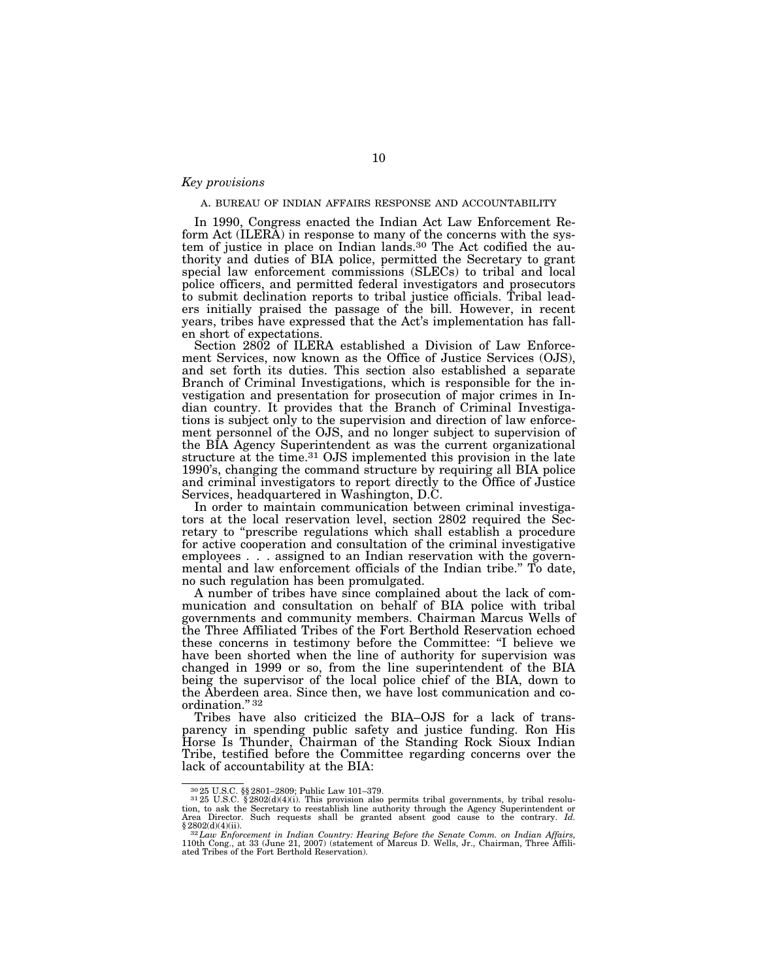#### *Key provisions*

#### A. BUREAU OF INDIAN AFFAIRS RESPONSE AND ACCOUNTABILITY

In 1990, Congress enacted the Indian Act Law Enforcement Reform Act (ILERA) in response to many of the concerns with the system of justice in place on Indian lands.30 The Act codified the authority and duties of BIA police, permitted the Secretary to grant special law enforcement commissions (SLECs) to tribal and local police officers, and permitted federal investigators and prosecutors to submit declination reports to tribal justice officials. Tribal leaders initially praised the passage of the bill. However, in recent years, tribes have expressed that the Act's implementation has fallen short of expectations.

Section 2802 of ILERA established a Division of Law Enforcement Services, now known as the Office of Justice Services (OJS), and set forth its duties. This section also established a separate Branch of Criminal Investigations, which is responsible for the investigation and presentation for prosecution of major crimes in Indian country. It provides that the Branch of Criminal Investigations is subject only to the supervision and direction of law enforcement personnel of the OJS, and no longer subject to supervision of the BIA Agency Superintendent as was the current organizational structure at the time.<sup>31</sup> OJS implemented this provision in the late 1990's, changing the command structure by requiring all BIA police and criminal investigators to report directly to the Office of Justice Services, headquartered in Washington, D.C.

In order to maintain communication between criminal investigators at the local reservation level, section 2802 required the Secretary to ''prescribe regulations which shall establish a procedure for active cooperation and consultation of the criminal investigative employees . . . assigned to an Indian reservation with the governmental and law enforcement officials of the Indian tribe.'' To date, no such regulation has been promulgated.

A number of tribes have since complained about the lack of communication and consultation on behalf of BIA police with tribal governments and community members. Chairman Marcus Wells of the Three Affiliated Tribes of the Fort Berthold Reservation echoed these concerns in testimony before the Committee: ''I believe we have been shorted when the line of authority for supervision was changed in 1999 or so, from the line superintendent of the BIA being the supervisor of the local police chief of the BIA, down to the Aberdeen area. Since then, we have lost communication and coordination." 32

Tribes have also criticized the BIA–OJS for a lack of transparency in spending public safety and justice funding. Ron His Horse Is Thunder, Chairman of the Standing Rock Sioux Indian Tribe, testified before the Committee regarding concerns over the lack of accountability at the BIA:

 $30\,25$  U.S.C. §§ 2801–2809; Public Law 101–379.<br> $31\,25$  U.S.C. § 2802(d)(4)(i). This provision also permits tribal governments, by tribal resolution, to ask the Secretary to reestablish line authority through the Agency Superintendent or Area Director. Such requests shall be granted absent good cause to the contrary. *Id.* 

<sup>§ 2802(</sup>d)(4)(ii).<br><sup>322</sup>Law Enforcement in Indian Country: Hearing Before the Senate Comm. on Indian Affairs,<br>110th Cong., at 33 (June 21, 2007) (statement of Marcus D. Wells, Jr., Chairman, Three Affili-<br>ated Tribes of the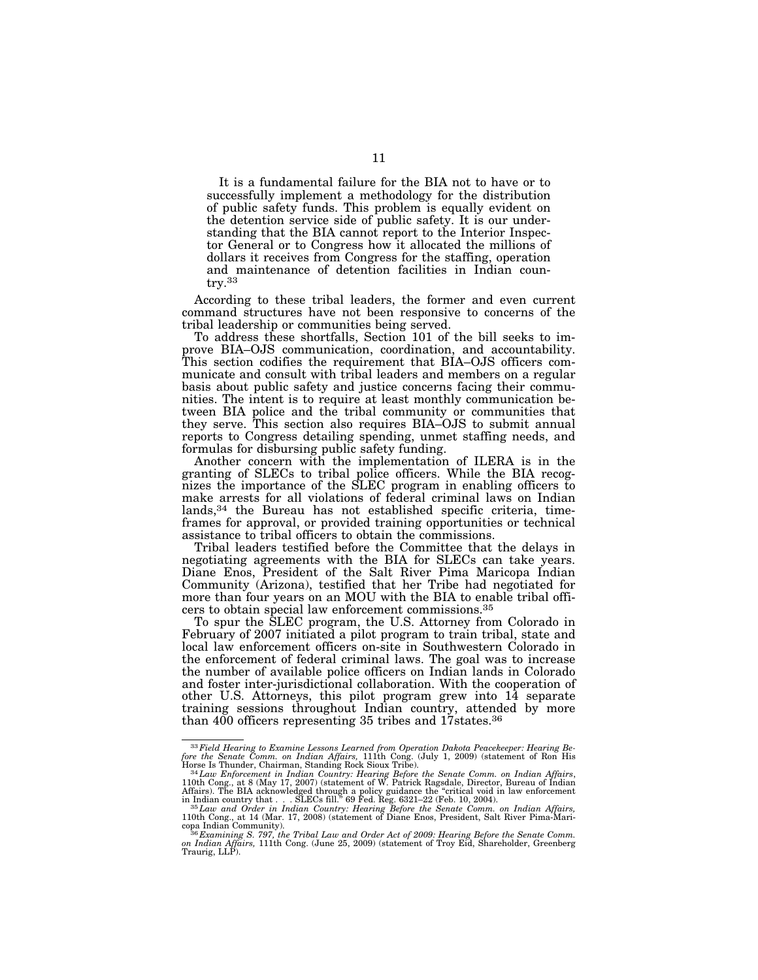It is a fundamental failure for the BIA not to have or to successfully implement a methodology for the distribution of public safety funds. This problem is equally evident on the detention service side of public safety. It is our understanding that the BIA cannot report to the Interior Inspector General or to Congress how it allocated the millions of dollars it receives from Congress for the staffing, operation and maintenance of detention facilities in Indian country.33

According to these tribal leaders, the former and even current command structures have not been responsive to concerns of the tribal leadership or communities being served.

To address these shortfalls, Section 101 of the bill seeks to improve BIA–OJS communication, coordination, and accountability. This section codifies the requirement that BIA–OJS officers communicate and consult with tribal leaders and members on a regular basis about public safety and justice concerns facing their communities. The intent is to require at least monthly communication between BIA police and the tribal community or communities that they serve. This section also requires BIA–OJS to submit annual reports to Congress detailing spending, unmet staffing needs, and formulas for disbursing public safety funding.

Another concern with the implementation of ILERA is in the granting of SLECs to tribal police officers. While the BIA recognizes the importance of the SLEC program in enabling officers to make arrests for all violations of federal criminal laws on Indian lands,34 the Bureau has not established specific criteria, timeframes for approval, or provided training opportunities or technical assistance to tribal officers to obtain the commissions.

Tribal leaders testified before the Committee that the delays in negotiating agreements with the BIA for SLECs can take years. Diane Enos, President of the Salt River Pima Maricopa Indian Community (Arizona), testified that her Tribe had negotiated for more than four years on an MOU with the BIA to enable tribal officers to obtain special law enforcement commissions.35

To spur the SLEC program, the U.S. Attorney from Colorado in February of 2007 initiated a pilot program to train tribal, state and local law enforcement officers on-site in Southwestern Colorado in the enforcement of federal criminal laws. The goal was to increase the number of available police officers on Indian lands in Colorado and foster inter-jurisdictional collaboration. With the cooperation of other U.S. Attorneys, this pilot program grew into 14 separate training sessions throughout Indian country, attended by more than 400 officers representing 35 tribes and 17states.36

<sup>33</sup>*Field Hearing to Examine Lessons Learned from Operation Dakota Peacekeeper: Hearing Be-*

fore the Senate Comm. on Indian Affairs, 111th Cong. (July 1, 2009) (statement of Ron His Horse Is Thunder, Chairman, Standing Rock Sioux Tribe).<br><sup>34</sup> Law Enforcement in Indian Country: Hearing Before the Senate Comm. on I

in Indian country that... SLECs fill." 69 Fed. Reg. 6321–22 (Feb. 10, 2004).<br><sup>35</sup> Law and Order in Indian Country: Hearing Before the Senate Comm. on Indian Affairs,<br>110th Cong., at 14 (Mar. 17, 2008) (statement of Diane E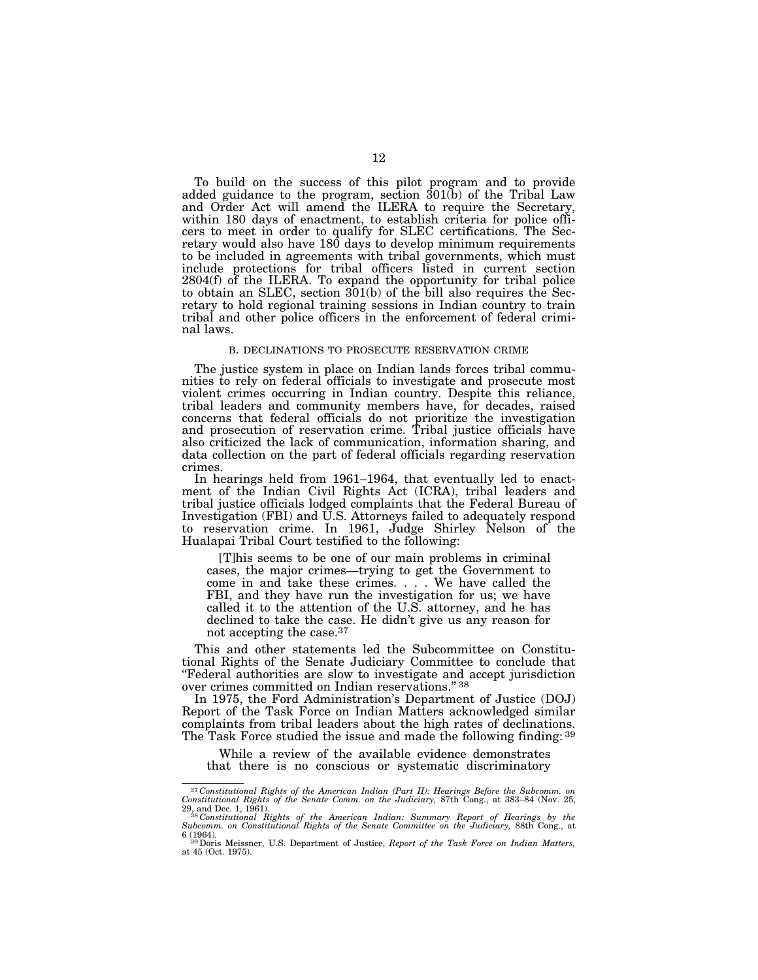To build on the success of this pilot program and to provide added guidance to the program, section 301(b) of the Tribal Law and Order Act will amend the ILERA to require the Secretary, within 180 days of enactment, to establish criteria for police officers to meet in order to qualify for SLEC certifications. The Secretary would also have 180 days to develop minimum requirements to be included in agreements with tribal governments, which must include protections for tribal officers listed in current section 2804(f) of the ILERA. To expand the opportunity for tribal police to obtain an SLEC, section 301(b) of the bill also requires the Secretary to hold regional training sessions in Indian country to train tribal and other police officers in the enforcement of federal criminal laws.

#### B. DECLINATIONS TO PROSECUTE RESERVATION CRIME

The justice system in place on Indian lands forces tribal communities to rely on federal officials to investigate and prosecute most violent crimes occurring in Indian country. Despite this reliance, tribal leaders and community members have, for decades, raised concerns that federal officials do not prioritize the investigation and prosecution of reservation crime. Tribal justice officials have also criticized the lack of communication, information sharing, and data collection on the part of federal officials regarding reservation crimes.

In hearings held from 1961–1964, that eventually led to enactment of the Indian Civil Rights Act (ICRA), tribal leaders and tribal justice officials lodged complaints that the Federal Bureau of Investigation (FBI) and U.S. Attorneys failed to adequately respond to reservation crime. In 1961, Judge Shirley Nelson of the Hualapai Tribal Court testified to the following:

[T]his seems to be one of our main problems in criminal cases, the major crimes—trying to get the Government to come in and take these crimes. . . . We have called the FBI, and they have run the investigation for us; we have called it to the attention of the U.S. attorney, and he has declined to take the case. He didn't give us any reason for not accepting the case.37

This and other statements led the Subcommittee on Constitutional Rights of the Senate Judiciary Committee to conclude that ''Federal authorities are slow to investigate and accept jurisdiction over crimes committed on Indian reservations." 38

In 1975, the Ford Administration's Department of Justice (DOJ) Report of the Task Force on Indian Matters acknowledged similar complaints from tribal leaders about the high rates of declinations. The Task Force studied the issue and made the following finding: 39

While a review of the available evidence demonstrates that there is no conscious or systematic discriminatory

<sup>37</sup> *Constitutional Rights of the American Indian (Part II): Hearings Before the Subcomm. on Constitutional Rights of the Senate Comm. on the Judiciary,* 87th Cong., at 383–84 (Nov. 25,

<sup>29,</sup> and Dec. 1, 1961). 38 *Constitutional Rights of the American Indian: Summary Report of Hearings by the Subcomm. on Constitutional Rights of the Senate Committee on the Judiciary,* 88th Cong., at 6 (1964). 39Doris Meissner, U.S. Department of Justice, *Report of the Task Force on Indian Matters,* 

at 45 (Oct. 1975).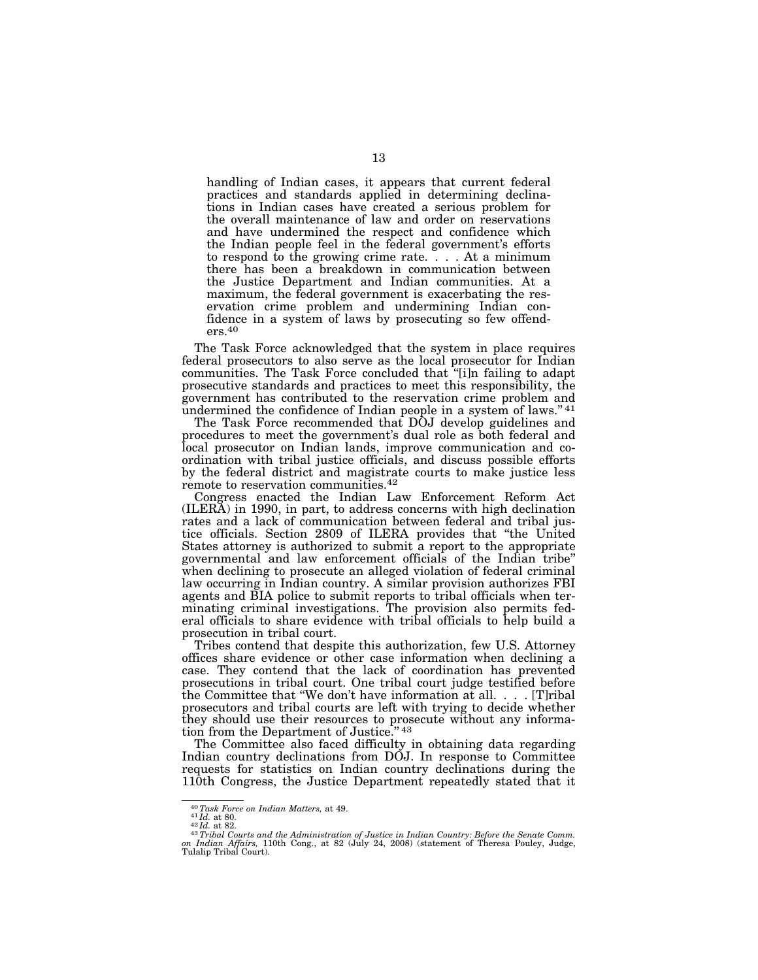handling of Indian cases, it appears that current federal practices and standards applied in determining declinations in Indian cases have created a serious problem for the overall maintenance of law and order on reservations and have undermined the respect and confidence which the Indian people feel in the federal government's efforts to respond to the growing crime rate. . . . At a minimum there has been a breakdown in communication between the Justice Department and Indian communities. At a maximum, the federal government is exacerbating the reservation crime problem and undermining Indian confidence in a system of laws by prosecuting so few offend $ers.<sup>40</sup>$ 

The Task Force acknowledged that the system in place requires federal prosecutors to also serve as the local prosecutor for Indian communities. The Task Force concluded that ''[i]n failing to adapt prosecutive standards and practices to meet this responsibility, the government has contributed to the reservation crime problem and undermined the confidence of Indian people in a system of laws."<sup>41</sup>

The Task Force recommended that DOJ develop guidelines and procedures to meet the government's dual role as both federal and local prosecutor on Indian lands, improve communication and coordination with tribal justice officials, and discuss possible efforts by the federal district and magistrate courts to make justice less remote to reservation communities.42

Congress enacted the Indian Law Enforcement Reform Act (ILERA) in 1990, in part, to address concerns with high declination rates and a lack of communication between federal and tribal justice officials. Section 2809 of ILERA provides that ''the United States attorney is authorized to submit a report to the appropriate governmental and law enforcement officials of the Indian tribe'' when declining to prosecute an alleged violation of federal criminal law occurring in Indian country. A similar provision authorizes FBI agents and BIA police to submit reports to tribal officials when terminating criminal investigations. The provision also permits federal officials to share evidence with tribal officials to help build a prosecution in tribal court.

Tribes contend that despite this authorization, few U.S. Attorney offices share evidence or other case information when declining a case. They contend that the lack of coordination has prevented prosecutions in tribal court. One tribal court judge testified before the Committee that ''We don't have information at all. . . . [T]ribal prosecutors and tribal courts are left with trying to decide whether they should use their resources to prosecute without any information from the Department of Justice." 43

The Committee also faced difficulty in obtaining data regarding Indian country declinations from DOJ. In response to Committee requests for statistics on Indian country declinations during the 110th Congress, the Justice Department repeatedly stated that it

<sup>&</sup>lt;sup>40</sup>Task Force on Indian Matters, at 49.<br><sup>41</sup>Id. at 80.<br><sup>42</sup>Id. at 82.<br><sup>43</sup>Tribal Courts and the Administration of Justice in Indian Country: Before the Senate Comm.<br><sup>43</sup>Tribal Courts and the Administration of Justice in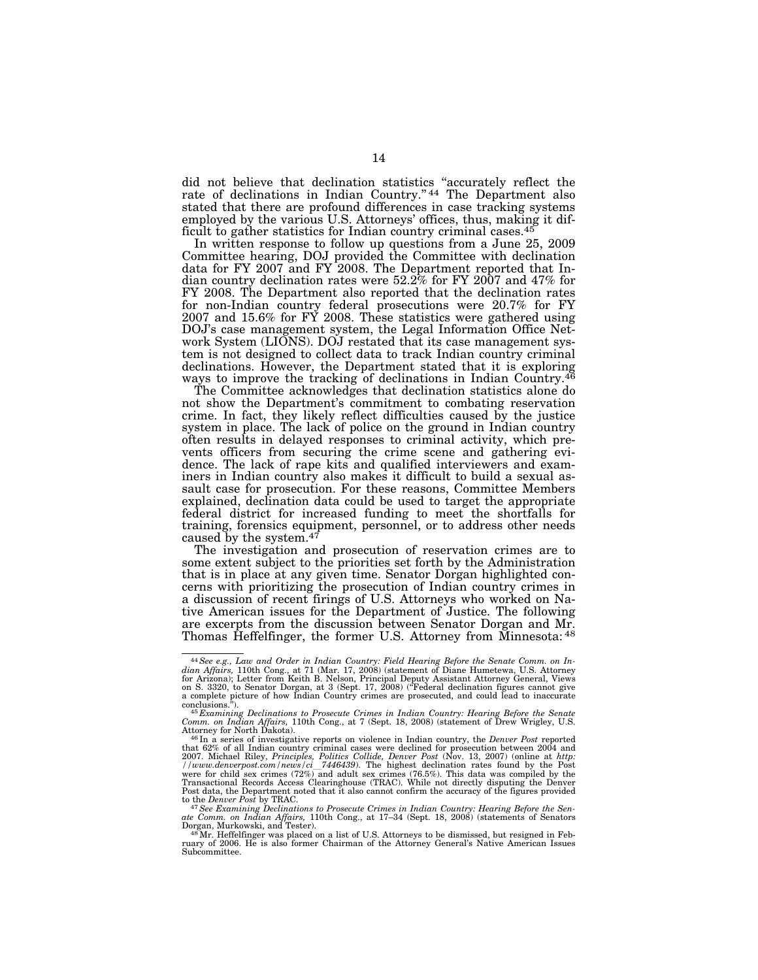did not believe that declination statistics ''accurately reflect the rate of declinations in Indian Country."<sup>44</sup> The Department also stated that there are profound differences in case tracking systems employed by the various U.S. Attorneys' offices, thus, making it difficult to gather statistics for Indian country criminal cases.<sup>45</sup>

In written response to follow up questions from a June 25, 2009 Committee hearing, DOJ provided the Committee with declination data for FY 2007 and FY 2008. The Department reported that Indian country declination rates were 52.2% for FY 2007 and 47% for FY 2008. The Department also reported that the declination rates for non-Indian country federal prosecutions were 20.7% for FY 2007 and 15.6% for FY 2008. These statistics were gathered using DOJ's case management system, the Legal Information Office Network System (LIONS). DOJ restated that its case management system is not designed to collect data to track Indian country criminal declinations. However, the Department stated that it is exploring ways to improve the tracking of declinations in Indian Country.46

The Committee acknowledges that declination statistics alone do not show the Department's commitment to combating reservation crime. In fact, they likely reflect difficulties caused by the justice system in place. The lack of police on the ground in Indian country often results in delayed responses to criminal activity, which prevents officers from securing the crime scene and gathering evidence. The lack of rape kits and qualified interviewers and examiners in Indian country also makes it difficult to build a sexual assault case for prosecution. For these reasons, Committee Members explained, declination data could be used to target the appropriate federal district for increased funding to meet the shortfalls for training, forensics equipment, personnel, or to address other needs caused by the system.47

The investigation and prosecution of reservation crimes are to some extent subject to the priorities set forth by the Administration that is in place at any given time. Senator Dorgan highlighted concerns with prioritizing the prosecution of Indian country crimes in a discussion of recent firings of U.S. Attorneys who worked on Native American issues for the Department of Justice. The following are excerpts from the discussion between Senator Dorgan and Mr. Thomas Heffelfinger, the former U.S. Attorney from Minnesota: 48

<sup>44</sup>*See e.g., Law and Order in Indian Country: Field Hearing Before the Senate Comm. on In-dian Affairs,* 110th Cong., at 71 (Mar. 17, 2008) (statement of Diane Humetewa, U.S. Attorney for Arizona); Letter from Keith B. Nelson, Principal Deputy Assistant Attorney General, Views<br>on S. 3320, to Senator Dorgan, at 3 (Sept. 17, 2008) ("Federal declination figures cannot give<br>a complete picture of how Indian

conclusions.").<br><sup>45</sup> Examining Declinations to Prosecute Crimes in Indian Country: Hearing Before the Senate<br>Comm. on Indian Affairs, 110th Cong., at 7 (Sept. 18, 2008) (statement of Drew Wrigley, U.S.

Attorney for North Dakota).<br><sup>46</sup> In a series of investigative reports on violence in Indian country, the *Denver Post r*eported<br>that 62% of all Indian country criminal cases were declined for prosecution between 2004 and 2007. Michael Riley, *Principles, Politics Collide, Denver Post* (Nov. 13, 2007) (online at *http:*<br>//www.denverpost.com/news/ci\_7446439). The highest declination rates found by the Post<br>were for child sex crimes (72%) and Transactional Records Access Clearinghouse (TRAC). While not directly disputing the Denver Post data, the Department noted that it also cannot confirm the accuracy of the figures provided

to the *Denver Post* by TRAC.<br><sup>47</sup>See *Examining Declinations to Prosecute Crimes in Indian Country: Hearing Before the Sen-<br><sup>47</sup>See <i>Examining Declinations* 10th Cong., at 17–34 (Sept. 18, 2008) (statements of Senators<br><sup></sup>

Subcommittee.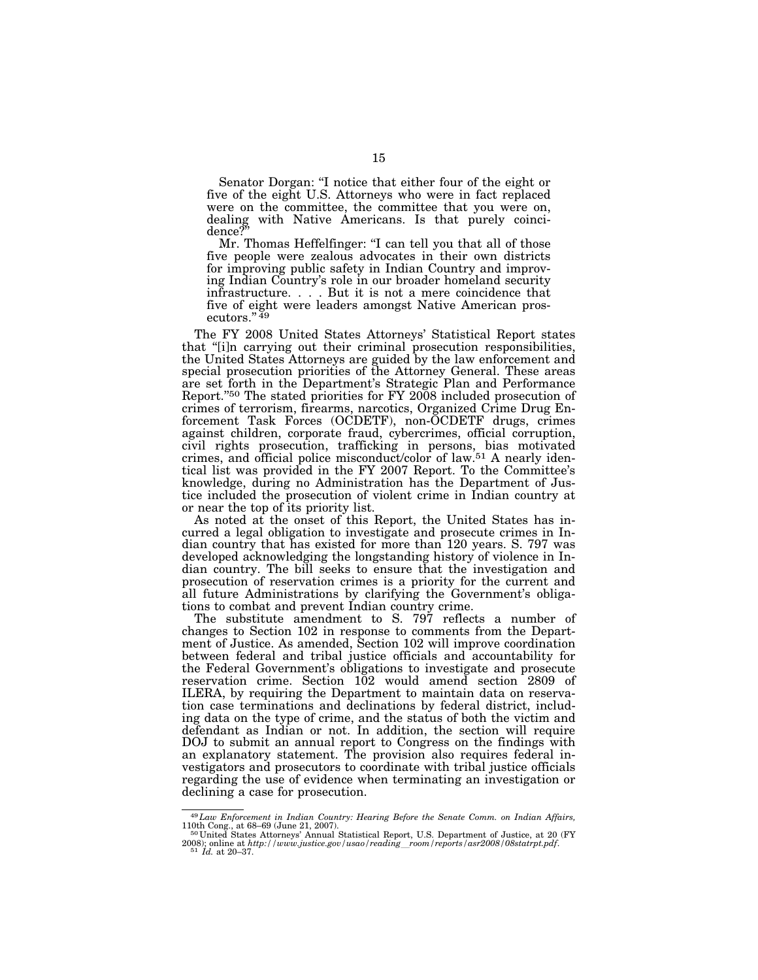Senator Dorgan: ''I notice that either four of the eight or five of the eight U.S. Attorneys who were in fact replaced were on the committee, the committee that you were on, dealing with Native Americans. Is that purely coincidence?''

Mr. Thomas Heffelfinger: "I can tell you that all of those five people were zealous advocates in their own districts for improving public safety in Indian Country and improving Indian Country's role in our broader homeland security infrastructure. . . . But it is not a mere coincidence that five of eight were leaders amongst Native American prosecutors." $49$ 

The FY 2008 United States Attorneys' Statistical Report states that ''[i]n carrying out their criminal prosecution responsibilities, the United States Attorneys are guided by the law enforcement and special prosecution priorities of the Attorney General. These areas are set forth in the Department's Strategic Plan and Performance Report.''50 The stated priorities for FY 2008 included prosecution of crimes of terrorism, firearms, narcotics, Organized Crime Drug Enforcement Task Forces (OCDETF), non-OCDETF drugs, crimes against children, corporate fraud, cybercrimes, official corruption, civil rights prosecution, trafficking in persons, bias motivated crimes, and official police misconduct/color of law.51 A nearly identical list was provided in the FY 2007 Report. To the Committee's knowledge, during no Administration has the Department of Justice included the prosecution of violent crime in Indian country at or near the top of its priority list.

As noted at the onset of this Report, the United States has incurred a legal obligation to investigate and prosecute crimes in Indian country that has existed for more than 120 years. S. 797 was developed acknowledging the longstanding history of violence in Indian country. The bill seeks to ensure that the investigation and prosecution of reservation crimes is a priority for the current and all future Administrations by clarifying the Government's obligations to combat and prevent Indian country crime.

The substitute amendment to S. 797 reflects a number of changes to Section 102 in response to comments from the Department of Justice. As amended, Section 102 will improve coordination between federal and tribal justice officials and accountability for the Federal Government's obligations to investigate and prosecute reservation crime. Section 102 would amend section 2809 of ILERA, by requiring the Department to maintain data on reservation case terminations and declinations by federal district, including data on the type of crime, and the status of both the victim and defendant as Indian or not. In addition, the section will require DOJ to submit an annual report to Congress on the findings with an explanatory statement. The provision also requires federal investigators and prosecutors to coordinate with tribal justice officials regarding the use of evidence when terminating an investigation or declining a case for prosecution.

<sup>49</sup>*Law Enforcement in Indian Country: Hearing Before the Senate Comm. on Indian Affairs,*  110th Cong., at 68–69 (June 21, 2007). 50 United States Attorneys' Annual Statistical Report, U.S. Department of Justice, at 20 (FY

<sup>2008);</sup> online at *http://www.justice.gov/usao/reading*l*room/reports/asr2008/08statrpt.pdf*. 51 *Id.* at 20–37.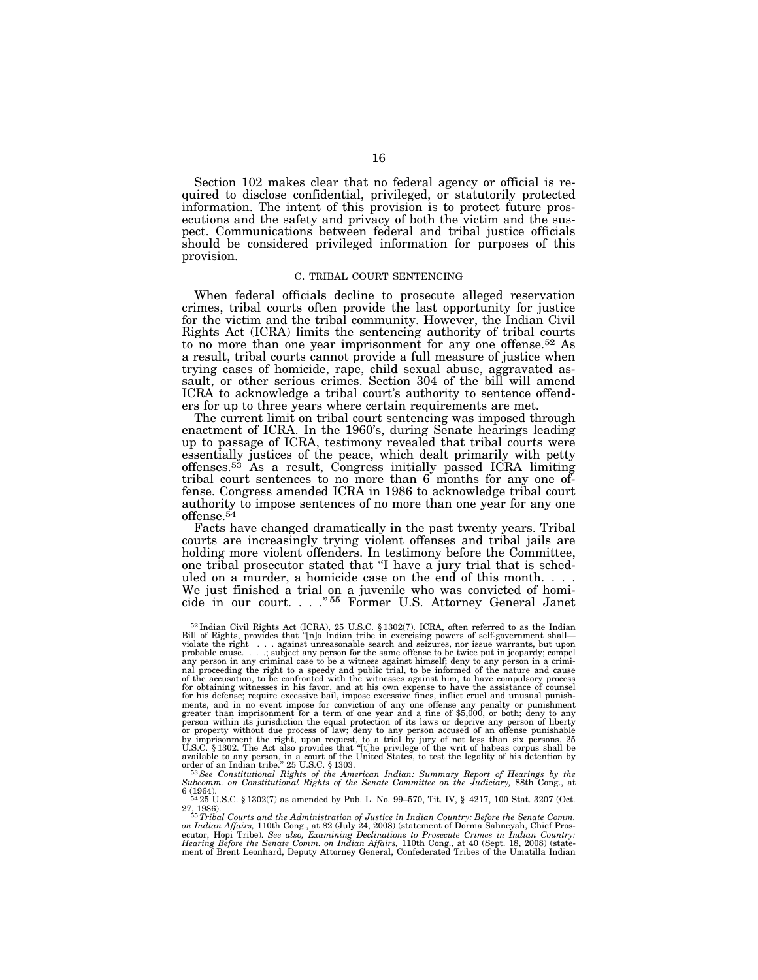Section 102 makes clear that no federal agency or official is required to disclose confidential, privileged, or statutorily protected information. The intent of this provision is to protect future prosecutions and the safety and privacy of both the victim and the suspect. Communications between federal and tribal justice officials should be considered privileged information for purposes of this provision.

#### C. TRIBAL COURT SENTENCING

When federal officials decline to prosecute alleged reservation crimes, tribal courts often provide the last opportunity for justice for the victim and the tribal community. However, the Indian Civil Rights Act (ICRA) limits the sentencing authority of tribal courts to no more than one year imprisonment for any one offense.<sup>52</sup> As a result, tribal courts cannot provide a full measure of justice when trying cases of homicide, rape, child sexual abuse, aggravated assault, or other serious crimes. Section 304 of the bill will amend ICRA to acknowledge a tribal court's authority to sentence offenders for up to three years where certain requirements are met.

The current limit on tribal court sentencing was imposed through enactment of ICRA. In the 1960's, during Senate hearings leading up to passage of ICRA, testimony revealed that tribal courts were essentially justices of the peace, which dealt primarily with petty offenses.53 As a result, Congress initially passed ICRA limiting tribal court sentences to no more than 6 months for any one offense. Congress amended ICRA in 1986 to acknowledge tribal court authority to impose sentences of no more than one year for any one offense.54

Facts have changed dramatically in the past twenty years. Tribal courts are increasingly trying violent offenses and tribal jails are holding more violent offenders. In testimony before the Committee, one tribal prosecutor stated that ''I have a jury trial that is scheduled on a murder, a homicide case on the end of this month. . . . We just finished a trial on a juvenile who was convicted of homicide in our court. . . .'' 55 Former U.S. Attorney General Janet

 $52$ Indian Civil Rights Act (ICRA), 25 U.S.C. §1302(7). ICRA, often referred to as the Indian Bill of Rights, provides that "[n]o Indian tribe in exercising powers of self-government shall—violate the right  $\dots$  against u probable cause. . . .; subject any person for the same offense to be twice put in jeopardy; compel any person in any criminal case to be a witness against himself; deny to any person in a crimi-nal proceeding the right to a speedy and public trial, to be informed of the nature and cause of the accusation, to be confronted with the witnesses against him, to have compulsory process<br>for obtaining witnesses in his favor, and at his own expense to have the assistance of counsel<br>for his defense; require excessi ments, and in no event impose for conviction of any one offense any penalty or punishment<br>greater than imprisonment for a term of one year and a fine of \$5,000, or both; deny to any<br>person within its jurisdiction the equal or property without due process of law; deny to any person accused of an offense punishable<br>by imprisonment the right, upon request, to a trial by jury of not less than six persons. 25<br>U.S.C. §1302. The Act also provides t available to any person, in a court of the United States, to test the legality of his detention by<br>order of an Indian tribe." 25 U.S.C. § 1303.<br><sup>53</sup> See Constitutional Rights of the American Indian: Summary Report of Heari

*Subcomm. on Constitutional Rights of the Senate Committee on the Judiciary,* 88th Cong., at

<sup>6 (1964).</sup>  $\frac{64964}{25}$  U.S.C. § 1302(7) as amended by Pub. L. No. 99–570, Tit. IV, § 4217, 100 Stat. 3207 (Oct.

<sup>27, 1986). 55</sup>*Tribal Courts and the Administration of Justice in Indian Country: Before the Senate Comm. on Indian Affairs,* 110th Cong., at 82 (July 24, 2008) (statement of Dorma Sahneyah, Chief Prosecutor, Hopi Tribe). *See also, Examining Declinations to Prosecute Crimes in Indian Country:*<br>*Hearing Before the Senate Comm. on Indian Affairs,* 110th Cong., at 40 (Sept. 18, 2008) (state-<br>ment of Brent Leonhard, Deputy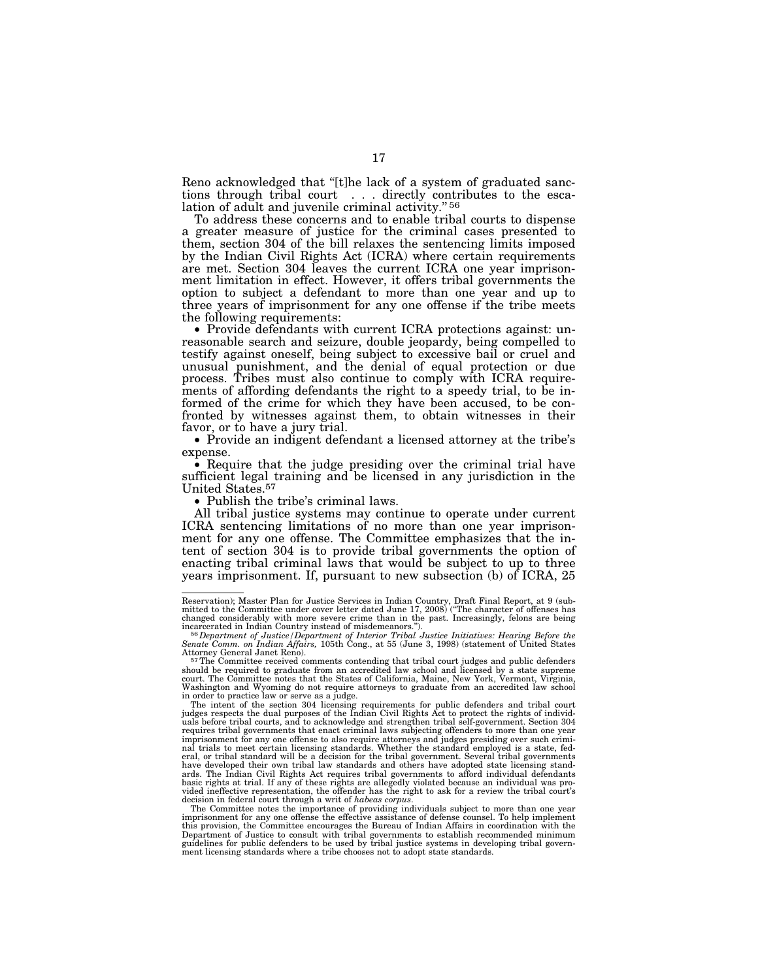Reno acknowledged that "[t]he lack of a system of graduated sanctions through tribal court . . . directly contributes to the escalation of adult and juvenile criminal activity." 56

To address these concerns and to enable tribal courts to dispense a greater measure of justice for the criminal cases presented to them, section 304 of the bill relaxes the sentencing limits imposed by the Indian Civil Rights Act (ICRA) where certain requirements are met. Section 304 leaves the current ICRA one year imprisonment limitation in effect. However, it offers tribal governments the option to subject a defendant to more than one year and up to three years of imprisonment for any one offense if the tribe meets the following requirements: • Provide defendants with current ICRA protections against: un-

reasonable search and seizure, double jeopardy, being compelled to testify against oneself, being subject to excessive bail or cruel and unusual punishment, and the denial of equal protection or due process. Tribes must also continue to comply with ICRA requirements of affording defendants the right to a speedy trial, to be informed of the crime for which they have been accused, to be confronted by witnesses against them, to obtain witnesses in their favor, or to have a jury trial.

• Provide an indigent defendant a licensed attorney at the tribe's

expense. • Require that the judge presiding over the criminal trial have sufficient legal training and be licensed in any jurisdiction in the United States.57

• Publish the tribe's criminal laws.

All tribal justice systems may continue to operate under current ICRA sentencing limitations of no more than one year imprisonment for any one offense. The Committee emphasizes that the intent of section 304 is to provide tribal governments the option of enacting tribal criminal laws that would be subject to up to three years imprisonment. If, pursuant to new subsection (b) of ICRA, 25

Reservation); Master Plan for Justice Services in Indian Country, Draft Final Report, at 9 (sub-<br>mitted to the Committee under cover letter dated June 17, 2008) ("The character of offenses has<br>changed considerably with mor

incarcerated in Indian Country instead of misdemeanors.").<br><sup>560</sup>Dep*artment of Justice (Department of Interior Tribal Justice Initiatives: Hearing Before the<br>Senate Comm. on Indian Affairs, 105th Cong., at 55 (June 3, 1998* 

Attorney General Janet Reno).<br><sup>57</sup>The Committee received comments contending that tribal court judges and public defenders<br>should be required to graduate from an accredited law school and licensed by a state supreme court. The Committee notes that the States of California, Maine, New York, Vermont, Virginia, Washington and Wyoming do not require attorneys to graduate from an accredited law school in order to practice law or serve as a judge.

The intent of the section 304 licensing requirements for public defenders and tribal court<br>judges respects the dual purposes of the Indian Civil Rights Act to protect the rights of individ-<br>uals before tribal courts, and t requires tribal governments that enact criminal laws subjecting offenders to more than one year imprisonment for any one offense to also require attorneys and judges presiding over such crimi-nal trials to meet certain licensing standards. Whether the standard employed is a state, federal, or tribal standard will be a decision for the tribal government. Several tribal governments<br>have developed their own tribal law standards and others have adopted state licensing stand-<br>ards. The Indian Civil Rights A basic rights at trial. If any of these rights are allegedly violated because an individual was pro-vided ineffective representation, the offender has the right to ask for a review the tribal court's

decision in federal court through a writ of habeas corpus.<br>The Committee notes the importance of providing individuals subject to more than one year<br>imprisonment for any one offense the effective assistance of defense coun Department of Justice to consult with tribal governments to establish recommended minimum<br>guidelines for public defenders to be used by tribal justice systems in developing tribal govern-<br>ment licensing standards where a t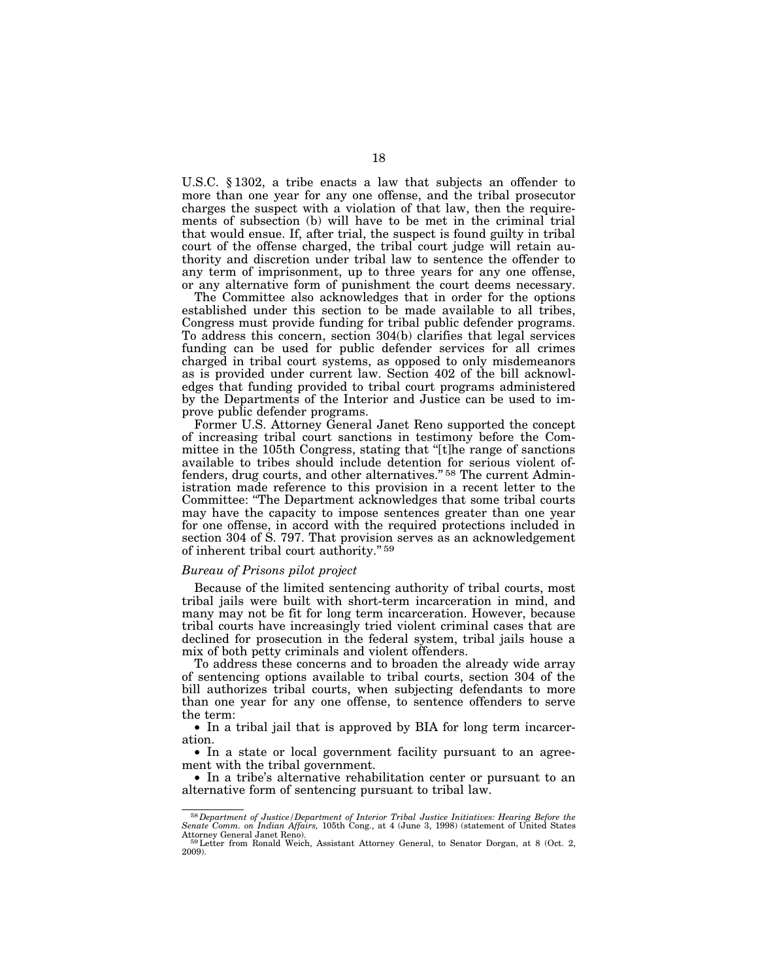U.S.C. § 1302, a tribe enacts a law that subjects an offender to more than one year for any one offense, and the tribal prosecutor charges the suspect with a violation of that law, then the requirements of subsection (b) will have to be met in the criminal trial that would ensue. If, after trial, the suspect is found guilty in tribal court of the offense charged, the tribal court judge will retain authority and discretion under tribal law to sentence the offender to any term of imprisonment, up to three years for any one offense, or any alternative form of punishment the court deems necessary.

The Committee also acknowledges that in order for the options established under this section to be made available to all tribes, Congress must provide funding for tribal public defender programs. To address this concern, section 304(b) clarifies that legal services funding can be used for public defender services for all crimes charged in tribal court systems, as opposed to only misdemeanors as is provided under current law. Section 402 of the bill acknowledges that funding provided to tribal court programs administered by the Departments of the Interior and Justice can be used to improve public defender programs.

Former U.S. Attorney General Janet Reno supported the concept of increasing tribal court sanctions in testimony before the Committee in the 105th Congress, stating that ''[t]he range of sanctions available to tribes should include detention for serious violent offenders, drug courts, and other alternatives."<sup>58</sup> The current Administration made reference to this provision in a recent letter to the Committee: ''The Department acknowledges that some tribal courts may have the capacity to impose sentences greater than one year for one offense, in accord with the required protections included in section 304 of S. 797. That provision serves as an acknowledgement of inherent tribal court authority.'' 59

#### *Bureau of Prisons pilot project*

Because of the limited sentencing authority of tribal courts, most tribal jails were built with short-term incarceration in mind, and many may not be fit for long term incarceration. However, because tribal courts have increasingly tried violent criminal cases that are declined for prosecution in the federal system, tribal jails house a mix of both petty criminals and violent offenders.

To address these concerns and to broaden the already wide array of sentencing options available to tribal courts, section 304 of the bill authorizes tribal courts, when subjecting defendants to more than one year for any one offense, to sentence offenders to serve the term:

• In a tribal jail that is approved by BIA for long term incarceration.

• In a state or local government facility pursuant to an agreement with the tribal government.

• In a tribe's alternative rehabilitation center or pursuant to an alternative form of sentencing pursuant to tribal law.

<sup>58</sup>*Department of Justice/Department of Interior Tribal Justice Initiatives: Hearing Before the Senate Comm. on Indian Affairs,* 105th Cong., at 4 (June 3, 1998) (statement of United States Attorney General Janet Reno). 59Letter from Ronald Weich, Assistant Attorney General, to Senator Dorgan, at 8 (Oct. 2,

 $2009$ ).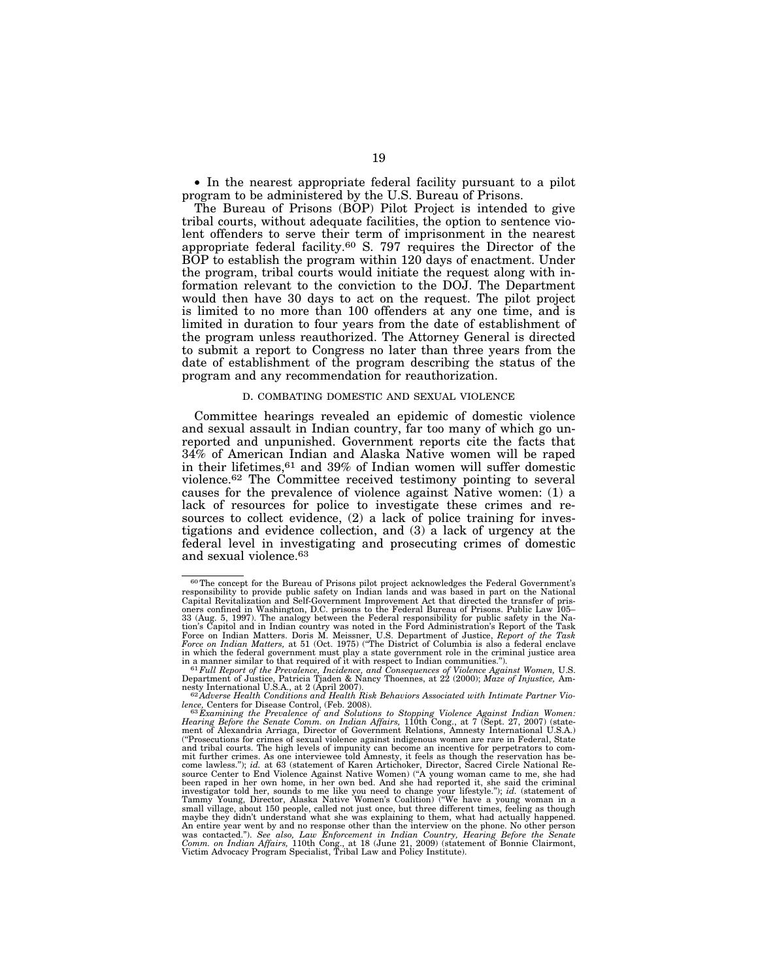• In the nearest appropriate federal facility pursuant to a pilot program to be administered by the U.S. Bureau of Prisons.

The Bureau of Prisons (BOP) Pilot Project is intended to give tribal courts, without adequate facilities, the option to sentence violent offenders to serve their term of imprisonment in the nearest appropriate federal facility.60 S. 797 requires the Director of the BOP to establish the program within 120 days of enactment. Under the program, tribal courts would initiate the request along with information relevant to the conviction to the DOJ. The Department would then have 30 days to act on the request. The pilot project is limited to no more than 100 offenders at any one time, and is limited in duration to four years from the date of establishment of the program unless reauthorized. The Attorney General is directed to submit a report to Congress no later than three years from the date of establishment of the program describing the status of the program and any recommendation for reauthorization.

#### D. COMBATING DOMESTIC AND SEXUAL VIOLENCE

Committee hearings revealed an epidemic of domestic violence and sexual assault in Indian country, far too many of which go unreported and unpunished. Government reports cite the facts that 34% of American Indian and Alaska Native women will be raped in their lifetimes,61 and 39% of Indian women will suffer domestic violence.62 The Committee received testimony pointing to several causes for the prevalence of violence against Native women: (1) a lack of resources for police to investigate these crimes and resources to collect evidence, (2) a lack of police training for investigations and evidence collection, and (3) a lack of urgency at the federal level in investigating and prosecuting crimes of domestic and sexual violence.63

<sup>60</sup>The concept for the Bureau of Prisons pilot project acknowledges the Federal Government's responsibility to provide public safety on Indian lands and was based in part on the National Capital Revitalization and Self-Government Improvement Act that directed the transfer of prisoners confined in Washington, D.C. prisons to the Federal Bureau of Prisons. Public Law 105– 33 (Aug. 5, 1997). The analogy between the Federal responsibility for public safety in the Nation's Capitol and in Indian country was noted in the Ford Administration's Report of the Task<br>Force on Indian Matters. Doris M. Meissner, U.S. Department of Justice, *Report of the Task*<br>*Force on Indian Matters,* at 51 ( in which the federal government must play a state government role in the criminal justice area<br>in a manner similar to that required of it with respect to Indian communities.").<br><sup>61</sup> Full Report of the Prevalence, Incidenc

Department of Justice, Patricia Tjaden & Nancy Thoennes, at 22 (2000); Maze of Injustice, Am-<br>nesty International U.S.A., at 2 (April 2007).<br><sup>62</sup>Adverse Health Conditions and Health Risk Behaviors Associated with Intimate

lence, Centers for Disease Control, (Feb. 2008).<br>" <sup>63</sup> Examining the Prevalence of and Solutions to Stopping Violence Against Indian Women:<br>Hearing Before the Senate Comm. on Indian Affairs, 110th Cong., at 7 (Sept. 27, 2 ment of Alexandria Arriaga, Director of Government Relations, Amnesty International U.S.A.)<br>("Prosecutions for crimes of sexual violence against indigenous women are rare in Federal, State<br>and tribal courts. The high level mit further crimes. As one interviewee told Amnesty, it feels as though the reservation has be-<br>come lawless."); i*d.* at 63 (statement of Karen Artichoker, Director, Sacred Circle National Re-<br>source Center to End Violenc been raped in her own home, in her own bed. And she had reported it, she said the criminal<br>investigator told her, sounds to me like you need to change your lifestyle."); *id*. (statement of<br>Tammy Young, Director, Alaska Na small village, about 150 people, called not just once, but three different times, feeling as though<br>maybe they didn't understand what she was explaining to them, what had actually happened.<br>An entire year went by and no re was contacted."). *See also, Law Enforcement in Indian Country, Hearing Before the Senate*<br>Comm. on Indian Affairs, 110th Cong., at 18 (June 21, 2009) (statement of Bonnie Clairmont,<br>Victim Advocacy Program Specialist, Tri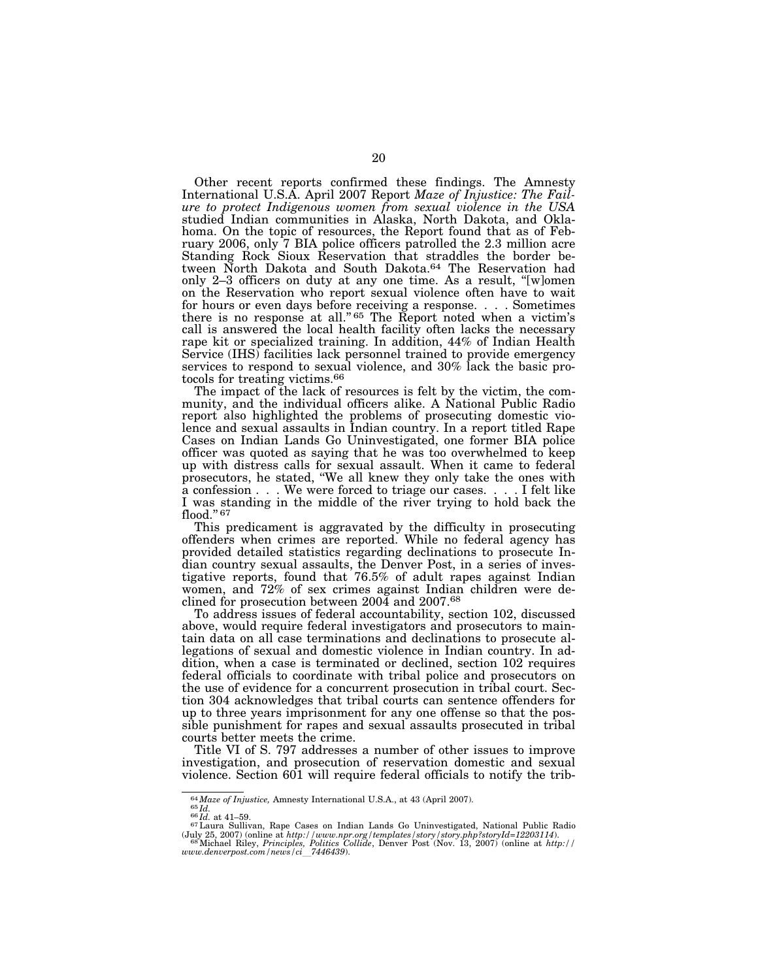Other recent reports confirmed these findings. The Amnesty International U.S.A. April 2007 Report *Maze of Injustice: The Failure to protect Indigenous women from sexual violence in the USA*  studied Indian communities in Alaska, North Dakota, and Oklahoma. On the topic of resources, the Report found that as of February 2006, only 7 BIA police officers patrolled the 2.3 million acre Standing Rock Sioux Reservation that straddles the border between North Dakota and South Dakota.64 The Reservation had only 2–3 officers on duty at any one time. As a result, ''[w]omen on the Reservation who report sexual violence often have to wait for hours or even days before receiving a response. . . . Sometimes there is no response at all."<sup>65</sup> The Report noted when a victim's call is answered the local health facility often lacks the necessary rape kit or specialized training. In addition, 44% of Indian Health Service (IHS) facilities lack personnel trained to provide emergency services to respond to sexual violence, and 30% lack the basic protocols for treating victims.66

The impact of the lack of resources is felt by the victim, the community, and the individual officers alike. A National Public Radio report also highlighted the problems of prosecuting domestic violence and sexual assaults in Indian country. In a report titled Rape Cases on Indian Lands Go Uninvestigated, one former BIA police officer was quoted as saying that he was too overwhelmed to keep up with distress calls for sexual assault. When it came to federal prosecutors, he stated, ''We all knew they only take the ones with a confession . . . We were forced to triage our cases. . . . I felt like I was standing in the middle of the river trying to hold back the flood." $67$ 

This predicament is aggravated by the difficulty in prosecuting offenders when crimes are reported. While no federal agency has provided detailed statistics regarding declinations to prosecute Indian country sexual assaults, the Denver Post, in a series of investigative reports, found that 76.5% of adult rapes against Indian women, and 72% of sex crimes against Indian children were declined for prosecution between 2004 and 2007.68

To address issues of federal accountability, section 102, discussed above, would require federal investigators and prosecutors to maintain data on all case terminations and declinations to prosecute allegations of sexual and domestic violence in Indian country. In addition, when a case is terminated or declined, section 102 requires federal officials to coordinate with tribal police and prosecutors on the use of evidence for a concurrent prosecution in tribal court. Section 304 acknowledges that tribal courts can sentence offenders for up to three years imprisonment for any one offense so that the possible punishment for rapes and sexual assaults prosecuted in tribal courts better meets the crime.

Title VI of S. 797 addresses a number of other issues to improve investigation, and prosecution of reservation domestic and sexual violence. Section 601 will require federal officials to notify the trib-

<sup>64</sup>*Maze of Injustice,* Amnesty International U.S.A., at 43 (April 2007). 65 *Id.* <sup>66</sup> *Id.* at 41–59. 67Laura Sullivan, Rape Cases on Indian Lands Go Uninvestigated, National Public Radio

<sup>(</sup>July 25, 2007) (online at *http://www.npr.org/templates/story/story.php?storyId=12203114*). 68Michael Riley, *Principles, Politics Collide*, Denver Post (Nov. 13, 2007) (online at *http://* 

*www.denverpost.com/news/ci*l*7446439*).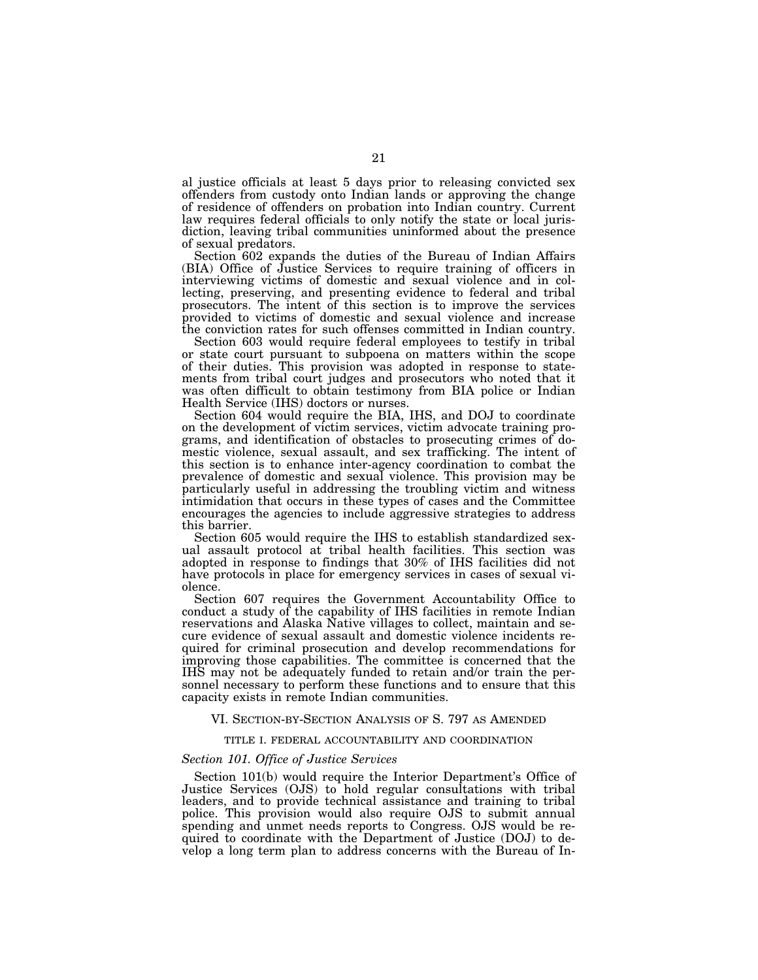al justice officials at least 5 days prior to releasing convicted sex offenders from custody onto Indian lands or approving the change of residence of offenders on probation into Indian country. Current law requires federal officials to only notify the state or local jurisdiction, leaving tribal communities uninformed about the presence of sexual predators.

Section 602 expands the duties of the Bureau of Indian Affairs (BIA) Office of Justice Services to require training of officers in interviewing victims of domestic and sexual violence and in collecting, preserving, and presenting evidence to federal and tribal prosecutors. The intent of this section is to improve the services provided to victims of domestic and sexual violence and increase the conviction rates for such offenses committed in Indian country.

Section 603 would require federal employees to testify in tribal or state court pursuant to subpoena on matters within the scope of their duties. This provision was adopted in response to statements from tribal court judges and prosecutors who noted that it was often difficult to obtain testimony from BIA police or Indian Health Service (IHS) doctors or nurses.

Section 604 would require the BIA, IHS, and DOJ to coordinate on the development of victim services, victim advocate training programs, and identification of obstacles to prosecuting crimes of domestic violence, sexual assault, and sex trafficking. The intent of this section is to enhance inter-agency coordination to combat the prevalence of domestic and sexual violence. This provision may be particularly useful in addressing the troubling victim and witness intimidation that occurs in these types of cases and the Committee encourages the agencies to include aggressive strategies to address this barrier.

Section 605 would require the IHS to establish standardized sexual assault protocol at tribal health facilities. This section was adopted in response to findings that 30% of IHS facilities did not have protocols in place for emergency services in cases of sexual violence.

Section 607 requires the Government Accountability Office to conduct a study of the capability of IHS facilities in remote Indian reservations and Alaska Native villages to collect, maintain and secure evidence of sexual assault and domestic violence incidents required for criminal prosecution and develop recommendations for improving those capabilities. The committee is concerned that the IHS may not be adequately funded to retain and/or train the personnel necessary to perform these functions and to ensure that this capacity exists in remote Indian communities.

#### VI. SECTION-BY-SECTION ANALYSIS OF S. 797 AS AMENDED

#### TITLE I. FEDERAL ACCOUNTABILITY AND COORDINATION

#### *Section 101. Office of Justice Services*

Section 101(b) would require the Interior Department's Office of Justice Services (OJS) to hold regular consultations with tribal leaders, and to provide technical assistance and training to tribal police. This provision would also require OJS to submit annual spending and unmet needs reports to Congress. OJS would be required to coordinate with the Department of Justice (DOJ) to develop a long term plan to address concerns with the Bureau of In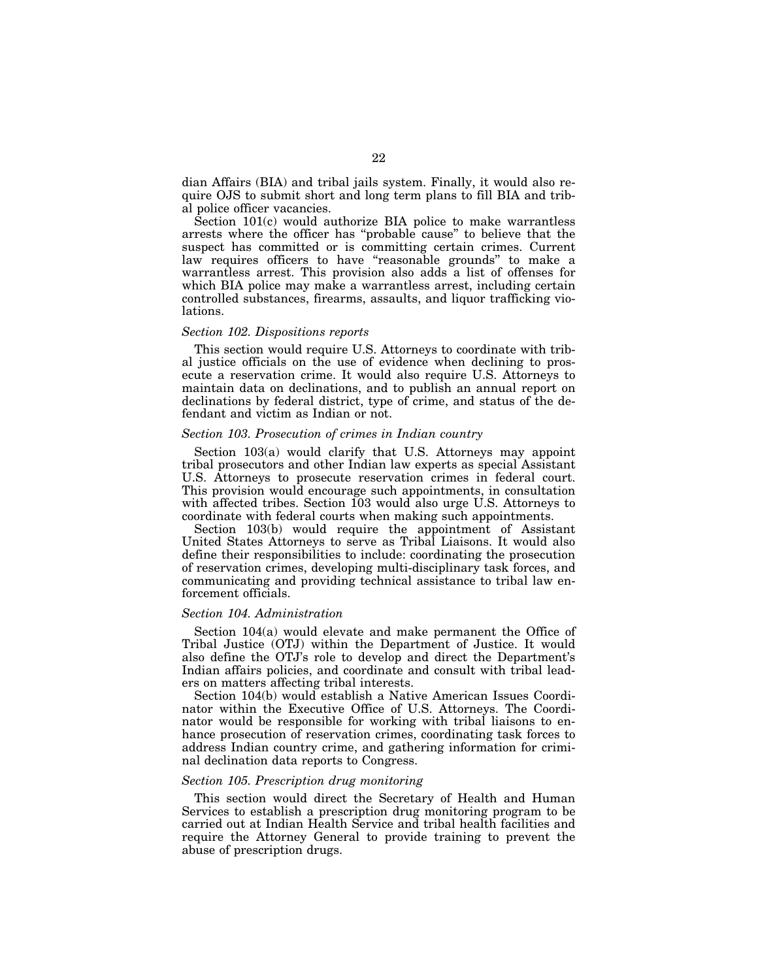dian Affairs (BIA) and tribal jails system. Finally, it would also require OJS to submit short and long term plans to fill BIA and tribal police officer vacancies.

Section 101(c) would authorize BIA police to make warrantless arrests where the officer has ''probable cause'' to believe that the suspect has committed or is committing certain crimes. Current law requires officers to have "reasonable grounds" to make a warrantless arrest. This provision also adds a list of offenses for which BIA police may make a warrantless arrest, including certain controlled substances, firearms, assaults, and liquor trafficking violations.

#### *Section 102. Dispositions reports*

This section would require U.S. Attorneys to coordinate with tribal justice officials on the use of evidence when declining to prosecute a reservation crime. It would also require U.S. Attorneys to maintain data on declinations, and to publish an annual report on declinations by federal district, type of crime, and status of the defendant and victim as Indian or not.

#### *Section 103. Prosecution of crimes in Indian country*

Section 103(a) would clarify that U.S. Attorneys may appoint tribal prosecutors and other Indian law experts as special Assistant U.S. Attorneys to prosecute reservation crimes in federal court. This provision would encourage such appointments, in consultation with affected tribes. Section 103 would also urge U.S. Attorneys to coordinate with federal courts when making such appointments.

Section 103(b) would require the appointment of Assistant United States Attorneys to serve as Tribal Liaisons. It would also define their responsibilities to include: coordinating the prosecution of reservation crimes, developing multi-disciplinary task forces, and communicating and providing technical assistance to tribal law enforcement officials.

#### *Section 104. Administration*

Section 104(a) would elevate and make permanent the Office of Tribal Justice (OTJ) within the Department of Justice. It would also define the OTJ's role to develop and direct the Department's Indian affairs policies, and coordinate and consult with tribal leaders on matters affecting tribal interests.

Section 104(b) would establish a Native American Issues Coordinator within the Executive Office of U.S. Attorneys. The Coordinator would be responsible for working with tribal liaisons to enhance prosecution of reservation crimes, coordinating task forces to address Indian country crime, and gathering information for criminal declination data reports to Congress.

#### *Section 105. Prescription drug monitoring*

This section would direct the Secretary of Health and Human Services to establish a prescription drug monitoring program to be carried out at Indian Health Service and tribal health facilities and require the Attorney General to provide training to prevent the abuse of prescription drugs.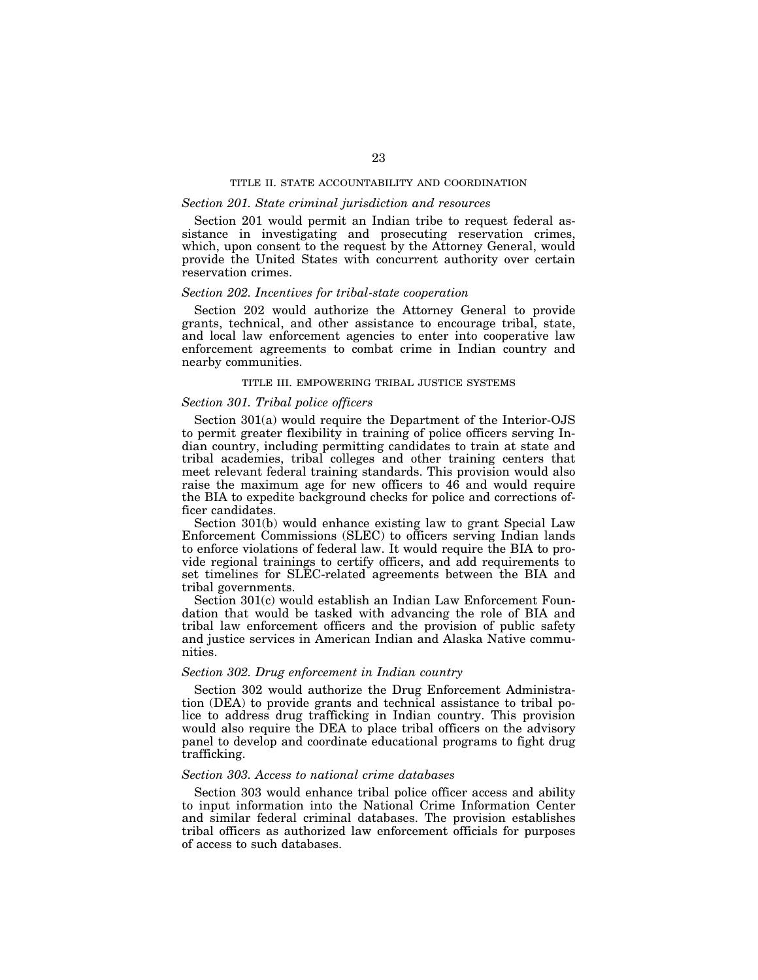#### TITLE II. STATE ACCOUNTABILITY AND COORDINATION

#### *Section 201. State criminal jurisdiction and resources*

Section 201 would permit an Indian tribe to request federal assistance in investigating and prosecuting reservation crimes, which, upon consent to the request by the Attorney General, would provide the United States with concurrent authority over certain reservation crimes.

#### *Section 202. Incentives for tribal-state cooperation*

Section 202 would authorize the Attorney General to provide grants, technical, and other assistance to encourage tribal, state, and local law enforcement agencies to enter into cooperative law enforcement agreements to combat crime in Indian country and nearby communities.

#### TITLE III. EMPOWERING TRIBAL JUSTICE SYSTEMS

#### *Section 301. Tribal police officers*

Section 301(a) would require the Department of the Interior-OJS to permit greater flexibility in training of police officers serving Indian country, including permitting candidates to train at state and tribal academies, tribal colleges and other training centers that meet relevant federal training standards. This provision would also raise the maximum age for new officers to 46 and would require the BIA to expedite background checks for police and corrections officer candidates.

Section 301(b) would enhance existing law to grant Special Law Enforcement Commissions (SLEC) to officers serving Indian lands to enforce violations of federal law. It would require the BIA to provide regional trainings to certify officers, and add requirements to set timelines for SLEC-related agreements between the BIA and tribal governments.

Section 301(c) would establish an Indian Law Enforcement Foundation that would be tasked with advancing the role of BIA and tribal law enforcement officers and the provision of public safety and justice services in American Indian and Alaska Native communities.

#### *Section 302. Drug enforcement in Indian country*

Section 302 would authorize the Drug Enforcement Administration (DEA) to provide grants and technical assistance to tribal police to address drug trafficking in Indian country. This provision would also require the DEA to place tribal officers on the advisory panel to develop and coordinate educational programs to fight drug trafficking.

#### *Section 303. Access to national crime databases*

Section 303 would enhance tribal police officer access and ability to input information into the National Crime Information Center and similar federal criminal databases. The provision establishes tribal officers as authorized law enforcement officials for purposes of access to such databases.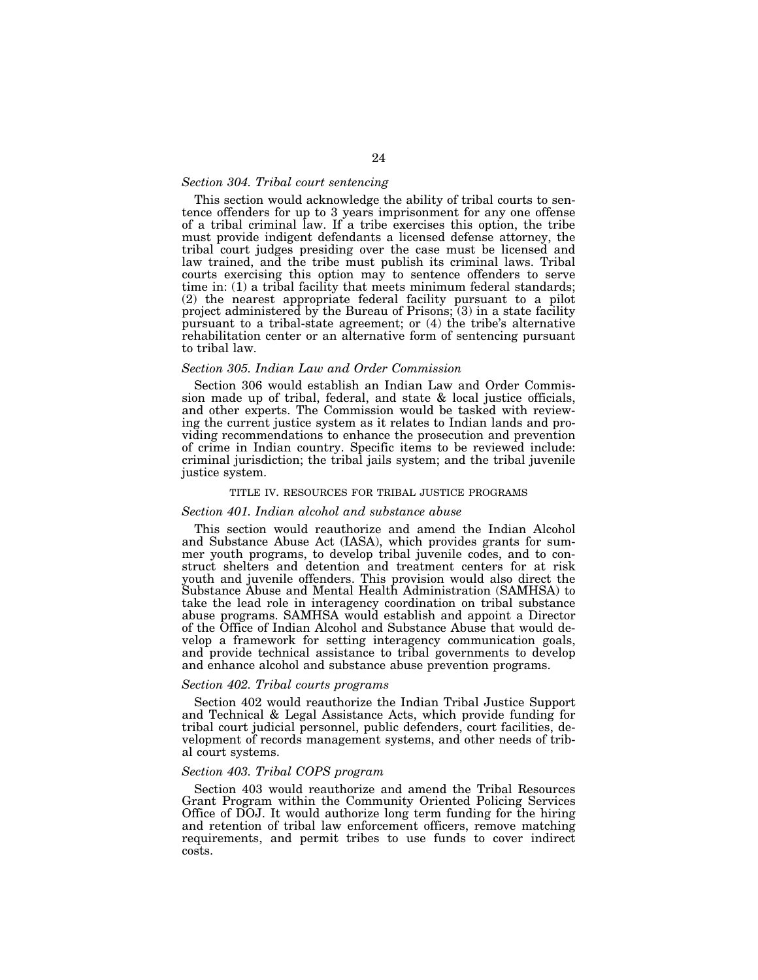#### *Section 304. Tribal court sentencing*

This section would acknowledge the ability of tribal courts to sentence offenders for up to 3 years imprisonment for any one offense of a tribal criminal law. If a tribe exercises this option, the tribe must provide indigent defendants a licensed defense attorney, the tribal court judges presiding over the case must be licensed and law trained, and the tribe must publish its criminal laws. Tribal courts exercising this option may to sentence offenders to serve time in: (1) a tribal facility that meets minimum federal standards; (2) the nearest appropriate federal facility pursuant to a pilot project administered by the Bureau of Prisons;  $(3)$  in a state facility pursuant to a tribal-state agreement; or (4) the tribe's alternative rehabilitation center or an alternative form of sentencing pursuant to tribal law.

#### *Section 305. Indian Law and Order Commission*

Section 306 would establish an Indian Law and Order Commission made up of tribal, federal, and state & local justice officials, and other experts. The Commission would be tasked with reviewing the current justice system as it relates to Indian lands and providing recommendations to enhance the prosecution and prevention of crime in Indian country. Specific items to be reviewed include: criminal jurisdiction; the tribal jails system; and the tribal juvenile justice system.

#### TITLE IV. RESOURCES FOR TRIBAL JUSTICE PROGRAMS

#### *Section 401. Indian alcohol and substance abuse*

This section would reauthorize and amend the Indian Alcohol and Substance Abuse Act (IASA), which provides grants for summer youth programs, to develop tribal juvenile codes, and to construct shelters and detention and treatment centers for at risk youth and juvenile offenders. This provision would also direct the Substance Abuse and Mental Health Administration (SAMHSA) to take the lead role in interagency coordination on tribal substance abuse programs. SAMHSA would establish and appoint a Director of the Office of Indian Alcohol and Substance Abuse that would develop a framework for setting interagency communication goals, and provide technical assistance to tribal governments to develop and enhance alcohol and substance abuse prevention programs.

#### *Section 402. Tribal courts programs*

Section 402 would reauthorize the Indian Tribal Justice Support and Technical & Legal Assistance Acts, which provide funding for tribal court judicial personnel, public defenders, court facilities, development of records management systems, and other needs of tribal court systems.

#### *Section 403. Tribal COPS program*

Section 403 would reauthorize and amend the Tribal Resources Grant Program within the Community Oriented Policing Services Office of DOJ. It would authorize long term funding for the hiring and retention of tribal law enforcement officers, remove matching requirements, and permit tribes to use funds to cover indirect costs.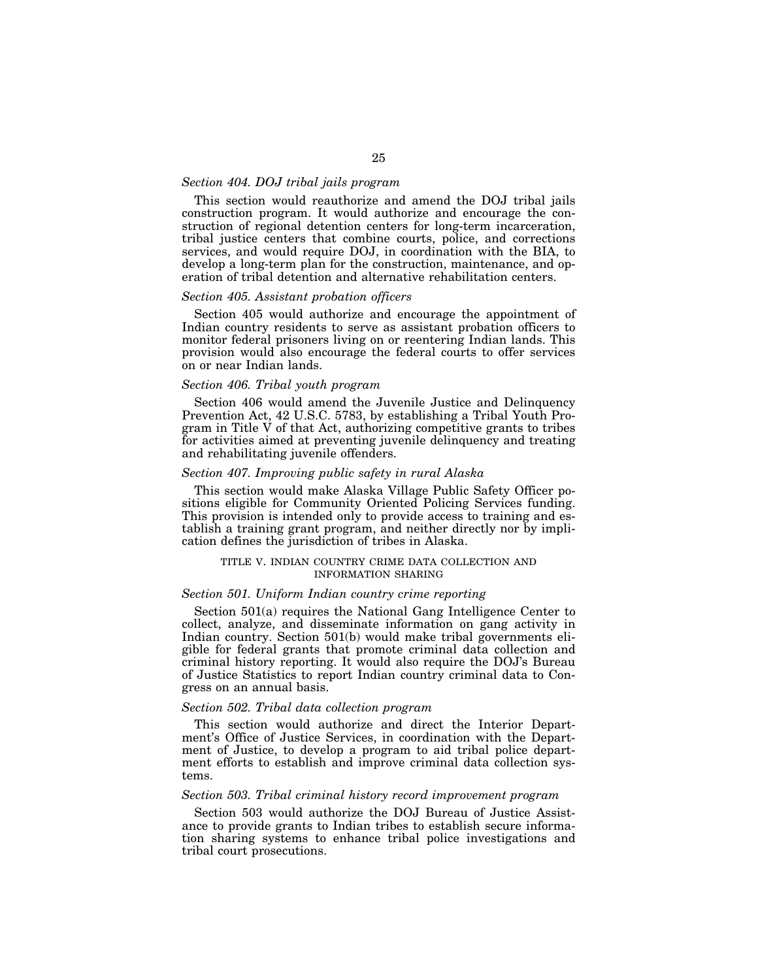#### *Section 404. DOJ tribal jails program*

This section would reauthorize and amend the DOJ tribal jails construction program. It would authorize and encourage the construction of regional detention centers for long-term incarceration, tribal justice centers that combine courts, police, and corrections services, and would require DOJ, in coordination with the BIA, to develop a long-term plan for the construction, maintenance, and operation of tribal detention and alternative rehabilitation centers.

#### *Section 405. Assistant probation officers*

Section 405 would authorize and encourage the appointment of Indian country residents to serve as assistant probation officers to monitor federal prisoners living on or reentering Indian lands. This provision would also encourage the federal courts to offer services on or near Indian lands.

#### *Section 406. Tribal youth program*

Section 406 would amend the Juvenile Justice and Delinquency Prevention Act, 42 U.S.C. 5783, by establishing a Tribal Youth Program in Title V of that Act, authorizing competitive grants to tribes for activities aimed at preventing juvenile delinquency and treating and rehabilitating juvenile offenders.

#### *Section 407. Improving public safety in rural Alaska*

This section would make Alaska Village Public Safety Officer positions eligible for Community Oriented Policing Services funding. This provision is intended only to provide access to training and establish a training grant program, and neither directly nor by implication defines the jurisdiction of tribes in Alaska.

#### TITLE V. INDIAN COUNTRY CRIME DATA COLLECTION AND INFORMATION SHARING

#### *Section 501. Uniform Indian country crime reporting*

Section 501(a) requires the National Gang Intelligence Center to collect, analyze, and disseminate information on gang activity in Indian country. Section 501(b) would make tribal governments eligible for federal grants that promote criminal data collection and criminal history reporting. It would also require the DOJ's Bureau of Justice Statistics to report Indian country criminal data to Congress on an annual basis.

#### *Section 502. Tribal data collection program*

This section would authorize and direct the Interior Department's Office of Justice Services, in coordination with the Department of Justice, to develop a program to aid tribal police department efforts to establish and improve criminal data collection systems.

#### *Section 503. Tribal criminal history record improvement program*

Section 503 would authorize the DOJ Bureau of Justice Assistance to provide grants to Indian tribes to establish secure information sharing systems to enhance tribal police investigations and tribal court prosecutions.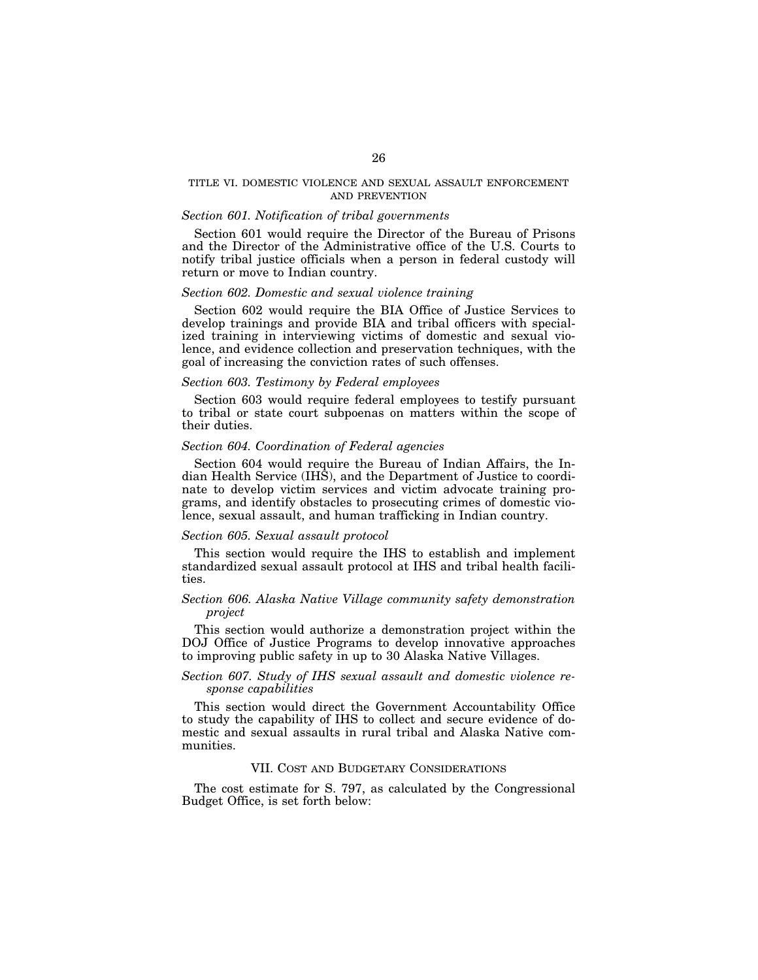#### TITLE VI. DOMESTIC VIOLENCE AND SEXUAL ASSAULT ENFORCEMENT AND PREVENTION

#### *Section 601. Notification of tribal governments*

Section 601 would require the Director of the Bureau of Prisons and the Director of the Administrative office of the U.S. Courts to notify tribal justice officials when a person in federal custody will return or move to Indian country.

#### *Section 602. Domestic and sexual violence training*

Section 602 would require the BIA Office of Justice Services to develop trainings and provide BIA and tribal officers with specialized training in interviewing victims of domestic and sexual violence, and evidence collection and preservation techniques, with the goal of increasing the conviction rates of such offenses.

#### *Section 603. Testimony by Federal employees*

Section 603 would require federal employees to testify pursuant to tribal or state court subpoenas on matters within the scope of their duties.

#### *Section 604. Coordination of Federal agencies*

Section 604 would require the Bureau of Indian Affairs, the Indian Health Service (IHS), and the Department of Justice to coordinate to develop victim services and victim advocate training programs, and identify obstacles to prosecuting crimes of domestic violence, sexual assault, and human trafficking in Indian country.

#### *Section 605. Sexual assault protocol*

This section would require the IHS to establish and implement standardized sexual assault protocol at IHS and tribal health facilities.

#### *Section 606. Alaska Native Village community safety demonstration project*

This section would authorize a demonstration project within the DOJ Office of Justice Programs to develop innovative approaches to improving public safety in up to 30 Alaska Native Villages.

#### *Section 607. Study of IHS sexual assault and domestic violence response capabilities*

This section would direct the Government Accountability Office to study the capability of IHS to collect and secure evidence of domestic and sexual assaults in rural tribal and Alaska Native communities.

#### VII. COST AND BUDGETARY CONSIDERATIONS

The cost estimate for S. 797, as calculated by the Congressional Budget Office, is set forth below: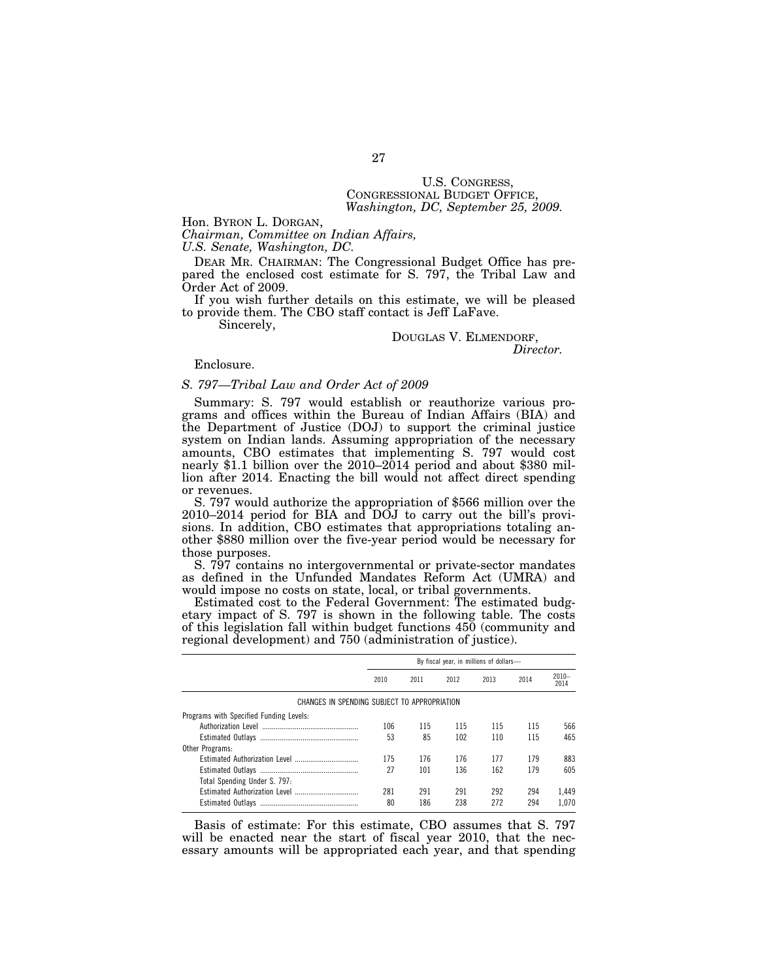# U.S. CONGRESS, CONGRESSIONAL BUDGET OFFICE, *Washington, DC, September 25, 2009.*

Hon. BYRON L. DORGAN,

*Chairman, Committee on Indian Affairs, U.S. Senate, Washington, DC.* 

DEAR MR. CHAIRMAN: The Congressional Budget Office has prepared the enclosed cost estimate for S. 797, the Tribal Law and Order Act of 2009.

If you wish further details on this estimate, we will be pleased to provide them. The CBO staff contact is Jeff LaFave.

Sincerely,

# DOUGLAS V. ELMENDORF, *Director.*

Enclosure.

#### *S. 797—Tribal Law and Order Act of 2009*

Summary: S. 797 would establish or reauthorize various programs and offices within the Bureau of Indian Affairs (BIA) and the Department of Justice (DOJ) to support the criminal justice system on Indian lands. Assuming appropriation of the necessary amounts, CBO estimates that implementing S. 797 would cost nearly \$1.1 billion over the 2010–2014 period and about \$380 million after 2014. Enacting the bill would not affect direct spending or revenues.

S. 797 would authorize the appropriation of \$566 million over the 2010–2014 period for BIA and DOJ to carry out the bill's provisions. In addition, CBO estimates that appropriations totaling another \$880 million over the five-year period would be necessary for those purposes.

S. 797 contains no intergovernmental or private-sector mandates as defined in the Unfunded Mandates Reform Act (UMRA) and would impose no costs on state, local, or tribal governments.

Estimated cost to the Federal Government: The estimated budgetary impact of S. 797 is shown in the following table. The costs of this legislation fall within budget functions 450 (community and regional development) and 750 (administration of justice).

|                                              | By fiscal year, in millions of dollars- |      |      |      |      |                  |
|----------------------------------------------|-----------------------------------------|------|------|------|------|------------------|
|                                              | 2010                                    | 2011 | 2012 | 2013 | 2014 | $2010 -$<br>2014 |
| CHANGES IN SPENDING SUBJECT TO APPROPRIATION |                                         |      |      |      |      |                  |
| Programs with Specified Funding Levels:      |                                         |      |      |      |      |                  |
|                                              | 106                                     | 115  | 115  | 115  | 115  | 566              |
|                                              | 53                                      | 85   | 102  | 110  | 115  | 465              |
| Other Programs:                              |                                         |      |      |      |      |                  |
|                                              | 175                                     | 176  | 176  | 177  | 179  | 883              |
|                                              | 27                                      | 101  | 136  | 162  | 179  | 605              |
| Total Spending Under S. 797:                 |                                         |      |      |      |      |                  |
|                                              | 281                                     | 291  | 291  | 292  | 294  | 1.449            |
|                                              | 80                                      | 186  | 238  | 272  | 294  | 1.070            |

Basis of estimate: For this estimate, CBO assumes that S. 797 will be enacted near the start of fiscal year 2010, that the necessary amounts will be appropriated each year, and that spending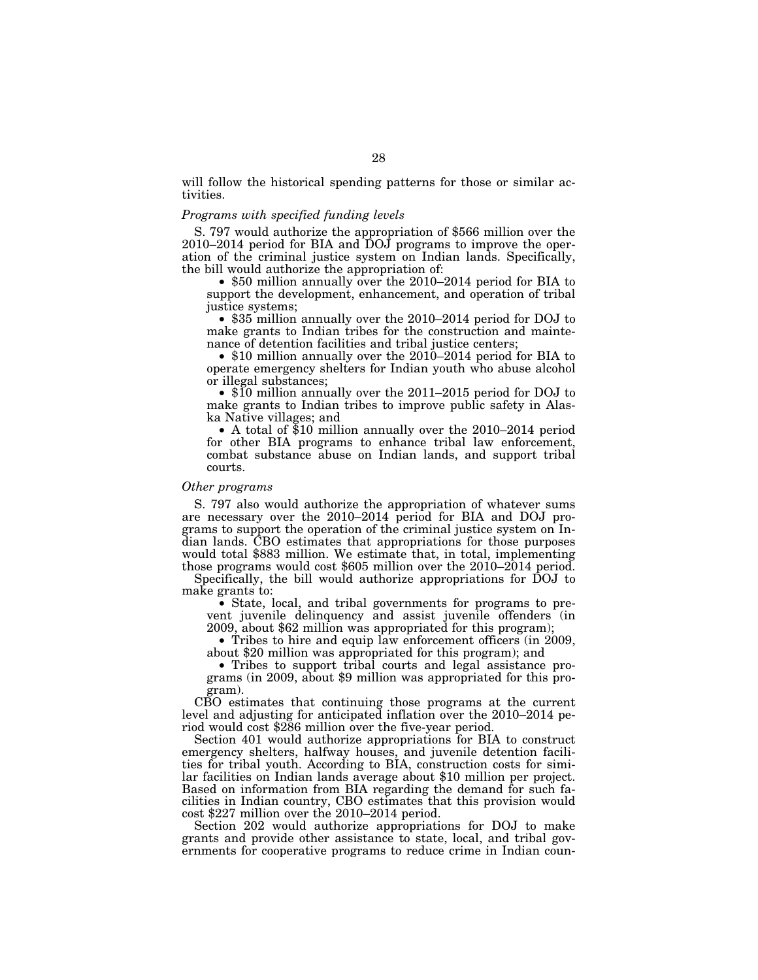will follow the historical spending patterns for those or similar activities.

#### *Programs with specified funding levels*

S. 797 would authorize the appropriation of \$566 million over the 2010–2014 period for BIA and DOJ programs to improve the operation of the criminal justice system on Indian lands. Specifically, the bill would authorize the appropriation of:

• \$50 million annually over the 2010–2014 period for BIA to support the development, enhancement, and operation of tribal justice systems;

• \$35 million annually over the 2010–2014 period for DOJ to make grants to Indian tribes for the construction and maintenance of detention facilities and tribal justice centers;

• \$10 million annually over the 2010–2014 period for BIA to operate emergency shelters for Indian youth who abuse alcohol or illegal substances;

• \$10 million annually over the 2011–2015 period for DOJ to make grants to Indian tribes to improve public safety in Alaska Native villages; and

• A total of \$10 million annually over the 2010–2014 period for other BIA programs to enhance tribal law enforcement, combat substance abuse on Indian lands, and support tribal courts.

#### *Other programs*

S. 797 also would authorize the appropriation of whatever sums are necessary over the 2010–2014 period for BIA and DOJ programs to support the operation of the criminal justice system on Indian lands. CBO estimates that appropriations for those purposes would total \$883 million. We estimate that, in total, implementing those programs would cost \$605 million over the 2010–2014 period.

Specifically, the bill would authorize appropriations for DOJ to make grants to:

• State, local, and tribal governments for programs to prevent juvenile delinquency and assist juvenile offenders (in 2009, about \$62 million was appropriated for this program);

• Tribes to hire and equip law enforcement officers (in 2009, about \$20 million was appropriated for this program); and

• Tribes to support tribal courts and legal assistance programs (in 2009, about \$9 million was appropriated for this program).

CBO estimates that continuing those programs at the current level and adjusting for anticipated inflation over the 2010–2014 period would cost \$286 million over the five-year period.

Section 401 would authorize appropriations for BIA to construct emergency shelters, halfway houses, and juvenile detention facilities for tribal youth. According to BIA, construction costs for similar facilities on Indian lands average about \$10 million per project. Based on information from BIA regarding the demand for such facilities in Indian country, CBO estimates that this provision would cost \$227 million over the 2010–2014 period.

Section 202 would authorize appropriations for DOJ to make grants and provide other assistance to state, local, and tribal governments for cooperative programs to reduce crime in Indian coun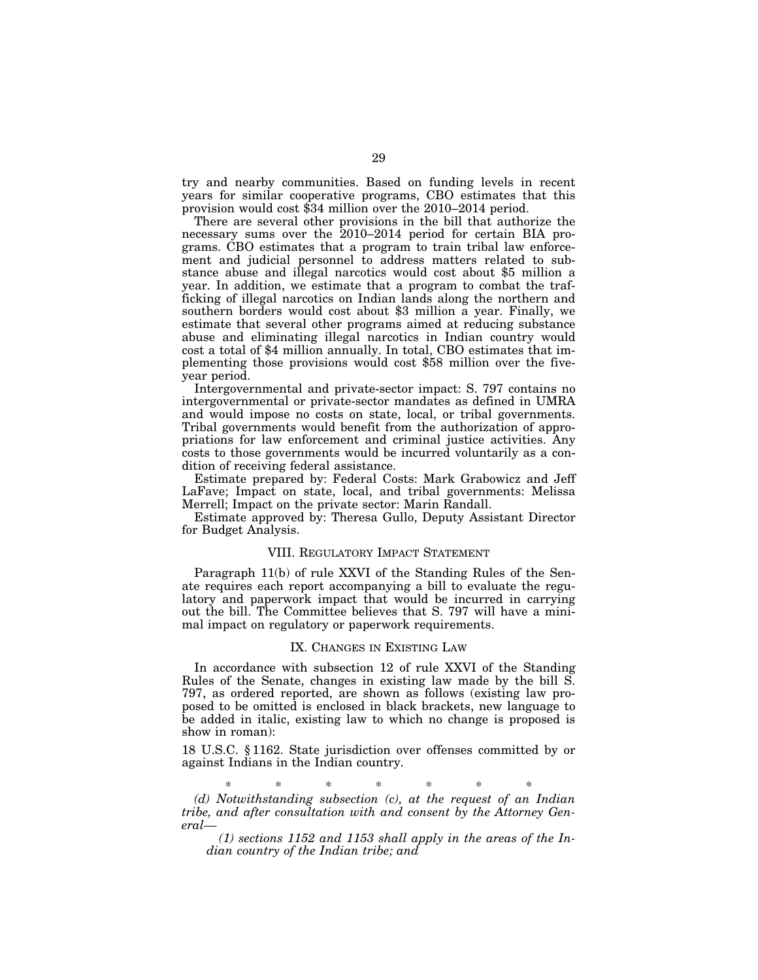try and nearby communities. Based on funding levels in recent years for similar cooperative programs, CBO estimates that this provision would cost \$34 million over the 2010–2014 period.

There are several other provisions in the bill that authorize the necessary sums over the 2010–2014 period for certain BIA programs. CBO estimates that a program to train tribal law enforcement and judicial personnel to address matters related to substance abuse and illegal narcotics would cost about \$5 million a year. In addition, we estimate that a program to combat the trafficking of illegal narcotics on Indian lands along the northern and southern borders would cost about \$3 million a year. Finally, we estimate that several other programs aimed at reducing substance abuse and eliminating illegal narcotics in Indian country would cost a total of \$4 million annually. In total, CBO estimates that implementing those provisions would cost \$58 million over the fiveyear period.

Intergovernmental and private-sector impact: S. 797 contains no intergovernmental or private-sector mandates as defined in UMRA and would impose no costs on state, local, or tribal governments. Tribal governments would benefit from the authorization of appropriations for law enforcement and criminal justice activities. Any costs to those governments would be incurred voluntarily as a condition of receiving federal assistance.

Estimate prepared by: Federal Costs: Mark Grabowicz and Jeff LaFave; Impact on state, local, and tribal governments: Melissa Merrell; Impact on the private sector: Marin Randall.

Estimate approved by: Theresa Gullo, Deputy Assistant Director for Budget Analysis.

#### VIII. REGULATORY IMPACT STATEMENT

Paragraph 11(b) of rule XXVI of the Standing Rules of the Senate requires each report accompanying a bill to evaluate the regulatory and paperwork impact that would be incurred in carrying out the bill. The Committee believes that S. 797 will have a minimal impact on regulatory or paperwork requirements.

#### IX. CHANGES IN EXISTING LAW

In accordance with subsection 12 of rule XXVI of the Standing Rules of the Senate, changes in existing law made by the bill S. 797, as ordered reported, are shown as follows (existing law proposed to be omitted is enclosed in black brackets, new language to be added in italic, existing law to which no change is proposed is show in roman):

18 U.S.C. § 1162. State jurisdiction over offenses committed by or against Indians in the Indian country.

\* \* \* \* \* \* \*

*(d) Notwithstanding subsection (c), at the request of an Indian tribe, and after consultation with and consent by the Attorney General—* 

*(1) sections 1152 and 1153 shall apply in the areas of the Indian country of the Indian tribe; and*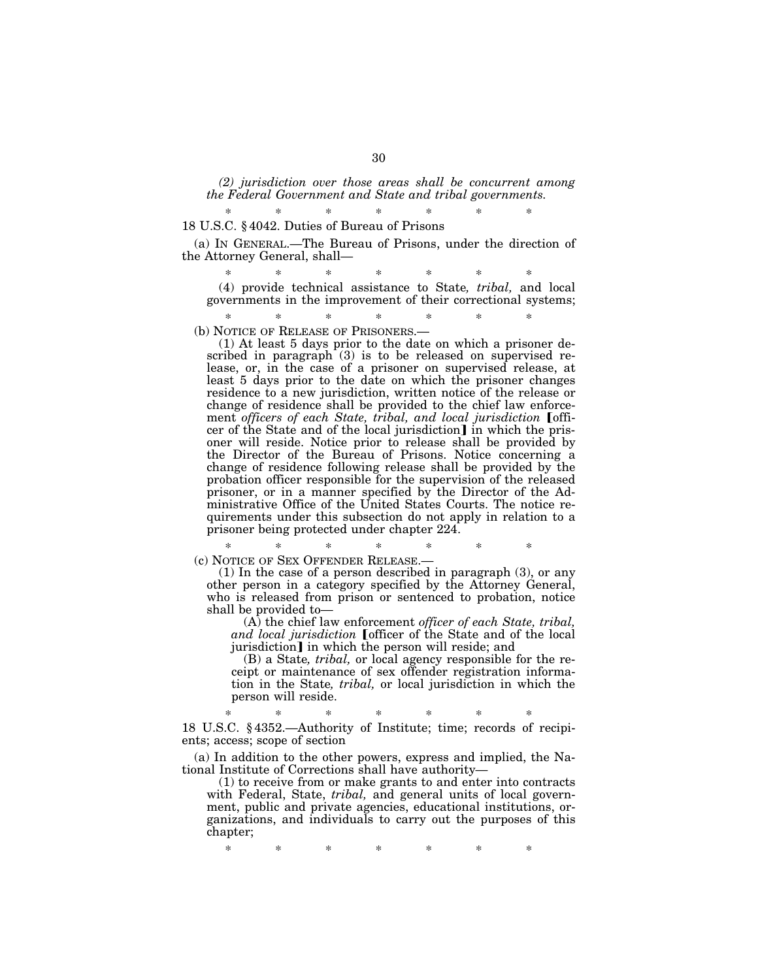*(2) jurisdiction over those areas shall be concurrent among the Federal Government and State and tribal governments.* 

#### \* \* \* \* \* \* \* 18 U.S.C. § 4042. Duties of Bureau of Prisons

(a) IN GENERAL.—The Bureau of Prisons, under the direction of the Attorney General, shall—

\* \* \* \* \* \* \* (4) provide technical assistance to State*, tribal,* and local governments in the improvement of their correctional systems;

\* \* \* \* \* \* \* (b) NOTICE OF RELEASE OF PRISONERS.—

(1) At least 5 days prior to the date on which a prisoner described in paragraph (3) is to be released on supervised release, or, in the case of a prisoner on supervised release, at least 5 days prior to the date on which the prisoner changes residence to a new jurisdiction, written notice of the release or change of residence shall be provided to the chief law enforcement *officers of each State, tribal, and local jurisdiction* [officer of the State and of the local jurisdiction] in which the prisoner will reside. Notice prior to release shall be provided by the Director of the Bureau of Prisons. Notice concerning a change of residence following release shall be provided by the probation officer responsible for the supervision of the released prisoner, or in a manner specified by the Director of the Administrative Office of the United States Courts. The notice requirements under this subsection do not apply in relation to a prisoner being protected under chapter 224.

\* \* \* \* \* \* \* (c) NOTICE OF SEX OFFENDER RELEASE.—

(1) In the case of a person described in paragraph (3), or any other person in a category specified by the Attorney General, who is released from prison or sentenced to probation, notice shall be provided to—

(A) the chief law enforcement *officer of each State, tribal,*  and *local jurisdiction* [officer of the State and of the local jurisdiction] in which the person will reside; and

(B) a State*, tribal,* or local agency responsible for the receipt or maintenance of sex offender registration information in the State*, tribal,* or local jurisdiction in which the person will reside.

\* \* \* \* \* \* \* 18 U.S.C. § 4352.—Authority of Institute; time; records of recipients; access; scope of section

(a) In addition to the other powers, express and implied, the National Institute of Corrections shall have authority—

(1) to receive from or make grants to and enter into contracts with Federal, State, *tribal,* and general units of local government, public and private agencies, educational institutions, organizations, and individuals to carry out the purposes of this chapter;

\* \* \* \* \* \* \*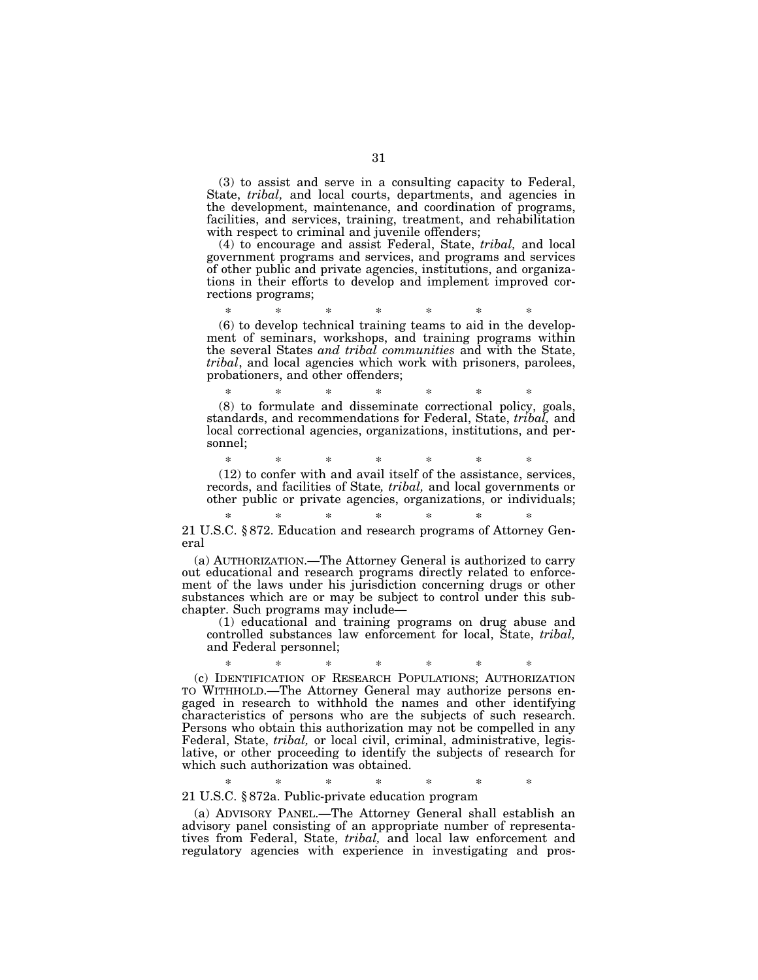(3) to assist and serve in a consulting capacity to Federal, State, *tribal,* and local courts, departments, and agencies in the development, maintenance, and coordination of programs, facilities, and services, training, treatment, and rehabilitation with respect to criminal and juvenile offenders;

(4) to encourage and assist Federal, State, *tribal,* and local government programs and services, and programs and services of other public and private agencies, institutions, and organizations in their efforts to develop and implement improved corrections programs;

\* \* \* \* \* \* \* (6) to develop technical training teams to aid in the development of seminars, workshops, and training programs within the several States *and tribal communities* and with the State, *tribal*, and local agencies which work with prisoners, parolees, probationers, and other offenders;

\* \* \* \* \* \* \* (8) to formulate and disseminate correctional policy, goals, standards, and recommendations for Federal, State, *tribal,* and local correctional agencies, organizations, institutions, and personnel;

\* \* \* \* \* \* \* (12) to confer with and avail itself of the assistance, services, records, and facilities of State*, tribal,* and local governments or other public or private agencies, organizations, or individuals;

\* \* \* \* \* \* \* 21 U.S.C. § 872. Education and research programs of Attorney General

(a) AUTHORIZATION.—The Attorney General is authorized to carry out educational and research programs directly related to enforcement of the laws under his jurisdiction concerning drugs or other substances which are or may be subject to control under this subchapter. Such programs may include—

(1) educational and training programs on drug abuse and controlled substances law enforcement for local, State, *tribal,*  and Federal personnel;

\* \* \* \* \* \* \* (c) IDENTIFICATION OF RESEARCH POPULATIONS; AUTHORIZATION TO WITHHOLD.—The Attorney General may authorize persons engaged in research to withhold the names and other identifying characteristics of persons who are the subjects of such research. Persons who obtain this authorization may not be compelled in any Federal, State, *tribal,* or local civil, criminal, administrative, legislative, or other proceeding to identify the subjects of research for which such authorization was obtained.

\* \* \* \* \* \* \* 21 U.S.C. § 872a. Public-private education program

(a) ADVISORY PANEL.—The Attorney General shall establish an advisory panel consisting of an appropriate number of representatives from Federal, State, *tribal,* and local law enforcement and regulatory agencies with experience in investigating and pros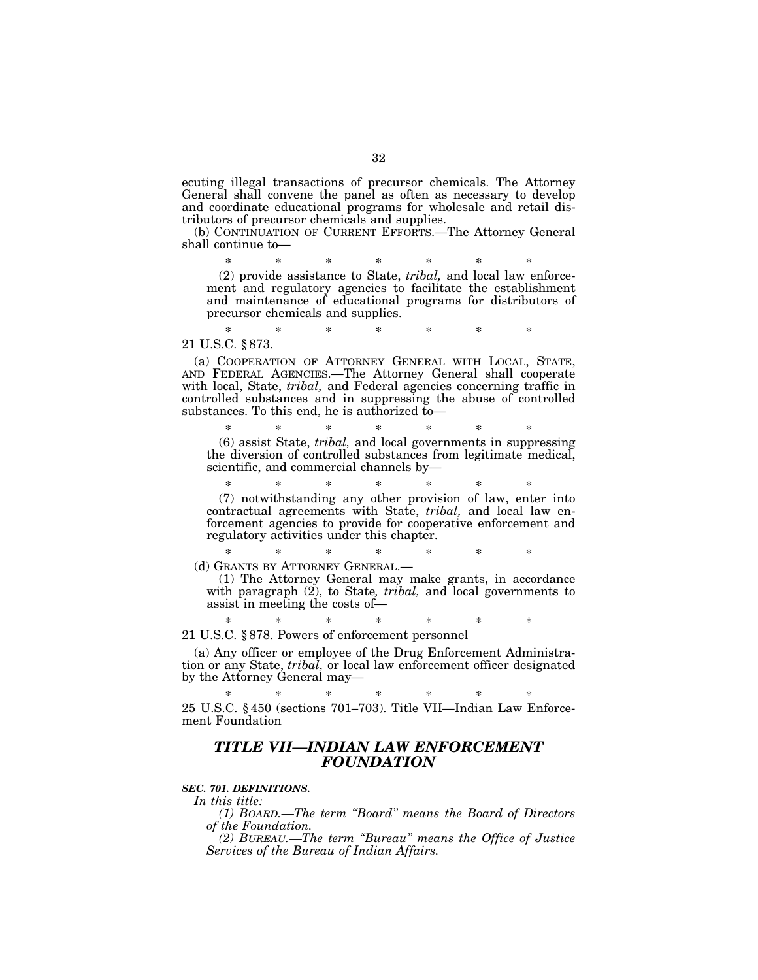ecuting illegal transactions of precursor chemicals. The Attorney General shall convene the panel as often as necessary to develop and coordinate educational programs for wholesale and retail distributors of precursor chemicals and supplies.

(b) CONTINUATION OF CURRENT EFFORTS.—The Attorney General shall continue to—

\* \* \* \* \* \* \* (2) provide assistance to State, *tribal,* and local law enforcement and regulatory agencies to facilitate the establishment and maintenance of educational programs for distributors of precursor chemicals and supplies.

\* \* \* \* \* \* \*

21 U.S.C. § 873.

(a) COOPERATION OF ATTORNEY GENERAL WITH LOCAL, STATE, AND FEDERAL AGENCIES.—The Attorney General shall cooperate with local, State, *tribal,* and Federal agencies concerning traffic in controlled substances and in suppressing the abuse of controlled substances. To this end, he is authorized to—

\* \* \* \* \* \* \* (6) assist State, *tribal,* and local governments in suppressing the diversion of controlled substances from legitimate medical, scientific, and commercial channels by—

\* \* \* \* \* \* \* (7) notwithstanding any other provision of law, enter into contractual agreements with State, *tribal,* and local law enforcement agencies to provide for cooperative enforcement and regulatory activities under this chapter.

\* \* \* \* \* \* \* (d) GRANTS BY ATTORNEY GENERAL.—

(1) The Attorney General may make grants, in accordance with paragraph (2), to State*, tribal,* and local governments to assist in meeting the costs of—

\* \* \* \* \* \* \* 21 U.S.C. § 878. Powers of enforcement personnel

(a) Any officer or employee of the Drug Enforcement Administration or any State, *tribal,* or local law enforcement officer designated by the Attorney General may—

\* \* \* \* \* \* \* 25 U.S.C. § 450 (sections 701–703). Title VII—Indian Law Enforcement Foundation

### *TITLE VII—INDIAN LAW ENFORCEMENT FOUNDATION*

#### *SEC. 701. DEFINITIONS.*

*In this title:* 

*(1) BOARD.—The term ''Board'' means the Board of Directors of the Foundation.* 

*(2) BUREAU.—The term ''Bureau'' means the Office of Justice Services of the Bureau of Indian Affairs.*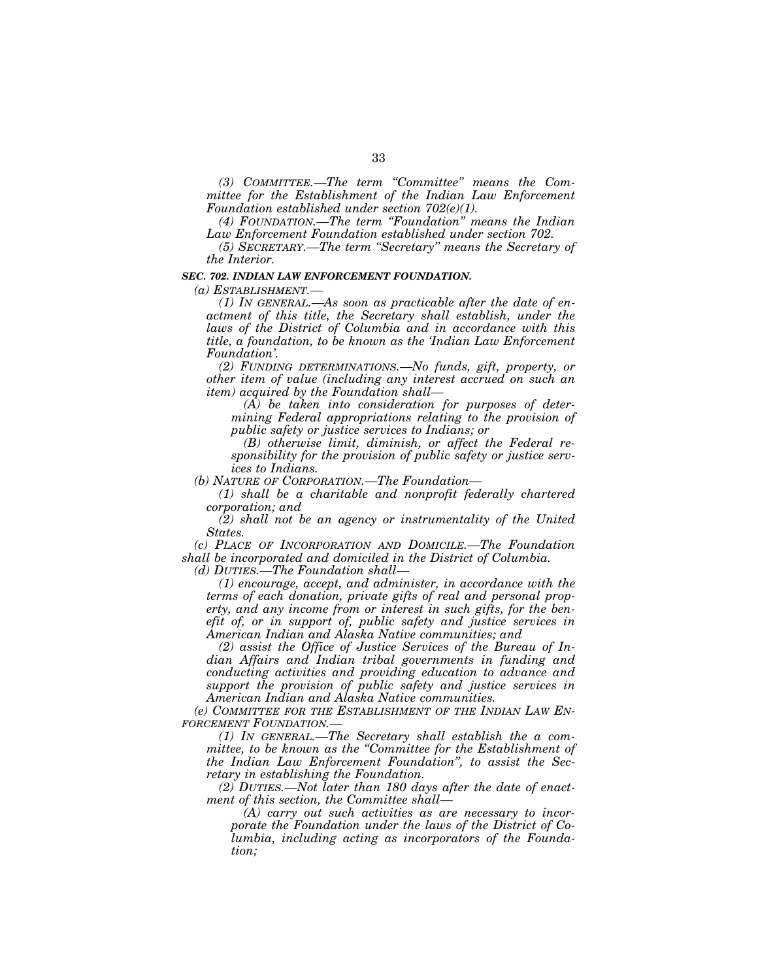*(3) COMMITTEE.—The term ''Committee'' means the Committee for the Establishment of the Indian Law Enforcement Foundation established under section 702(e)(1).* 

*(4) FOUNDATION.—The term ''Foundation'' means the Indian Law Enforcement Foundation established under section 702.* 

*(5) SECRETARY.—The term ''Secretary'' means the Secretary of the Interior.* 

#### *SEC. 702. INDIAN LAW ENFORCEMENT FOUNDATION.*

*(a) ESTABLISHMENT.—* 

*(1) IN GENERAL.—As soon as practicable after the date of enactment of this title, the Secretary shall establish, under the laws of the District of Columbia and in accordance with this title, a foundation, to be known as the 'Indian Law Enforcement Foundation'.* 

*(2) FUNDING DETERMINATIONS.—No funds, gift, property, or other item of value (including any interest accrued on such an item) acquired by the Foundation shall—* 

*(A) be taken into consideration for purposes of determining Federal appropriations relating to the provision of public safety or justice services to Indians; or* 

*(B) otherwise limit, diminish, or affect the Federal responsibility for the provision of public safety or justice services to Indians.* 

*(b) NATURE OF CORPORATION.—The Foundation—* 

*(1) shall be a charitable and nonprofit federally chartered corporation; and* 

*(2) shall not be an agency or instrumentality of the United States.* 

*(c) PLACE OF INCORPORATION AND DOMICILE.—The Foundation shall be incorporated and domiciled in the District of Columbia.* 

*(d) DUTIES.—The Foundation shall—* 

*(1) encourage, accept, and administer, in accordance with the terms of each donation, private gifts of real and personal property, and any income from or interest in such gifts, for the benefit of, or in support of, public safety and justice services in American Indian and Alaska Native communities; and* 

*(2) assist the Office of Justice Services of the Bureau of Indian Affairs and Indian tribal governments in funding and conducting activities and providing education to advance and support the provision of public safety and justice services in American Indian and Alaska Native communities.* 

*(e) COMMITTEE FOR THE ESTABLISHMENT OF THE INDIAN LAW EN-FORCEMENT FOUNDATION.—* 

*(1) IN GENERAL.—The Secretary shall establish the a committee, to be known as the ''Committee for the Establishment of the Indian Law Enforcement Foundation'', to assist the Secretary in establishing the Foundation.* 

*(2) DUTIES.—Not later than 180 days after the date of enactment of this section, the Committee shall—* 

*(A) carry out such activities as are necessary to incorporate the Foundation under the laws of the District of Columbia, including acting as incorporators of the Foundation;*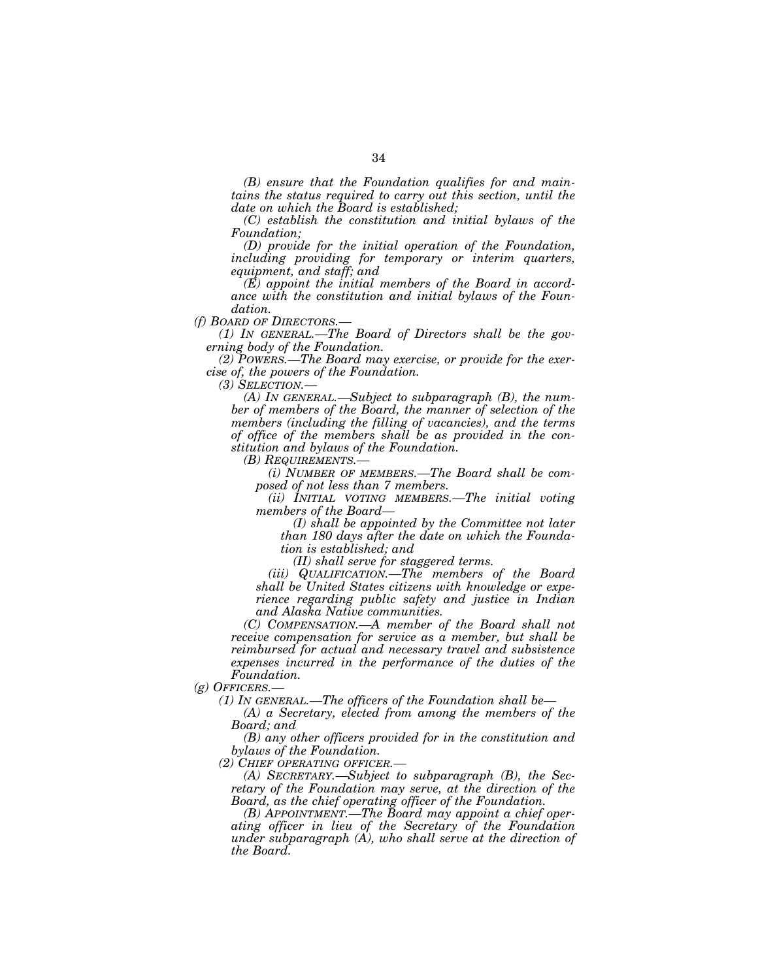*(B) ensure that the Foundation qualifies for and maintains the status required to carry out this section, until the date on which the Board is established;* 

*(C) establish the constitution and initial bylaws of the Foundation;* 

*(D) provide for the initial operation of the Foundation, including providing for temporary or interim quarters, equipment, and staff; and* 

*(E) appoint the initial members of the Board in accordance with the constitution and initial bylaws of the Foundation.* 

*(f) BOARD OF DIRECTORS.—* 

*(1) IN GENERAL.—The Board of Directors shall be the governing body of the Foundation.* 

*(2) POWERS.—The Board may exercise, or provide for the exercise of, the powers of the Foundation.* 

*(3) SELECTION.—* 

*(A) IN GENERAL.—Subject to subparagraph (B), the number of members of the Board, the manner of selection of the members (including the filling of vacancies), and the terms of office of the members shall be as provided in the constitution and bylaws of the Foundation.* 

*(B) REQUIREMENTS.—* 

*(i) NUMBER OF MEMBERS.—The Board shall be composed of not less than 7 members.* 

*(ii) INITIAL VOTING MEMBERS.—The initial voting members of the Board—* 

*(I) shall be appointed by the Committee not later than 180 days after the date on which the Foundation is established; and* 

*(II) shall serve for staggered terms.* 

*(iii) QUALIFICATION.—The members of the Board shall be United States citizens with knowledge or experience regarding public safety and justice in Indian and Alaska Native communities.* 

*(C) COMPENSATION.—A member of the Board shall not receive compensation for service as a member, but shall be reimbursed for actual and necessary travel and subsistence expenses incurred in the performance of the duties of the Foundation.* 

*(g) OFFICERS.—* 

*(1) IN GENERAL.—The officers of the Foundation shall be—* 

*(A) a Secretary, elected from among the members of the Board; and* 

*(B) any other officers provided for in the constitution and bylaws of the Foundation.* 

*(2) CHIEF OPERATING OFFICER.—* 

*(A) SECRETARY.—Subject to subparagraph (B), the Secretary of the Foundation may serve, at the direction of the Board, as the chief operating officer of the Foundation.* 

*(B) APPOINTMENT.—The Board may appoint a chief operating officer in lieu of the Secretary of the Foundation under subparagraph (A), who shall serve at the direction of the Board.*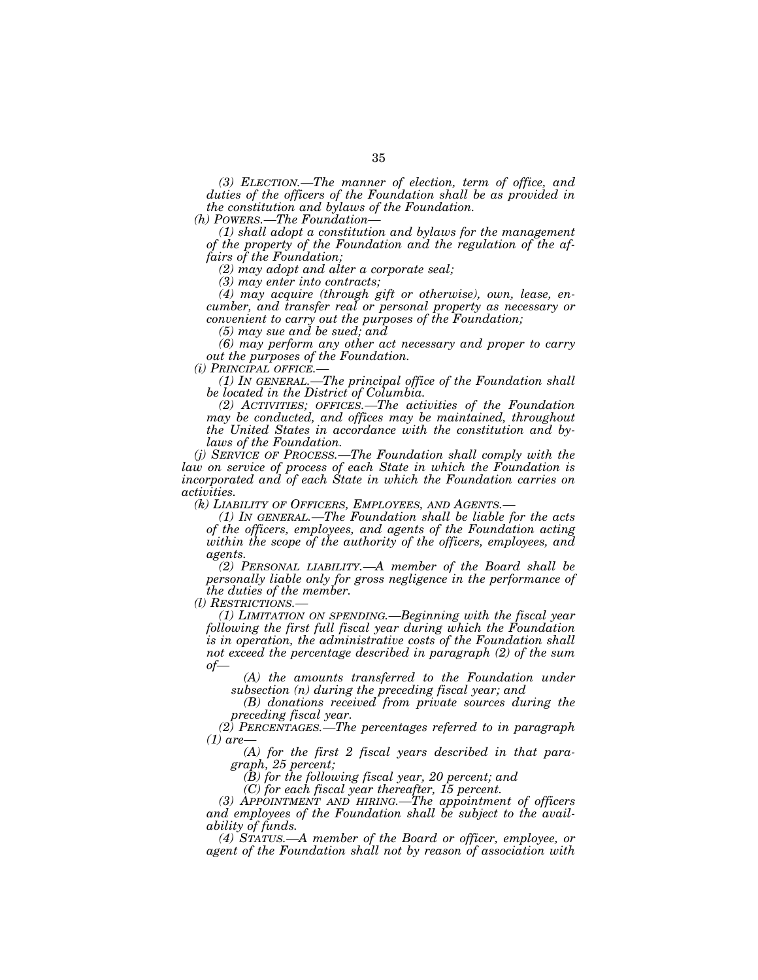*(3) ELECTION.—The manner of election, term of office, and duties of the officers of the Foundation shall be as provided in the constitution and bylaws of the Foundation.* 

*(h) POWERS.—The Foundation—* 

*(1) shall adopt a constitution and bylaws for the management of the property of the Foundation and the regulation of the affairs of the Foundation;* 

*(2) may adopt and alter a corporate seal;* 

*(3) may enter into contracts;* 

*(4) may acquire (through gift or otherwise), own, lease, encumber, and transfer real or personal property as necessary or convenient to carry out the purposes of the Foundation;* 

*(5) may sue and be sued; and* 

*(6) may perform any other act necessary and proper to carry out the purposes of the Foundation.* 

*(i) PRINCIPAL OFFICE.— (1) IN GENERAL.—The principal office of the Foundation shall be located in the District of Columbia.* 

*(2) ACTIVITIES; OFFICES.—The activities of the Foundation may be conducted, and offices may be maintained, throughout the United States in accordance with the constitution and bylaws of the Foundation.* 

*(j) SERVICE OF PROCESS.—The Foundation shall comply with the*  law on service of process of each State in which the Foundation is *incorporated and of each State in which the Foundation carries on activities.*<br>(k) LIABILITY OF OFFICERS, EMPLOYEES, AND AGENTS.—

*(1) In GENERAL.—The Foundation shall be liable for the acts of the officers, employees, and agents of the Foundation acting within the scope of the authority of the officers, employees, and agents.* 

*(2) PERSONAL LIABILITY.—A member of the Board shall be personally liable only for gross negligence in the performance of the duties of the member.*<br>(*l*) *RESTRICTIONS.*—

(1) LIMITATION ON SPENDING.— Beginning with the fiscal year *following the first full fiscal year during which the Foundation is in operation, the administrative costs of the Foundation shall not exceed the percentage described in paragraph (2) of the sum of—* 

*(A) the amounts transferred to the Foundation under subsection (n) during the preceding fiscal year; and* 

*(B) donations received from private sources during the preceding fiscal year.* 

*(2) PERCENTAGES.—The percentages referred to in paragraph (1) are—* 

*(A) for the first 2 fiscal years described in that paragraph, 25 percent;* 

*(B) for the following fiscal year, 20 percent; and* 

*(C) for each fiscal year thereafter, 15 percent.* 

*(3) APPOINTMENT AND HIRING.—The appointment of officers and employees of the Foundation shall be subject to the availability of funds.* 

*(4) STATUS.—A member of the Board or officer, employee, or agent of the Foundation shall not by reason of association with*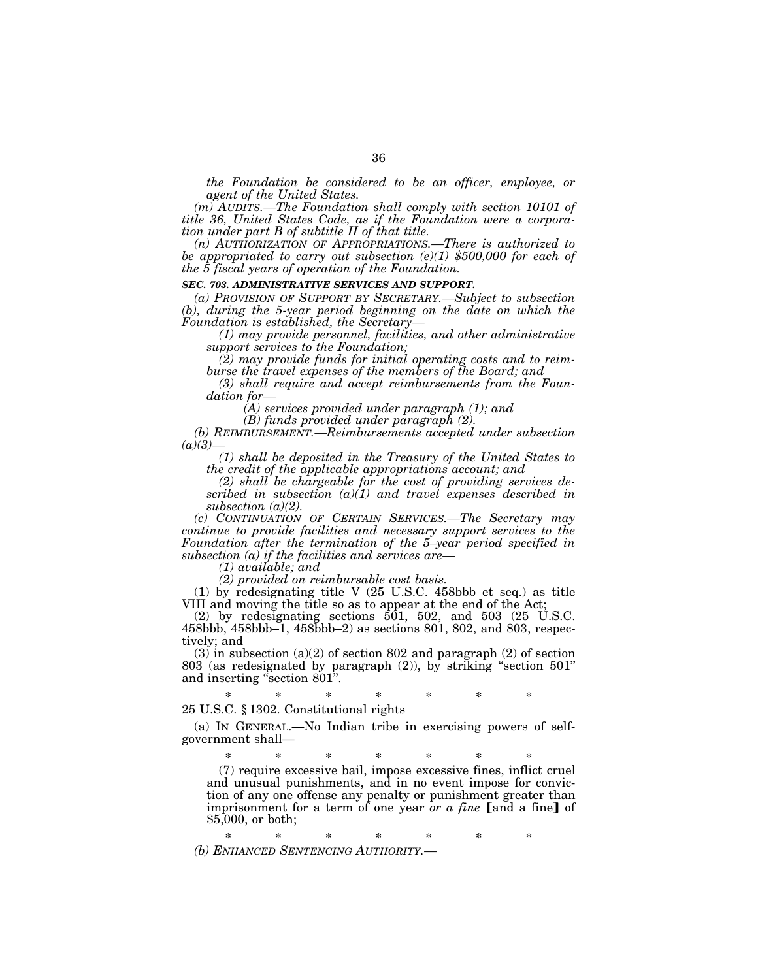*the Foundation be considered to be an officer, employee, or agent of the United States.* 

*(m) AUDITS.—The Foundation shall comply with section 10101 of title 36, United States Code, as if the Foundation were a corporation under part B of subtitle II of that title.* 

*(n) AUTHORIZATION OF APPROPRIATIONS.—There is authorized to be appropriated to carry out subsection (e)(1) \$500,000 for each of the 5 fiscal years of operation of the Foundation.* 

#### *SEC. 703. ADMINISTRATIVE SERVICES AND SUPPORT.*

*(a) PROVISION OF SUPPORT BY SECRETARY.—Subject to subsection (b), during the 5-year period beginning on the date on which the Foundation is established, the Secretary—* 

*(1) may provide personnel, facilities, and other administrative support services to the Foundation;* 

*(2) may provide funds for initial operating costs and to reimburse the travel expenses of the members of the Board; and* 

*(3) shall require and accept reimbursements from the Foundation for—* 

*(A) services provided under paragraph (1); and* 

*(B) funds provided under paragraph (2).* 

*(b) REIMBURSEMENT.—Reimbursements accepted under subsection*   $(a)(3)$ 

*(1) shall be deposited in the Treasury of the United States to the credit of the applicable appropriations account; and* 

*(2) shall be chargeable for the cost of providing services described in subsection (a)(1) and travel expenses described in subsection (a)(2).* 

*(c) CONTINUATION OF CERTAIN SERVICES.—The Secretary may continue to provide facilities and necessary support services to the Foundation after the termination of the 5–year period specified in subsection (a) if the facilities and services are—* 

*(1) available; and* 

*(2) provided on reimbursable cost basis.* 

(1) by redesignating title V (25 U.S.C. 458bbb et seq.) as title VIII and moving the title so as to appear at the end of the Act;

(2) by redesignating sections  $501$ ,  $502$ , and  $503$  (25 U.S.C. 458bbb, 458bbb–1, 458bbb–2) as sections 801, 802, and 803, respectively; and

(3) in subsection (a)(2) of section 802 and paragraph (2) of section 803 (as redesignated by paragraph (2)), by striking ''section 501'' and inserting ''section 801''.

\* \* \* \* \* \* \* 25 U.S.C. § 1302. Constitutional rights

(a) IN GENERAL.—No Indian tribe in exercising powers of selfgovernment shall—

\* \* \* \* \* \* \* (7) require excessive bail, impose excessive fines, inflict cruel and unusual punishments, and in no event impose for conviction of any one offense any penalty or punishment greater than imprisonment for a term of one year *or a fine* [and a fine] of \$5,000, or both;

\* \* \* \* \* \* \* *(b) ENHANCED SENTENCING AUTHORITY.—*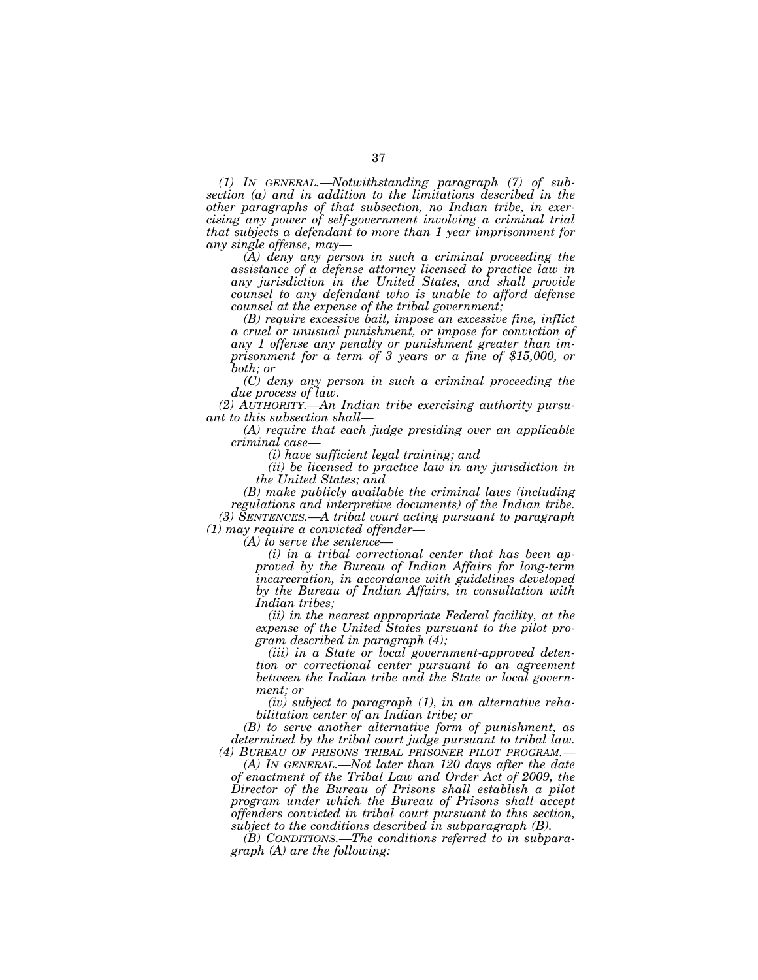*(1) IN GENERAL.—Notwithstanding paragraph (7) of subsection (a) and in addition to the limitations described in the other paragraphs of that subsection, no Indian tribe, in exercising any power of self-government involving a criminal trial that subjects a defendant to more than 1 year imprisonment for any single offense, may—* 

*(A) deny any person in such a criminal proceeding the assistance of a defense attorney licensed to practice law in any jurisdiction in the United States, and shall provide counsel to any defendant who is unable to afford defense counsel at the expense of the tribal government;* 

*(B) require excessive bail, impose an excessive fine, inflict a cruel or unusual punishment, or impose for conviction of any 1 offense any penalty or punishment greater than imprisonment for a term of 3 years or a fine of \$15,000, or both; or* 

*(C) deny any person in such a criminal proceeding the due process of law.* 

*(2) AUTHORITY.—An Indian tribe exercising authority pursuant to this subsection shall—* 

*(A) require that each judge presiding over an applicable criminal case—* 

*(i) have sufficient legal training; and* 

*(ii) be licensed to practice law in any jurisdiction in the United States; and* 

*(B) make publicly available the criminal laws (including regulations and interpretive documents) of the Indian tribe. (3) SENTENCES.—A tribal court acting pursuant to paragraph (1) may require a convicted offender—* 

*(A) to serve the sentence—* 

*(i) in a tribal correctional center that has been approved by the Bureau of Indian Affairs for long-term incarceration, in accordance with guidelines developed by the Bureau of Indian Affairs, in consultation with Indian tribes;* 

*(ii) in the nearest appropriate Federal facility, at the expense of the United States pursuant to the pilot program described in paragraph (4);* 

*(iii) in a State or local government-approved detention or correctional center pursuant to an agreement between the Indian tribe and the State or local government; or* 

*(iv) subject to paragraph (1), in an alternative rehabilitation center of an Indian tribe; or* 

*(B) to serve another alternative form of punishment, as determined by the tribal court judge pursuant to tribal law. (4) BUREAU OF PRISONS TRIBAL PRISONER PILOT PROGRAM.—* 

*(A) IN GENERAL.—Not later than 120 days after the date of enactment of the Tribal Law and Order Act of 2009, the Director of the Bureau of Prisons shall establish a pilot program under which the Bureau of Prisons shall accept offenders convicted in tribal court pursuant to this section, subject to the conditions described in subparagraph (B).* 

*(B) CONDITIONS.—The conditions referred to in subparagraph (A) are the following:*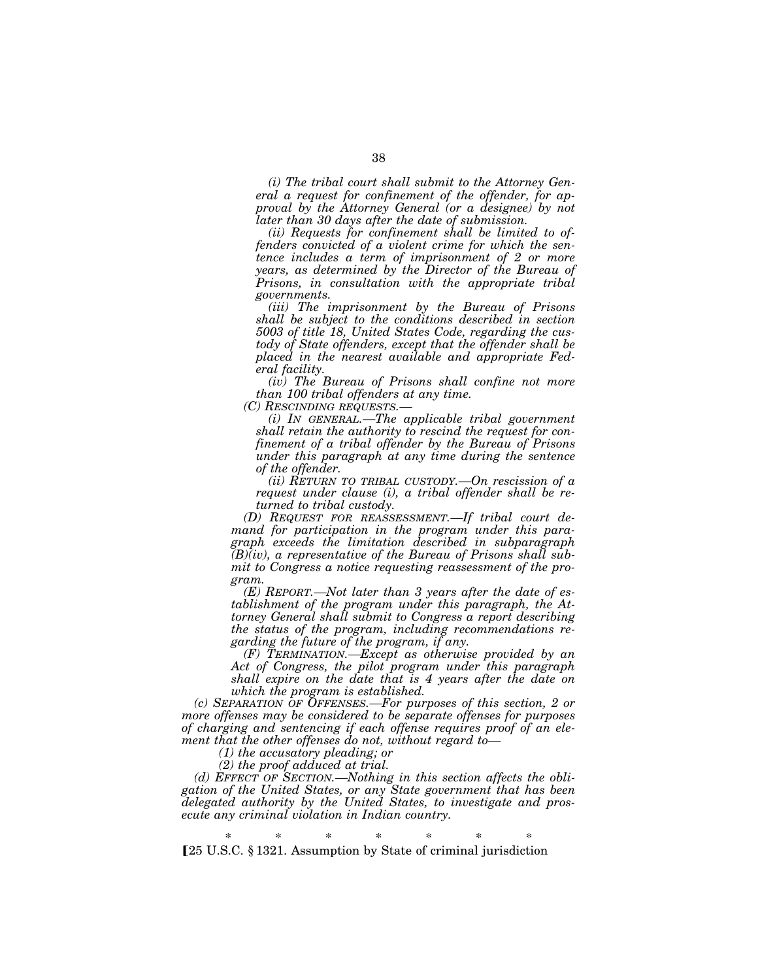*(i) The tribal court shall submit to the Attorney General a request for confinement of the offender, for approval by the Attorney General (or a designee) by not later than 30 days after the date of submission.* 

*(ii) Requests for confinement shall be limited to offenders convicted of a violent crime for which the sentence includes a term of imprisonment of 2 or more years, as determined by the Director of the Bureau of Prisons, in consultation with the appropriate tribal governments.* 

*(iii) The imprisonment by the Bureau of Prisons shall be subject to the conditions described in section 5003 of title 18, United States Code, regarding the custody of State offenders, except that the offender shall be placed in the nearest available and appropriate Federal facility.* 

*(iv) The Bureau of Prisons shall confine not more than 100 tribal offenders at any time.* 

*(i) IN GENERAL.—The applicable tribal government shall retain the authority to rescind the request for confinement of a tribal offender by the Bureau of Prisons under this paragraph at any time during the sentence of the offender.* 

*(ii) RETURN TO TRIBAL CUSTODY.—On rescission of a request under clause (i), a tribal offender shall be returned to tribal custody.* 

*(D) REQUEST FOR REASSESSMENT.—If tribal court demand for participation in the program under this paragraph exceeds the limitation described in subparagraph (B)(iv), a representative of the Bureau of Prisons shall submit to Congress a notice requesting reassessment of the program.* 

*(E) REPORT.—Not later than 3 years after the date of establishment of the program under this paragraph, the Attorney General shall submit to Congress a report describing the status of the program, including recommendations regarding the future of the program, if any.* 

*(F) TERMINATION.—Except as otherwise provided by an Act of Congress, the pilot program under this paragraph shall expire on the date that is 4 years after the date on which the program is established.* 

*(c) SEPARATION OF OFFENSES.—For purposes of this section, 2 or more offenses may be considered to be separate offenses for purposes of charging and sentencing if each offense requires proof of an element that the other offenses do not, without regard to—* 

*(1) the accusatory pleading; or* 

*(2) the proof adduced at trial.* 

*(d) EFFECT OF SECTION.—Nothing in this section affects the obligation of the United States, or any State government that has been delegated authority by the United States, to investigate and prosecute any criminal violation in Indian country.* 

\* \* \* \* \* \* \* ø25 U.S.C. § 1321. Assumption by State of criminal jurisdiction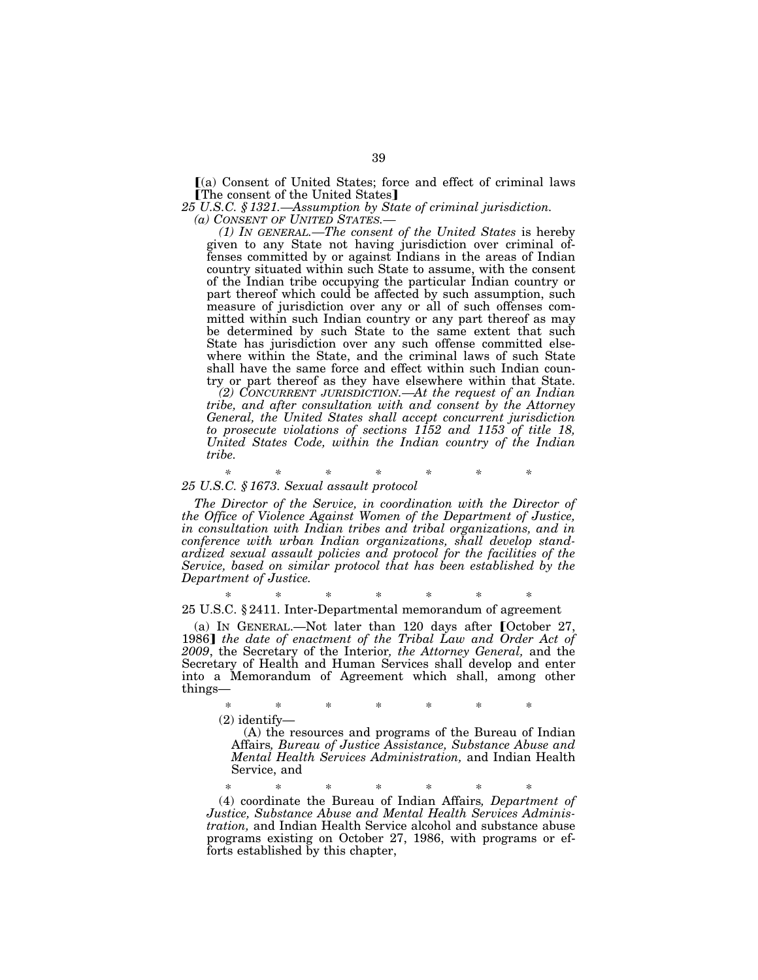$(a)$  Consent of United States; force and effect of criminal laws **[The consent of the United States]** 

*25 U.S.C. § 1321.—Assumption by State of criminal jurisdiction.* 

*(1) In GENERAL.—The consent of the United States* is hereby given to any State not having jurisdiction over criminal offenses committed by or against Indians in the areas of Indian country situated within such State to assume, with the consent of the Indian tribe occupying the particular Indian country or part thereof which could be affected by such assumption, such measure of jurisdiction over any or all of such offenses committed within such Indian country or any part thereof as may be determined by such State to the same extent that such State has jurisdiction over any such offense committed elsewhere within the State, and the criminal laws of such State shall have the same force and effect within such Indian country or part thereof as they have elsewhere within that State.

*(2) CONCURRENT JURISDICTION.—At the request of an Indian tribe, and after consultation with and consent by the Attorney General, the United States shall accept concurrent jurisdiction to prosecute violations of sections 1152 and 1153 of title 18, United States Code, within the Indian country of the Indian tribe.* 

## *\* \* \* \* \* \* \* 25 U.S.C. § 1673. Sexual assault protocol*

*The Director of the Service, in coordination with the Director of the Office of Violence Against Women of the Department of Justice, in consultation with Indian tribes and tribal organizations, and in conference with urban Indian organizations, shall develop standardized sexual assault policies and protocol for the facilities of the Service, based on similar protocol that has been established by the Department of Justice.* 

\* \* \* \* \* \* \* 25 U.S.C. § 2411. Inter-Departmental memorandum of agreement

(a) IN GENERAL.—Not later than  $120$  days after [October 27, 1986**]** the date of enactment of the Tribal Law and Order Act of *2009*, the Secretary of the Interior*, the Attorney General,* and the Secretary of Health and Human Services shall develop and enter into a Memorandum of Agreement which shall, among other things—

\* \* \* \* \* \* \*

(2) identify—

(A) the resources and programs of the Bureau of Indian Affairs*, Bureau of Justice Assistance, Substance Abuse and Mental Health Services Administration,* and Indian Health Service, and

\* \* \* \* \* \* \*

(4) coordinate the Bureau of Indian Affairs*, Department of Justice, Substance Abuse and Mental Health Services Administration,* and Indian Health Service alcohol and substance abuse programs existing on October 27, 1986, with programs or efforts established by this chapter,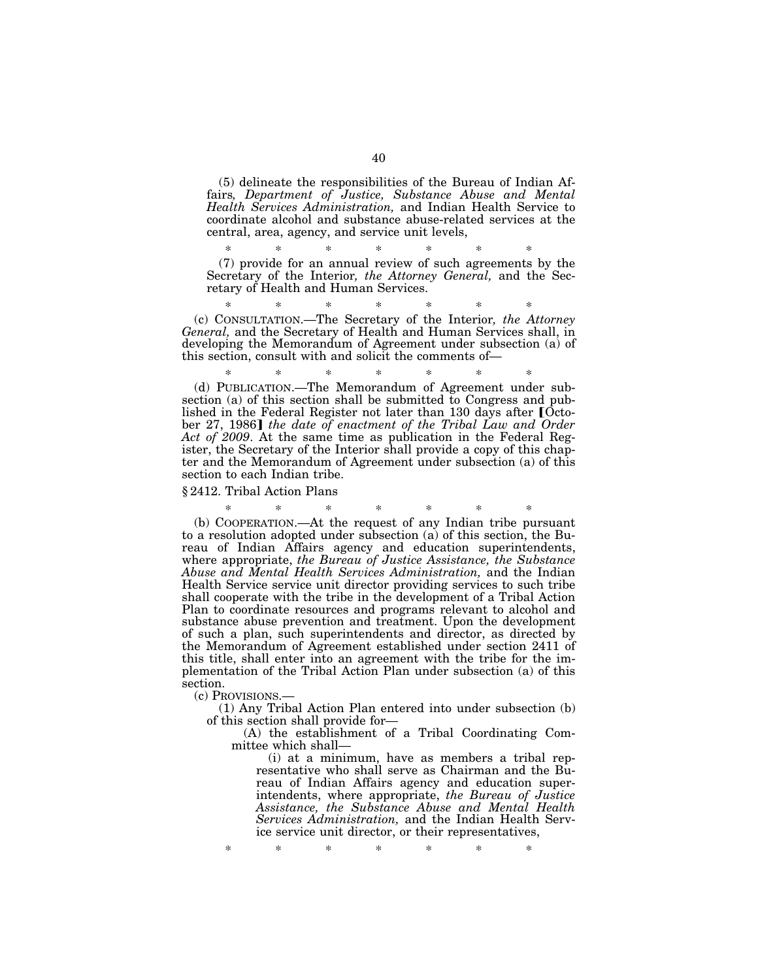(5) delineate the responsibilities of the Bureau of Indian Affairs*, Department of Justice, Substance Abuse and Mental Health Services Administration,* and Indian Health Service to coordinate alcohol and substance abuse-related services at the central, area, agency, and service unit levels,

\* \* \* \* \* \* \* (7) provide for an annual review of such agreements by the Secretary of the Interior*, the Attorney General,* and the Secretary of Health and Human Services.

\* \* \* \* \* \* \* (c) CONSULTATION.—The Secretary of the Interior*, the Attorney General,* and the Secretary of Health and Human Services shall, in developing the Memorandum of Agreement under subsection (a) of this section, consult with and solicit the comments of—

\* \* \* \* \* \* \* (d) PUBLICATION.—The Memorandum of Agreement under subsection (a) of this section shall be submitted to Congress and published in the Federal Register not later than 130 days after [October 27, 1986] the date of enactment of the Tribal Law and Order *Act of 2009*. At the same time as publication in the Federal Register, the Secretary of the Interior shall provide a copy of this chapter and the Memorandum of Agreement under subsection (a) of this section to each Indian tribe.

§ 2412. Tribal Action Plans

\* \* \* \* \* \* \* (b) COOPERATION.—At the request of any Indian tribe pursuant to a resolution adopted under subsection (a) of this section, the Bureau of Indian Affairs agency and education superintendents, where appropriate, *the Bureau of Justice Assistance, the Substance Abuse and Mental Health Services Administration,* and the Indian Health Service service unit director providing services to such tribe shall cooperate with the tribe in the development of a Tribal Action Plan to coordinate resources and programs relevant to alcohol and substance abuse prevention and treatment. Upon the development of such a plan, such superintendents and director, as directed by the Memorandum of Agreement established under section 2411 of this title, shall enter into an agreement with the tribe for the implementation of the Tribal Action Plan under subsection (a) of this section.

(c) PROVISIONS.—

(1) Any Tribal Action Plan entered into under subsection (b) of this section shall provide for—

(A) the establishment of a Tribal Coordinating Committee which shall—

(i) at a minimum, have as members a tribal representative who shall serve as Chairman and the Bureau of Indian Affairs agency and education superintendents, where appropriate, *the Bureau of Justice Assistance, the Substance Abuse and Mental Health Services Administration,* and the Indian Health Service service unit director, or their representatives,

\* \* \* \* \* \* \*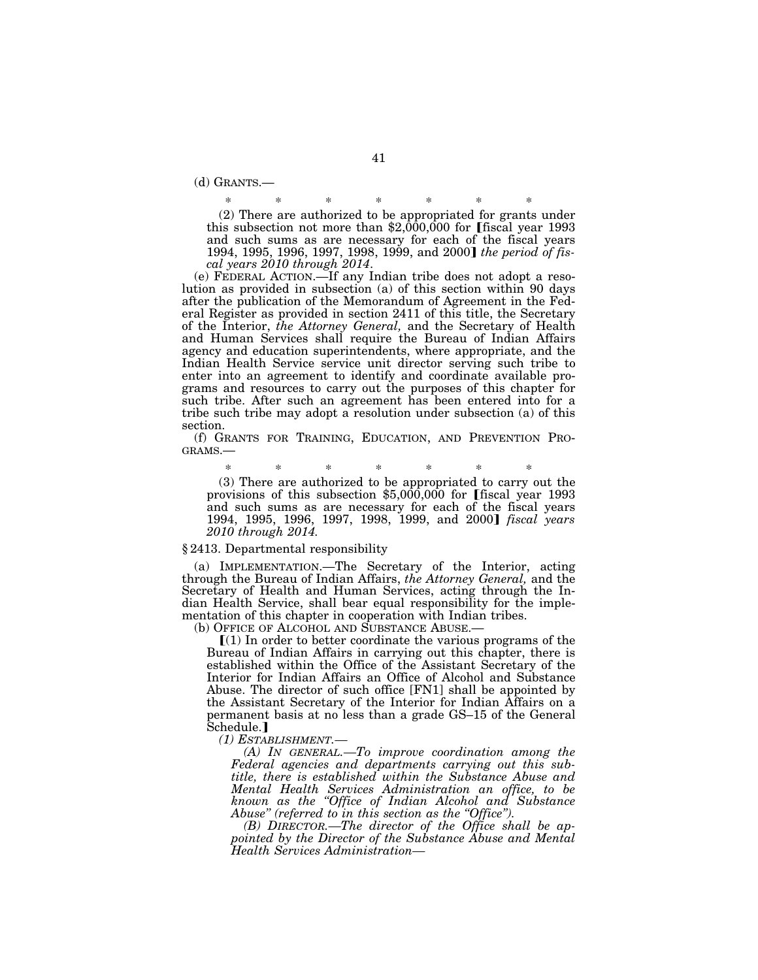(d) GRANTS.—

\* \* \* \* \* \* \* (2) There are authorized to be appropriated for grants under this subsection not more than  $$2,000,000$  for [fiscal year 1993 and such sums as are necessary for each of the fiscal years 1994, 1995, 1996, 1997, 1998, 1999, and 2000] the period of fis*cal years 2010 through 2014*.

(e) FEDERAL ACTION.—If any Indian tribe does not adopt a resolution as provided in subsection (a) of this section within 90 days after the publication of the Memorandum of Agreement in the Federal Register as provided in section 2411 of this title, the Secretary of the Interior, *the Attorney General,* and the Secretary of Health and Human Services shall require the Bureau of Indian Affairs agency and education superintendents, where appropriate, and the Indian Health Service service unit director serving such tribe to enter into an agreement to identify and coordinate available programs and resources to carry out the purposes of this chapter for such tribe. After such an agreement has been entered into for a tribe such tribe may adopt a resolution under subsection (a) of this section.

(f) GRANTS FOR TRAINING, EDUCATION, AND PREVENTION PRO-GRAMS.—

\* \* \* \* \* \* \* (3) There are authorized to be appropriated to carry out the provisions of this subsection  $$5,000,000$  for [fiscal year 1993 and such sums as are necessary for each of the fiscal years 1994, 1995, 1996, 1997, 1998, 1999, and 2000¿ *fiscal years 2010 through 2014.* 

#### § 2413. Departmental responsibility

(a) IMPLEMENTATION.—The Secretary of the Interior, acting through the Bureau of Indian Affairs, *the Attorney General,* and the Secretary of Health and Human Services, acting through the Indian Health Service, shall bear equal responsibility for the implementation of this chapter in cooperation with Indian tribes.

(b) OFFICE OF ALCOHOL AND SUBSTANCE ABUSE.—

 $[(1)$  In order to better coordinate the various programs of the Bureau of Indian Affairs in carrying out this chapter, there is established within the Office of the Assistant Secretary of the Interior for Indian Affairs an Office of Alcohol and Substance Abuse. The director of such office [FN1] shall be appointed by the Assistant Secretary of the Interior for Indian Affairs on a permanent basis at no less than a grade GS–15 of the General  $\operatorname{Schedule}.$   $\blacksquare$ 

*(1) ESTABLISHMENT.—* 

*(A) IN GENERAL.—To improve coordination among the Federal agencies and departments carrying out this subtitle, there is established within the Substance Abuse and Mental Health Services Administration an office, to be known as the ''Office of Indian Alcohol and Substance Abuse'' (referred to in this section as the ''Office'').* 

*(B) DIRECTOR.—The director of the Office shall be appointed by the Director of the Substance Abuse and Mental Health Services Administration—*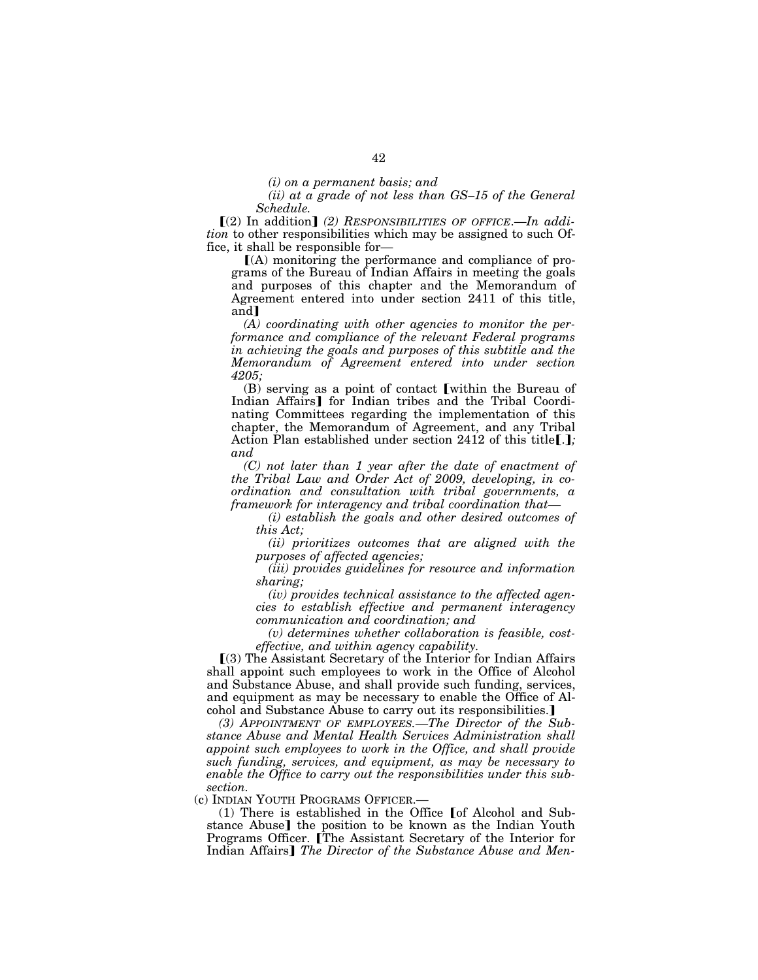*(ii) at a grade of not less than GS–15 of the General Schedule.* 

**[(2)** In addition] (2) RESPONSIBILITIES OF OFFICE.—In addi*tion* to other responsibilities which may be assigned to such Office, it shall be responsible for—

 $(A)$  monitoring the performance and compliance of programs of the Bureau of Indian Affairs in meeting the goals and purposes of this chapter and the Memorandum of Agreement entered into under section 2411 of this title, and<sup>1</sup>

*(A) coordinating with other agencies to monitor the performance and compliance of the relevant Federal programs in achieving the goals and purposes of this subtitle and the Memorandum of Agreement entered into under section 4205;* 

 $(B)$  serving as a point of contact [within the Bureau of Indian Affairs<sup>]</sup> for Indian tribes and the Tribal Coordinating Committees regarding the implementation of this chapter, the Memorandum of Agreement, and any Tribal Action Plan established under section 2412 of this title[.]; *and* 

*(C) not later than 1 year after the date of enactment of the Tribal Law and Order Act of 2009, developing, in coordination and consultation with tribal governments, a framework for interagency and tribal coordination that—* 

*(i) establish the goals and other desired outcomes of this Act;* 

*(ii) prioritizes outcomes that are aligned with the purposes of affected agencies;* 

*(iii) provides guidelines for resource and information sharing;* 

*(iv) provides technical assistance to the affected agencies to establish effective and permanent interagency communication and coordination; and* 

*(v) determines whether collaboration is feasible, costeffective, and within agency capability.* 

ø(3) The Assistant Secretary of the Interior for Indian Affairs shall appoint such employees to work in the Office of Alcohol and Substance Abuse, and shall provide such funding, services, and equipment as may be necessary to enable the Office of Alcohol and Substance Abuse to carry out its responsibilities.

*(3) APPOINTMENT OF EMPLOYEES.—The Director of the Substance Abuse and Mental Health Services Administration shall appoint such employees to work in the Office, and shall provide such funding, services, and equipment, as may be necessary to enable the Office to carry out the responsibilities under this subsection.* 

(c) INDIAN YOUTH PROGRAMS OFFICER.—

(1) There is established in the Office  $\lceil \cdot \rceil$  Alcohol and Substance Abuse] the position to be known as the Indian Youth Programs Officer. The Assistant Secretary of the Interior for Indian Affairs] The Director of the Substance Abuse and Men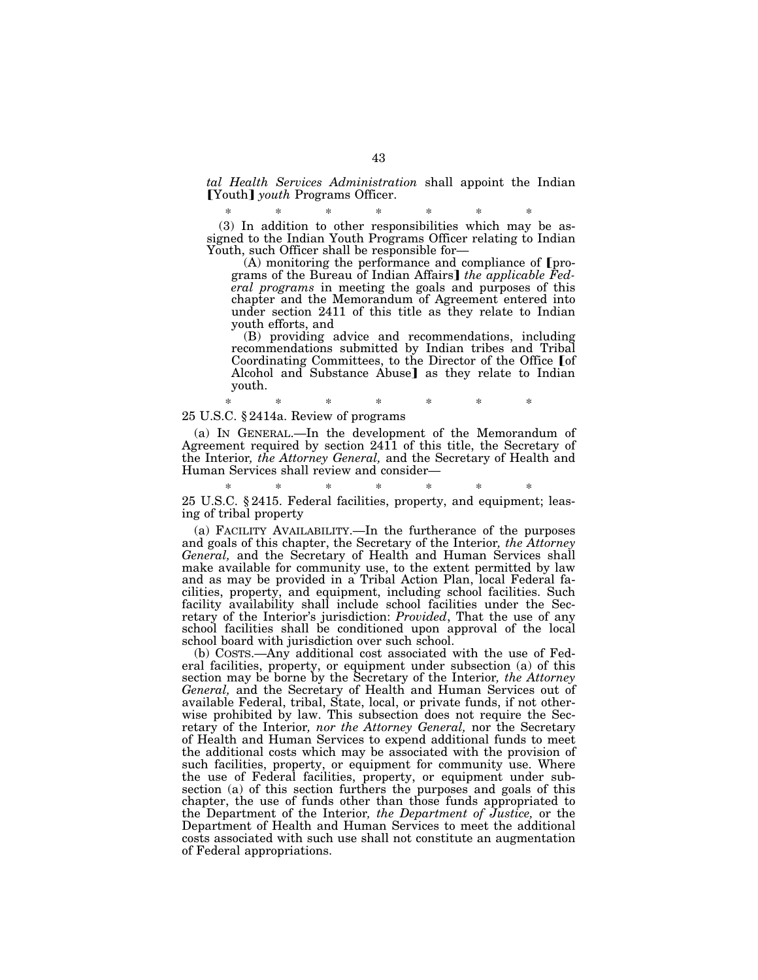*tal Health Services Administration* shall appoint the Indian **[Youth]** *youth* Programs Officer.

\* \* \* \* \* \* \* (3) In addition to other responsibilities which may be assigned to the Indian Youth Programs Officer relating to Indian Youth, such Officer shall be responsible for—

 $(A)$  monitoring the performance and compliance of [programs of the Bureau of Indian Affairs] the applicable Fed*eral programs* in meeting the goals and purposes of this chapter and the Memorandum of Agreement entered into under section 2411 of this title as they relate to Indian youth efforts, and

(B) providing advice and recommendations, including recommendations submitted by Indian tribes and Tribal Coordinating Committees, to the Director of the Office [of Alcohol and Substance Abuse] as they relate to Indian youth.

#### \* \* \* \* \* \* \* 25 U.S.C. § 2414a. Review of programs

(a) IN GENERAL.—In the development of the Memorandum of Agreement required by section 2411 of this title, the Secretary of the Interior*, the Attorney General,* and the Secretary of Health and Human Services shall review and consider—

# \* \* \* \* \* \* \*

25 U.S.C. § 2415. Federal facilities, property, and equipment; leasing of tribal property

(a) FACILITY AVAILABILITY.—In the furtherance of the purposes and goals of this chapter, the Secretary of the Interior*, the Attorney General,* and the Secretary of Health and Human Services shall make available for community use, to the extent permitted by law and as may be provided in a Tribal Action Plan, local Federal facilities, property, and equipment, including school facilities. Such facility availability shall include school facilities under the Secretary of the Interior's jurisdiction: *Provided*, That the use of any school facilities shall be conditioned upon approval of the local school board with jurisdiction over such school.

(b) COSTS.—Any additional cost associated with the use of Federal facilities, property, or equipment under subsection (a) of this section may be borne by the Secretary of the Interior*, the Attorney General,* and the Secretary of Health and Human Services out of available Federal, tribal, State, local, or private funds, if not otherwise prohibited by law. This subsection does not require the Secretary of the Interior*, nor the Attorney General,* nor the Secretary of Health and Human Services to expend additional funds to meet the additional costs which may be associated with the provision of such facilities, property, or equipment for community use. Where the use of Federal facilities, property, or equipment under subsection (a) of this section furthers the purposes and goals of this chapter, the use of funds other than those funds appropriated to the Department of the Interior*, the Department of Justice,* or the Department of Health and Human Services to meet the additional costs associated with such use shall not constitute an augmentation of Federal appropriations.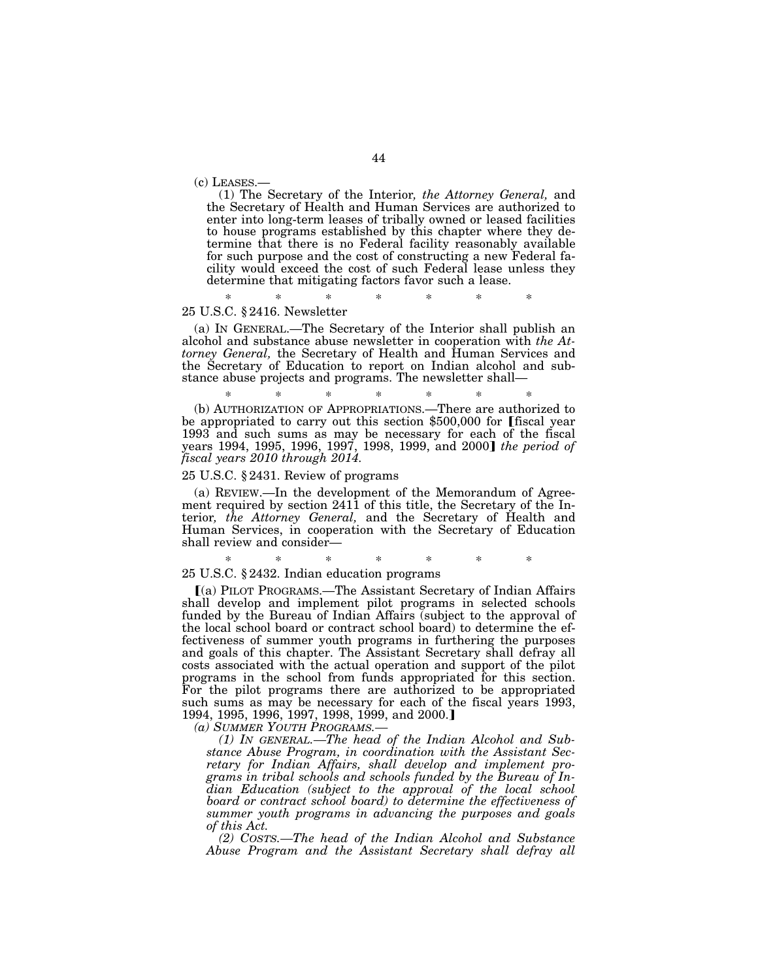(c) LEASES.— (1) The Secretary of the Interior*, the Attorney General,* and the Secretary of Health and Human Services are authorized to enter into long-term leases of tribally owned or leased facilities to house programs established by this chapter where they determine that there is no Federal facility reasonably available for such purpose and the cost of constructing a new Federal facility would exceed the cost of such Federal lease unless they determine that mitigating factors favor such a lease.

\* \* \* \* \* \* \* 25 U.S.C. § 2416. Newsletter

(a) IN GENERAL.—The Secretary of the Interior shall publish an alcohol and substance abuse newsletter in cooperation with *the Attorney General,* the Secretary of Health and Human Services and the Secretary of Education to report on Indian alcohol and substance abuse projects and programs. The newsletter shall—

\* \* \* \* \* \* \* (b) AUTHORIZATION OF APPROPRIATIONS.—There are authorized to be appropriated to carry out this section  $$500,000$  for [fiscal year 1993 and such sums as may be necessary for each of the fiscal years 1994, 1995, 1996, 1997, 1998, 1999, and 2000¿ *the period of fiscal years 2010 through 2014.* 

# 25 U.S.C. § 2431. Review of programs

(a) REVIEW.—In the development of the Memorandum of Agreement required by section 2411 of this title, the Secretary of the Interior*, the Attorney General,* and the Secretary of Health and Human Services, in cooperation with the Secretary of Education shall review and consider—

\* \* \* \* \* \* \*

# 25 U.S.C. § 2432. Indian education programs

ø(a) PILOT PROGRAMS.—The Assistant Secretary of Indian Affairs shall develop and implement pilot programs in selected schools funded by the Bureau of Indian Affairs (subject to the approval of the local school board or contract school board) to determine the effectiveness of summer youth programs in furthering the purposes and goals of this chapter. The Assistant Secretary shall defray all costs associated with the actual operation and support of the pilot programs in the school from funds appropriated for this section. For the pilot programs there are authorized to be appropriated such sums as may be necessary for each of the fiscal years 1993, 1994, 1995, 1996, 1997, 1998, 1999, and 2000.

*(a) SUMMER YOUTH PROGRAMS.—* 

*(1) IN GENERAL.—The head of the Indian Alcohol and Substance Abuse Program, in coordination with the Assistant Secretary for Indian Affairs, shall develop and implement programs in tribal schools and schools funded by the Bureau of Indian Education (subject to the approval of the local school board or contract school board) to determine the effectiveness of summer youth programs in advancing the purposes and goals of this Act.* 

*(2) COSTS.—The head of the Indian Alcohol and Substance Abuse Program and the Assistant Secretary shall defray all*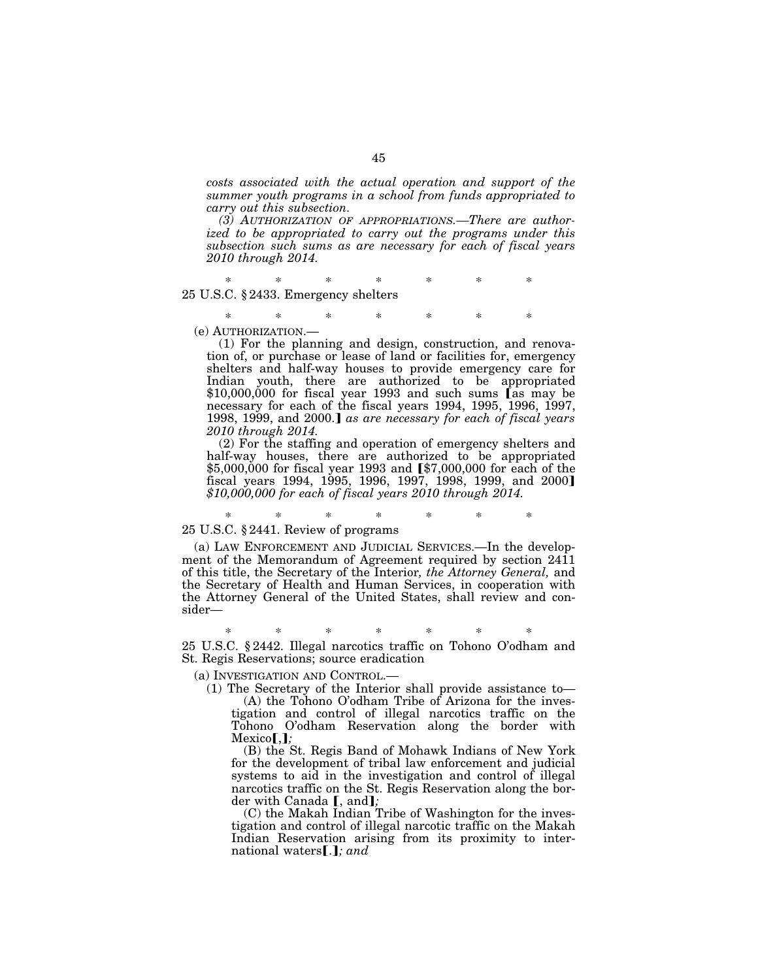*costs associated with the actual operation and support of the summer youth programs in a school from funds appropriated to carry out this subsection.* 

*(3) AUTHORIZATION OF APPROPRIATIONS.—There are authorized to be appropriated to carry out the programs under this subsection such sums as are necessary for each of fiscal years 2010 through 2014.* 

\* \* \* \* \* \* \* 25 U.S.C. § 2433. Emergency shelters

\* \* \* \* \* \* \* (e) AUTHORIZATION.—

(1) For the planning and design, construction, and renovation of, or purchase or lease of land or facilities for, emergency shelters and half-way houses to provide emergency care for Indian youth, there are authorized to be appropriated

 $$10,000,000$  for fiscal year 1993 and such sums [as may be necessary for each of the fiscal years 1994, 1995, 1996, 1997, 1998, 1999, and 2000.] as are necessary for each of fiscal years *2010 through 2014.* 

(2) For the staffing and operation of emergency shelters and half-way houses, there are authorized to be appropriated \$5,000,000 for fiscal year 1993 and [\$7,000,000 for each of the fiscal years 1994, 1995, 1996, 1997, 1998, 1999, and 2000] *\$10,000,000 for each of fiscal years 2010 through 2014.* 

# \* \* \* \* \* \* \*

# 25 U.S.C. § 2441. Review of programs

(a) LAW ENFORCEMENT AND JUDICIAL SERVICES.—In the development of the Memorandum of Agreement required by section 2411 of this title, the Secretary of the Interior*, the Attorney General,* and the Secretary of Health and Human Services, in cooperation with the Attorney General of the United States, shall review and consider—

\* \* \* \* \* \* \* 25 U.S.C. § 2442. Illegal narcotics traffic on Tohono O'odham and St. Regis Reservations; source eradication

(a) INVESTIGATION AND CONTROL.—

(1) The Secretary of the Interior shall provide assistance to—

(A) the Tohono O'odham Tribe of Arizona for the investigation and control of illegal narcotics traffic on the Tohono O'odham Reservation along the border with  $Mexico$ **[,]**;

(B) the St. Regis Band of Mohawk Indians of New York for the development of tribal law enforcement and judicial systems to aid in the investigation and control of illegal narcotics traffic on the St. Regis Reservation along the border with Canada **[**, and**]**;

(C) the Makah Indian Tribe of Washington for the investigation and control of illegal narcotic traffic on the Makah Indian Reservation arising from its proximity to international waters [.]; and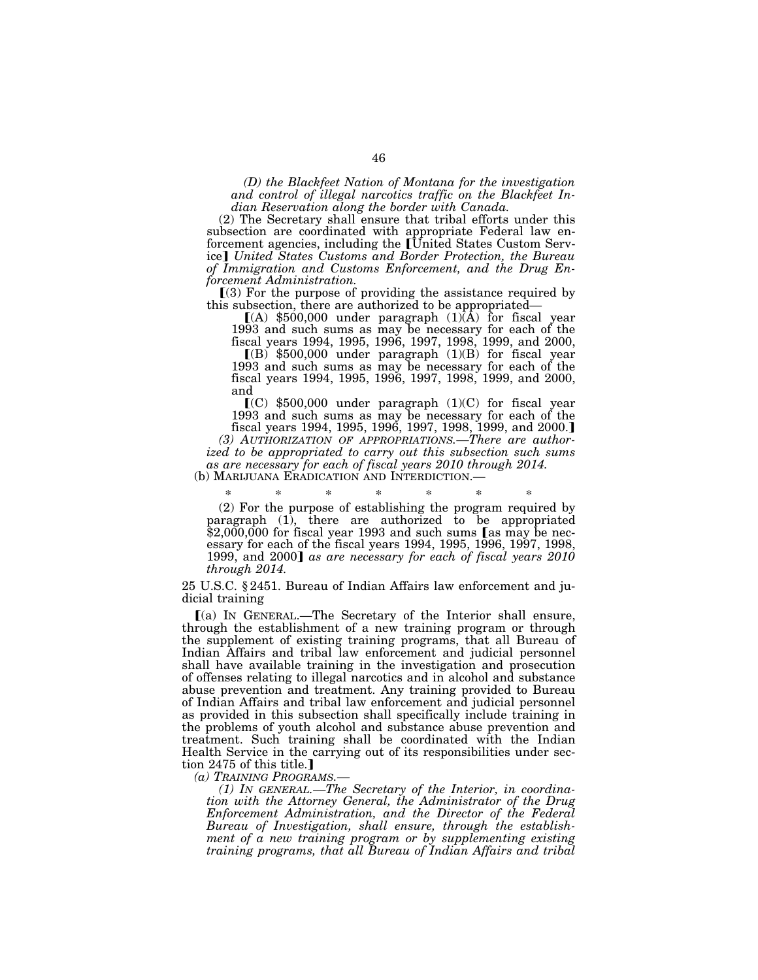*(D) the Blackfeet Nation of Montana for the investigation and control of illegal narcotics traffic on the Blackfeet Indian Reservation along the border with Canada.* 

(2) The Secretary shall ensure that tribal efforts under this subsection are coordinated with appropriate Federal law enforcement agencies, including the [United States Custom Service¿ *United States Customs and Border Protection, the Bureau of Immigration and Customs Enforcement, and the Drug Enforcement Administration.* 

 $(3)$  For the purpose of providing the assistance required by this subsection, there are authorized to be appropriated—

 $(A)$  \$500,000 under paragraph  $(1)(A)$  for fiscal year 1993 and such sums as may be necessary for each of the fiscal years 1994, 1995, 1996, 1997, 1998, 1999, and 2000,

 $(Q)$  \$500,000 under paragraph  $(1)(B)$  for fiscal year 1993 and such sums as may be necessary for each of the fiscal years 1994, 1995, 1996, 1997, 1998, 1999, and 2000, and

 $(C)$  \$500,000 under paragraph (1)(C) for fiscal year 1993 and such sums as may be necessary for each of the fiscal years 1994, 1995, 1996, 1997, 1998, 1999, and 2000.

*(3) AUTHORIZATION OF APPROPRIATIONS.—There are authorized to be appropriated to carry out this subsection such sums as are necessary for each of fiscal years 2010 through 2014.* 

(b) MARIJUANA ERADICATION AND INTERDICTION.—

\* \* \* \* \* \* \* (2) For the purpose of establishing the program required by paragraph (1), there are authorized to be appropriated  $$2,000,000$  for fiscal year 1993 and such sums [as may be necessary for each of the fiscal years 1994, 1995, 1996, 1997, 1998, 1999, and 2000] as are necessary for each of fiscal years 2010 *through 2014.* 

25 U.S.C. § 2451. Bureau of Indian Affairs law enforcement and judicial training

ø(a) IN GENERAL.—The Secretary of the Interior shall ensure, through the establishment of a new training program or through the supplement of existing training programs, that all Bureau of Indian Affairs and tribal law enforcement and judicial personnel shall have available training in the investigation and prosecution of offenses relating to illegal narcotics and in alcohol and substance abuse prevention and treatment. Any training provided to Bureau of Indian Affairs and tribal law enforcement and judicial personnel as provided in this subsection shall specifically include training in the problems of youth alcohol and substance abuse prevention and treatment. Such training shall be coordinated with the Indian Health Service in the carrying out of its responsibilities under section 2475 of this title.

*(a) TRAINING PROGRAMS.—* 

*(1) IN GENERAL.—The Secretary of the Interior, in coordination with the Attorney General, the Administrator of the Drug Enforcement Administration, and the Director of the Federal Bureau of Investigation, shall ensure, through the establishment of a new training program or by supplementing existing training programs, that all Bureau of Indian Affairs and tribal*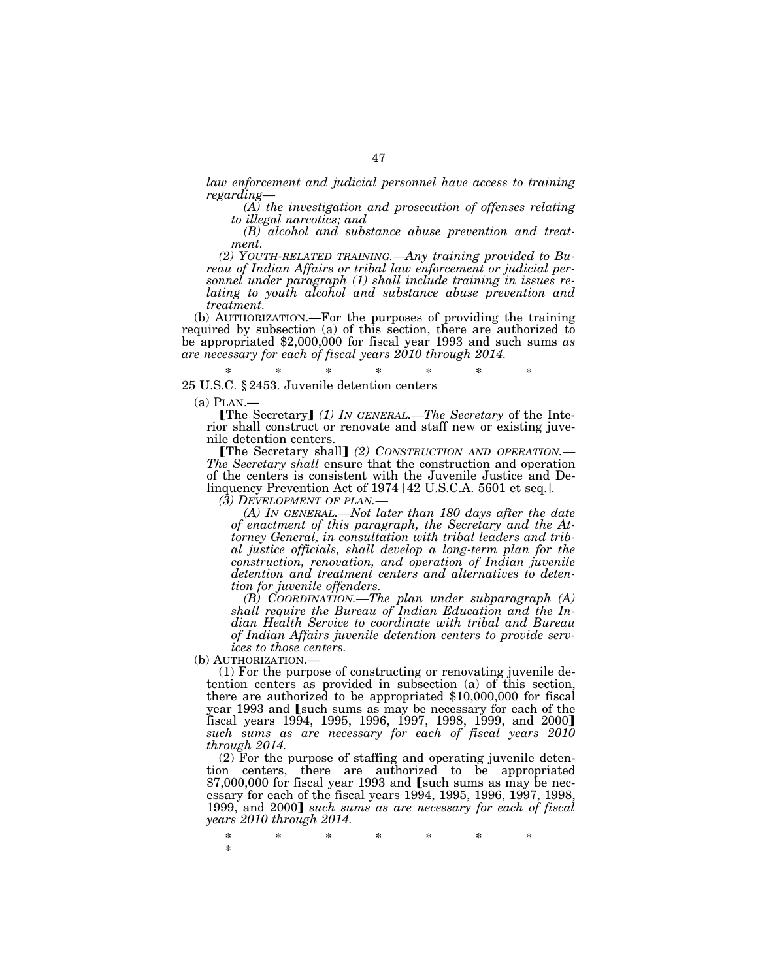*law enforcement and judicial personnel have access to training regarding—* 

*(A) the investigation and prosecution of offenses relating to illegal narcotics; and* 

*(B) alcohol and substance abuse prevention and treatment.* 

*(2) YOUTH-RELATED TRAINING.—Any training provided to Bureau of Indian Affairs or tribal law enforcement or judicial personnel under paragraph (1) shall include training in issues relating to youth alcohol and substance abuse prevention and treatment.* 

(b) AUTHORIZATION.—For the purposes of providing the training required by subsection (a) of this section, there are authorized to be appropriated \$2,000,000 for fiscal year 1993 and such sums *as are necessary for each of fiscal years 2010 through 2014.* 

\* \* \* \* \* \* \*

#### 25 U.S.C. § 2453. Juvenile detention centers

(a) PLAN.—<br> **The Secretary** *(1) IN GENERAL.—The Secretary* of the Interior shall construct or renovate and staff new or existing juvenile detention centers.<br> **The Secretary shall** (2) CONSTRUCTION AND OPERATION.—

The Secretary shall ensure that the construction and operation of the centers is consistent with the Juvenile Justice and Delinquency Prevention Act of 1974 [42 U.S.C.A. 5601 et seq.].  $(3)$  DEVELOPMENT OF PLAN.—

*(A) IN GENERAL.—Not later than 180 days after the date of enactment of this paragraph, the Secretary and the Attorney General, in consultation with tribal leaders and tribal justice officials, shall develop a long-term plan for the construction, renovation, and operation of Indian juvenile detention and treatment centers and alternatives to detention for juvenile offenders.* 

*(B) COORDINATION.—The plan under subparagraph (A) shall require the Bureau of Indian Education and the Indian Health Service to coordinate with tribal and Bureau of Indian Affairs juvenile detention centers to provide services to those centers.*<br>
(b) AUTHORIZATION.—

 $(1)$  For the purpose of constructing or renovating juvenile detention centers as provided in subsection (a) of this section, there are authorized to be appropriated \$10,000,000 for fiscal year 1993 and [such sums as may be necessary for each of the fiscal years 1994, 1995, 1996, 1997, 1998, 1999, and 2000] *such sums as are necessary for each of fiscal years 2010 through 2014.* 

(2) For the purpose of staffing and operating juvenile detention centers, there are authorized to be appropriated  $$7,000,000$  for fiscal year 1993 and [such sums as may be necessary for each of the fiscal years 1994, 1995, 1996, 1997, 1998, 1999, and 2000] such sums as are necessary for each of fiscal *years 2010 through 2014.* 

\* \* \* \* \* \* \* \*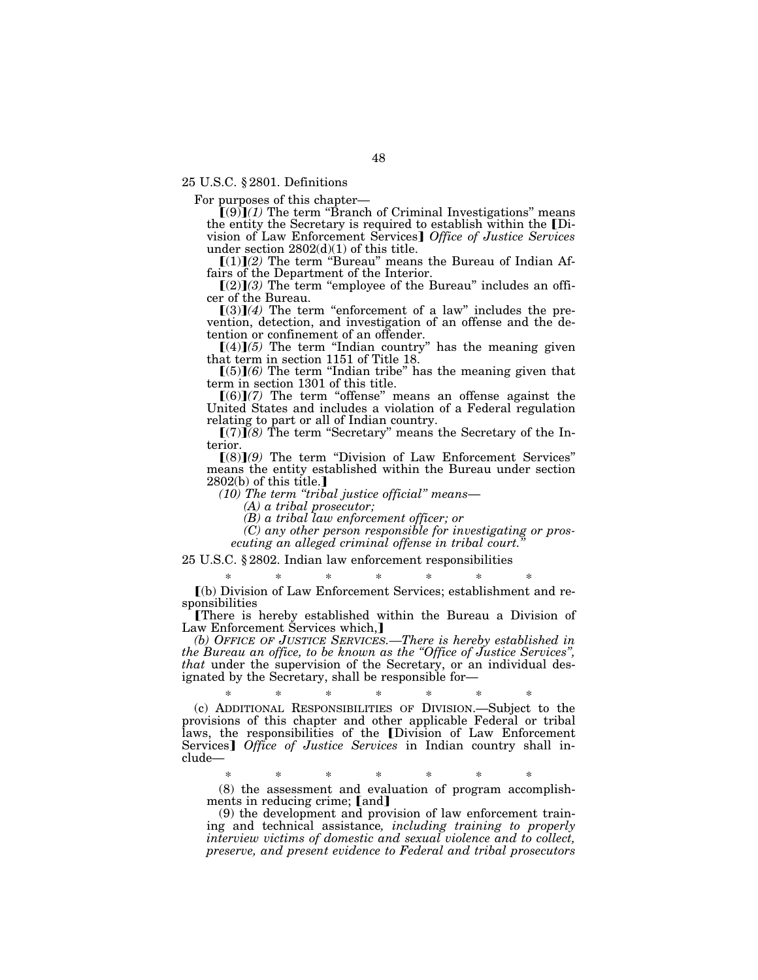25 U.S.C. § 2801. Definitions

For purposes of this chapter—

 $\tilde{\mathbf{I}}(9)\mathbf{I}(1)$  The term "Branch of Criminal Investigations" means the entity the Secretary is required to establish within the [Division of Law Enforcement Services] Office of Justice Services under section 2802(d)(1) of this title.<br>
[(1)](2) The term "Bureau" means the Bureau of Indian Af-

fairs of the Department of the Interior.

 $[(2)](3)$  The term "employee of the Bureau" includes an officer of the Bureau.

 $(3)(4)$  The term "enforcement of a law" includes the prevention, detection, and investigation of an offense and the detention or confinement of an offender.

 $[(4)](5)$  The term "Indian country" has the meaning given that term in section 1151 of Title 18.

 $\ddot{C}(5)$  $\ddot{C}(6)$  The term "Indian tribe" has the meaning given that term in section 1301 of this title.

 $[(6)](7)$  The term "offense" means an offense against the United States and includes a violation of a Federal regulation relating to part or all of Indian country.

 $[(7)]$  $(8)$  The term "Secretary" means the Secretary of the Interior.

 $(8)$  $(9)$  The term "Division of Law Enforcement Services" means the entity established within the Bureau under section  $2802(b)$  of this title.]

*(10) The term ''tribal justice official'' means*— *(A) a tribal prosecutor;* 

*(B) a tribal law enforcement officer; or* 

*(C) any other person responsible for investigating or pros*ecuting an alleged criminal offense in tribal court.

25 U.S.C. § 2802. Indian law enforcement responsibilities

\* \* \* \* \* \* \* ø(b) Division of Law Enforcement Services; establishment and responsibilities

øThere is hereby established within the Bureau a Division of Law Enforcement Šervices which,]

*(b) OFFICE OF JUSTICE SERVICES.—There is hereby established in the Bureau an office, to be known as the ''Office of Justice Services'', that* under the supervision of the Secretary, or an individual designated by the Secretary, shall be responsible for—

\* \* \* \* \* \* \* (c) ADDITIONAL RESPONSIBILITIES OF DIVISION.—Subject to the provisions of this chapter and other applicable Federal or tribal laws, the responsibilities of the [Division of Law Enforcement Services] *Office of Justice Services* in Indian country shall include—

\* \* \* \* \* \* \* (8) the assessment and evaluation of program accomplishments in reducing crime; [and]

(9) the development and provision of law enforcement training and technical assistance*, including training to properly interview victims of domestic and sexual violence and to collect, preserve, and present evidence to Federal and tribal prosecutors*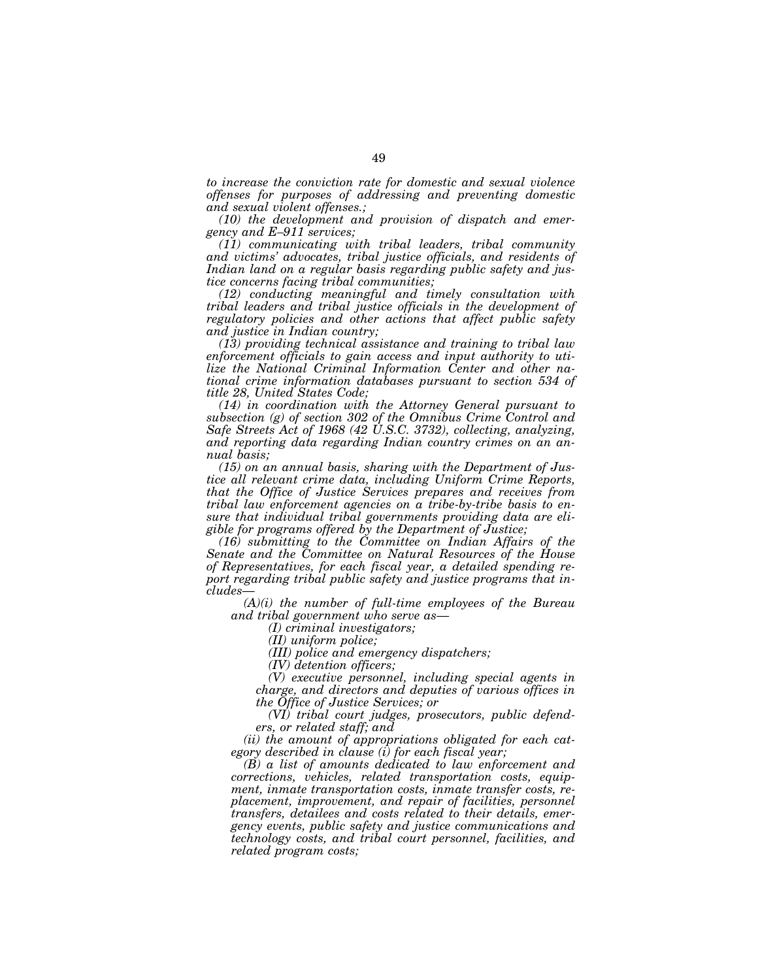*to increase the conviction rate for domestic and sexual violence offenses for purposes of addressing and preventing domestic and sexual violent offenses.;* 

*(10) the development and provision of dispatch and emergency and E–911 services;* 

*(11) communicating with tribal leaders, tribal community and victims' advocates, tribal justice officials, and residents of Indian land on a regular basis regarding public safety and justice concerns facing tribal communities;* 

*(12) conducting meaningful and timely consultation with tribal leaders and tribal justice officials in the development of regulatory policies and other actions that affect public safety and justice in Indian country;* 

*(13) providing technical assistance and training to tribal law enforcement officials to gain access and input authority to utilize the National Criminal Information Center and other national crime information databases pursuant to section 534 of title 28, United States Code;* 

*(14) in coordination with the Attorney General pursuant to subsection (g) of section 302 of the Omnibus Crime Control and Safe Streets Act of 1968 (42 U.S.C. 3732), collecting, analyzing, and reporting data regarding Indian country crimes on an annual basis;* 

*(15) on an annual basis, sharing with the Department of Justice all relevant crime data, including Uniform Crime Reports, that the Office of Justice Services prepares and receives from tribal law enforcement agencies on a tribe-by-tribe basis to ensure that individual tribal governments providing data are eligible for programs offered by the Department of Justice;* 

*(16) submitting to the Committee on Indian Affairs of the Senate and the Committee on Natural Resources of the House of Representatives, for each fiscal year, a detailed spending report regarding tribal public safety and justice programs that includes*—

*(A)(i) the number of full-time employees of the Bureau and tribal government who serve as*—

*(I) criminal investigators;* 

*(II) uniform police;* 

*(III) police and emergency dispatchers;* 

*(IV) detention officers;* 

*(V) executive personnel, including special agents in charge, and directors and deputies of various offices in the Office of Justice Services; or* 

*(VI) tribal court judges, prosecutors, public defenders, or related staff; and* 

*(ii) the amount of appropriations obligated for each category described in clause (i) for each fiscal year;* 

*(B) a list of amounts dedicated to law enforcement and corrections, vehicles, related transportation costs, equipment, inmate transportation costs, inmate transfer costs, replacement, improvement, and repair of facilities, personnel transfers, detailees and costs related to their details, emergency events, public safety and justice communications and technology costs, and tribal court personnel, facilities, and related program costs;*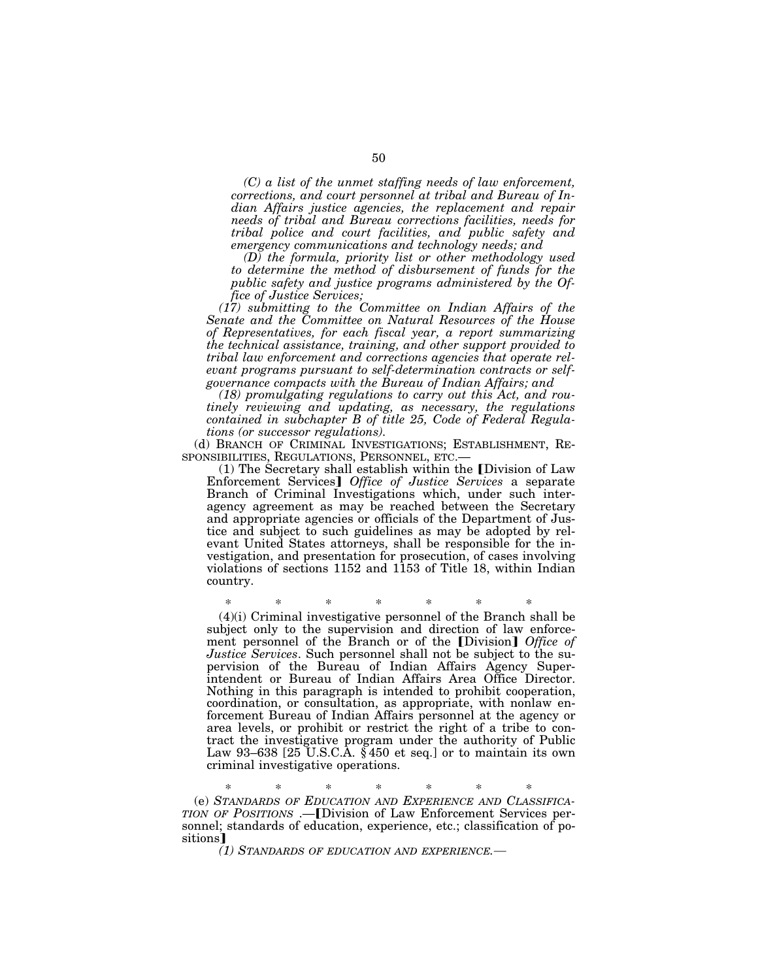*(C) a list of the unmet staffing needs of law enforcement, corrections, and court personnel at tribal and Bureau of Indian Affairs justice agencies, the replacement and repair needs of tribal and Bureau corrections facilities, needs for tribal police and court facilities, and public safety and emergency communications and technology needs; and* 

*(D) the formula, priority list or other methodology used to determine the method of disbursement of funds for the public safety and justice programs administered by the Office of Justice Services;* 

*(17) submitting to the Committee on Indian Affairs of the Senate and the Committee on Natural Resources of the House of Representatives, for each fiscal year, a report summarizing the technical assistance, training, and other support provided to tribal law enforcement and corrections agencies that operate relevant programs pursuant to self-determination contracts or selfgovernance compacts with the Bureau of Indian Affairs; and* 

*(18) promulgating regulations to carry out this Act, and routinely reviewing and updating, as necessary, the regulations contained in subchapter B of title 25, Code of Federal Regulations (or successor regulations).* 

(d) BRANCH OF CRIMINAL INVESTIGATIONS; ESTABLISHMENT, RE-SPONSIBILITIES, REGULATIONS, PERSONNEL, ETC.—

 $(1)$  The Secretary shall establish within the [Division of Law Enforcement Services] Office of Justice Services a separate Branch of Criminal Investigations which, under such interagency agreement as may be reached between the Secretary and appropriate agencies or officials of the Department of Justice and subject to such guidelines as may be adopted by relevant United States attorneys, shall be responsible for the investigation, and presentation for prosecution, of cases involving violations of sections 1152 and 1153 of Title 18, within Indian country.

\* \* \* \* \* \* \* (4)(i) Criminal investigative personnel of the Branch shall be subject only to the supervision and direction of law enforcement personnel of the Branch or of the [Division] *Office of Justice Services*. Such personnel shall not be subject to the supervision of the Bureau of Indian Affairs Agency Superintendent or Bureau of Indian Affairs Area Office Director. Nothing in this paragraph is intended to prohibit cooperation, coordination, or consultation, as appropriate, with nonlaw enforcement Bureau of Indian Affairs personnel at the agency or area levels, or prohibit or restrict the right of a tribe to contract the investigative program under the authority of Public Law 93–638 [25 U.S.C.A. § 450 et seq.] or to maintain its own criminal investigative operations.

\* \* \* \* \* \* \*

(e) *STANDARDS OF EDUCATION AND EXPERIENCE AND CLASSIFICA-TION OF POSITIONS* .— [Division of Law Enforcement Services personnel; standards of education, experience, etc.; classification of positions<sup>1</sup>

*(1) STANDARDS OF EDUCATION AND EXPERIENCE.*—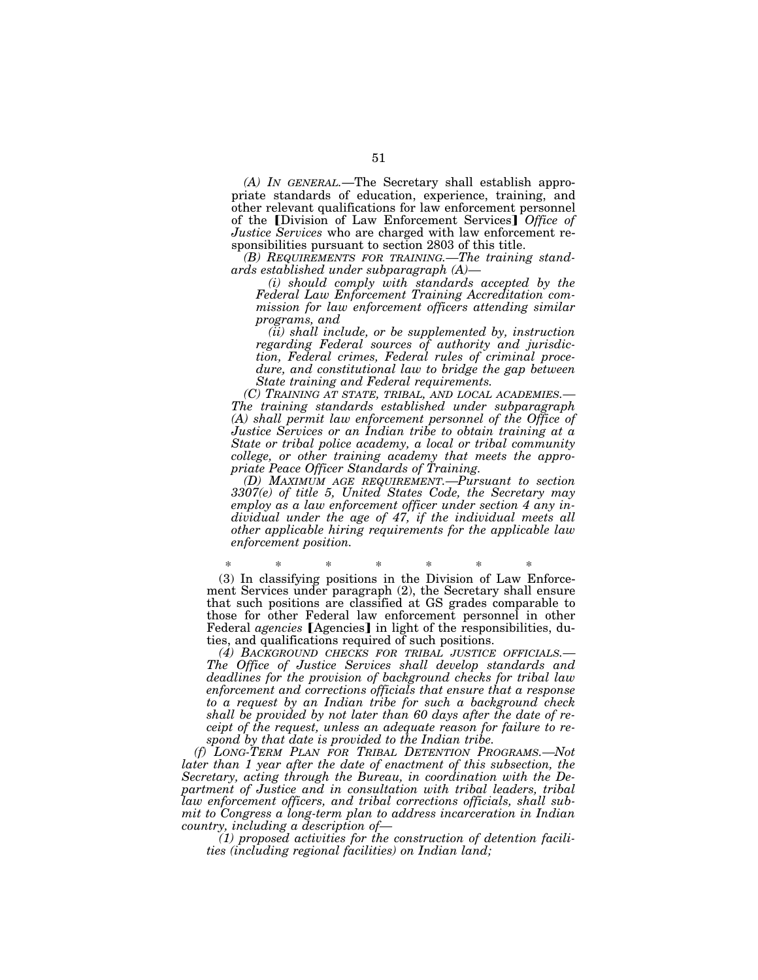*(A) IN GENERAL.*—The Secretary shall establish appropriate standards of education, experience, training, and other relevant qualifications for law enforcement personnel of the *[Division of Law Enforcement Services] Office of Justice Services* who are charged with law enforcement responsibilities pursuant to section 2803 of this title.

*(B) REQUIREMENTS FOR TRAINING.—The training standards established under subparagraph (A)—* 

*(i) should comply with standards accepted by the Federal Law Enforcement Training Accreditation commission for law enforcement officers attending similar programs, and* 

*(ii) shall include, or be supplemented by, instruction regarding Federal sources of authority and jurisdiction, Federal crimes, Federal rules of criminal procedure, and constitutional law to bridge the gap between State training and Federal requirements.* 

*The training standards established under subparagraph (A) shall permit law enforcement personnel of the Office of Justice Services or an Indian tribe to obtain training at a State or tribal police academy, a local or tribal community college, or other training academy that meets the appropriate Peace Officer Standards of Training.* 

*(D) MAXIMUM AGE REQUIREMENT.—Pursuant to section 3307(e) of title 5, United States Code, the Secretary may employ as a law enforcement officer under section 4 any individual under the age of 47, if the individual meets all other applicable hiring requirements for the applicable law enforcement position.* 

\* \* \* \* \* \* \* (3) In classifying positions in the Division of Law Enforcement Services under paragraph (2), the Secretary shall ensure that such positions are classified at GS grades comparable to those for other Federal law enforcement personnel in other Federal *agencies* [Agencies] in light of the responsibilities, duties, and qualifications required of such positions.

*(4) BACKGROUND CHECKS FOR TRIBAL JUSTICE OFFICIALS.— The Office of Justice Services shall develop standards and deadlines for the provision of background checks for tribal law enforcement and corrections officials that ensure that a response to a request by an Indian tribe for such a background check shall be provided by not later than 60 days after the date of receipt of the request, unless an adequate reason for failure to respond by that date is provided to the Indian tribe.* 

*(f) LONG-TERM PLAN FOR TRIBAL DETENTION PROGRAMS.—Not later than 1 year after the date of enactment of this subsection, the Secretary, acting through the Bureau, in coordination with the De*partment of Justice and in consultation with tribal leaders, tribal *law enforcement officers, and tribal corrections officials, shall submit to Congress a long-term plan to address incarceration in Indian country, including a description of—* 

*(1) proposed activities for the construction of detention facilities (including regional facilities) on Indian land;*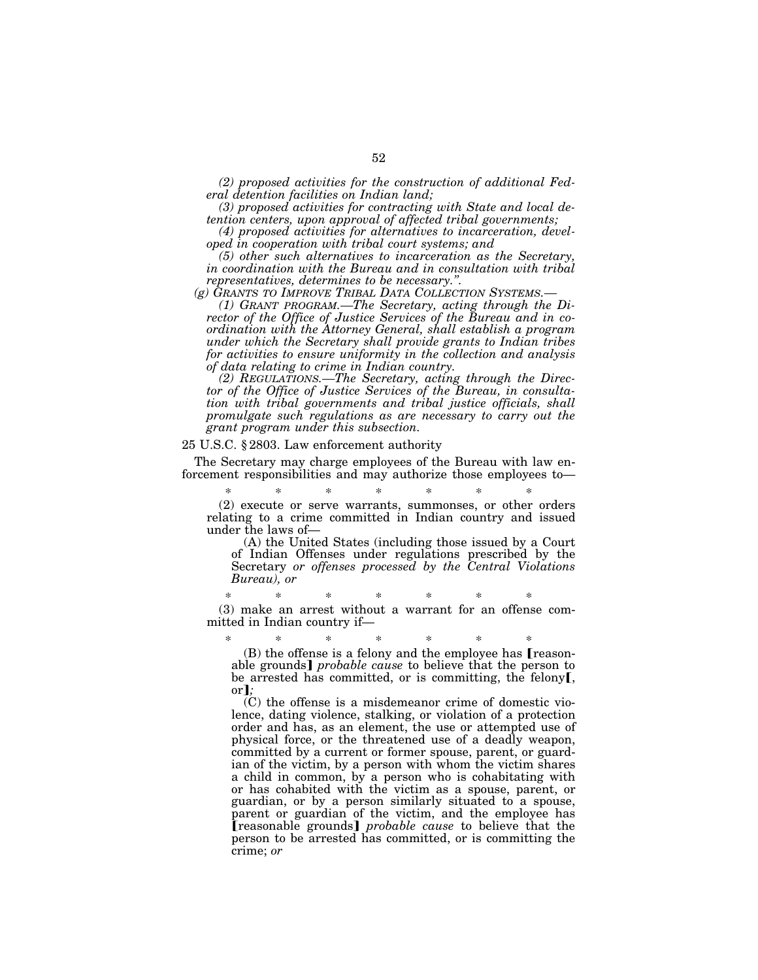*(2) proposed activities for the construction of additional Federal detention facilities on Indian land;* 

*(3) proposed activities for contracting with State and local detention centers, upon approval of affected tribal governments;* 

*(4) proposed activities for alternatives to incarceration, developed in cooperation with tribal court systems; and* 

*(5) other such alternatives to incarceration as the Secretary, in coordination with the Bureau and in consultation with tribal representatives, determines to be necessary.".*<br>(g) GRANTS TO IMPROVE TRIBAL DATA COLLECTION SYSTEMS.-

*(1) GRANT PROGRAM.—The Secretary, acting through the Director of the Office of Justice Services of the Bureau and in coordination with the Attorney General, shall establish a program under which the Secretary shall provide grants to Indian tribes for activities to ensure uniformity in the collection and analysis of data relating to crime in Indian country.* 

*(2) REGULATIONS.—The Secretary, acting through the Director of the Office of Justice Services of the Bureau, in consultation with tribal governments and tribal justice officials, shall promulgate such regulations as are necessary to carry out the grant program under this subsection.* 

## 25 U.S.C. § 2803. Law enforcement authority

The Secretary may charge employees of the Bureau with law enforcement responsibilities and may authorize those employees to—

\* \* \* \* \* \* \* (2) execute or serve warrants, summonses, or other orders relating to a crime committed in Indian country and issued under the laws of—

(A) the United States (including those issued by a Court of Indian Offenses under regulations prescribed by the Secretary *or offenses processed by the Central Violations Bureau), or* 

\* \* \* \* \* \* \* (3) make an arrest without a warrant for an offense committed in Indian country if—

\* \* \* \* \* \* \*  $(B)$  the offense is a felony and the employee has **[reason**able grounds] *probable cause* to believe that the person to be arrested has committed, or is committing, the felony**[**, or**]**;

(C) the offense is a misdemeanor crime of domestic violence, dating violence, stalking, or violation of a protection order and has, as an element, the use or attempted use of physical force, or the threatened use of a deadly weapon, committed by a current or former spouse, parent, or guardian of the victim, by a person with whom the victim shares a child in common, by a person who is cohabitating with or has cohabited with the victim as a spouse, parent, or guardian, or by a person similarly situated to a spouse, parent or guardian of the victim, and the employee has **[reasonable grounds]** *probable cause* to believe that the person to be arrested has committed, or is committing the crime; *or*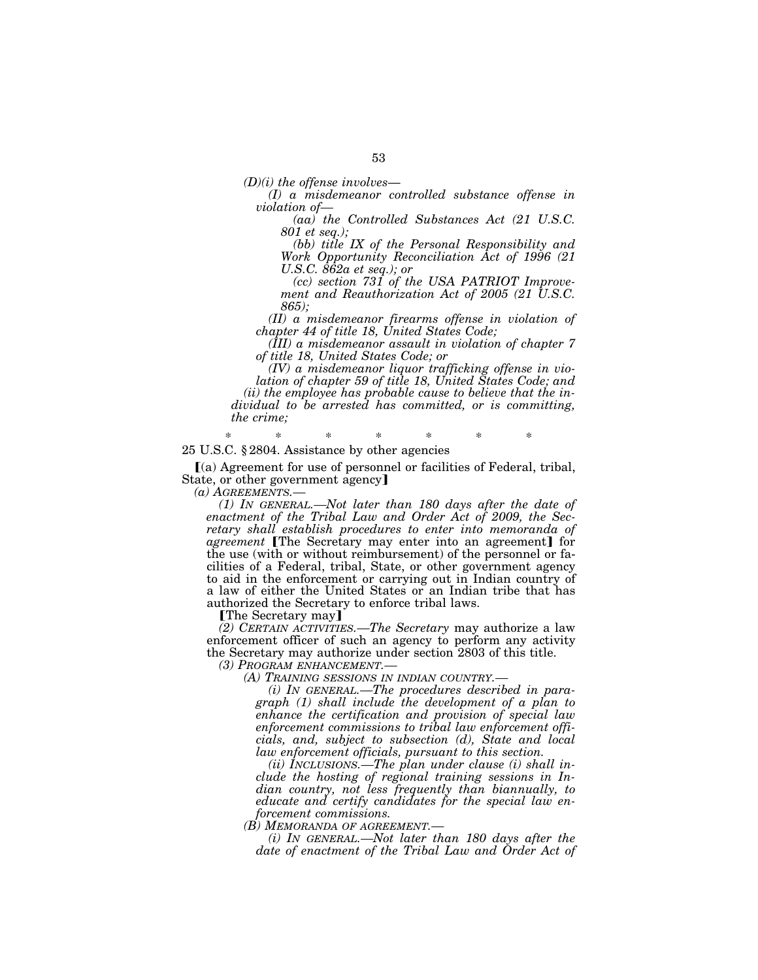*(D)(i) the offense involves*— *(I) a misdemeanor controlled substance offense in violation of—* 

*(aa) the Controlled Substances Act (21 U.S.C. 801 et seq.);* 

*(bb) title IX of the Personal Responsibility and Work Opportunity Reconciliation Act of 1996 (21 U.S.C. 862a et seq.); or* 

*(cc) section 731 of the USA PATRIOT Improvement and Reauthorization Act of 2005 (21 U.S.C. 865);* 

*(II) a misdemeanor firearms offense in violation of chapter 44 of title 18, United States Code;* 

*(III) a misdemeanor assault in violation of chapter 7 of title 18, United States Code; or* 

*(IV) a misdemeanor liquor trafficking offense in violation of chapter 59 of title 18, United States Code; and (ii) the employee has probable cause to believe that the individual to be arrested has committed, or is committing, the crime;* 

\* \* \* \* \* \* \* 25 U.S.C. § 2804. Assistance by other agencies

 $(a)$  Agreement for use of personnel or facilities of Federal, tribal, State, or other government agency

*(a) AGREEMENTS.— (1) IN GENERAL.—Not later than 180 days after the date of enactment of the Tribal Law and Order Act of 2009, the Secretary shall establish procedures to enter into memoranda of agreement* [The Secretary may enter into an agreement] for the use (with or without reimbursement) of the personnel or facilities of a Federal, tribal, State, or other government agency to aid in the enforcement or carrying out in Indian country of a law of either the United States or an Indian tribe that has authorized the Secretary to enforce tribal laws.

**The Secretary may** 

*(2) CERTAIN ACTIVITIES.—The Secretary* may authorize a law enforcement officer of such an agency to perform any activity the Secretary may authorize under section 2803 of this title.

*(3) PROGRAM ENHANCEMENT.—* 

*(A) TRAINING SESSIONS IN INDIAN COUNTRY.—* 

*(i) IN GENERAL.—The procedures described in paragraph (1) shall include the development of a plan to enhance the certification and provision of special law enforcement commissions to tribal law enforcement officials, and, subject to subsection (d), State and local law enforcement officials, pursuant to this section.* 

*(ii) INCLUSIONS.—The plan under clause (i) shall include the hosting of regional training sessions in Indian country, not less frequently than biannually, to educate and certify candidates for the special law enforcement commissions.* 

*(B) MEMORANDA OF AGREEMENT.—* 

*(i) IN GENERAL.—Not later than 180 days after the date of enactment of the Tribal Law and Order Act of*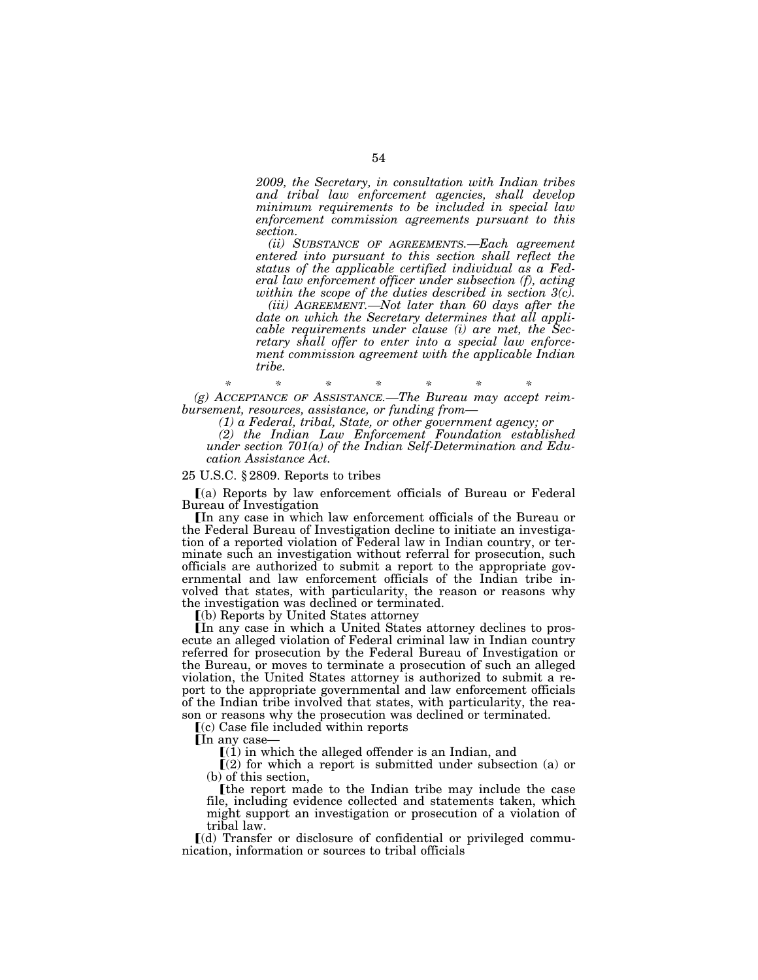*2009, the Secretary, in consultation with Indian tribes and tribal law enforcement agencies, shall develop minimum requirements to be included in special law enforcement commission agreements pursuant to this section.* 

*(ii) SUBSTANCE OF AGREEMENTS.—Each agreement entered into pursuant to this section shall reflect the status of the applicable certified individual as a Federal law enforcement officer under subsection (f), acting within the scope of the duties described in section 3(c).* 

*(iii) AGREEMENT.—Not later than 60 days after the date on which the Secretary determines that all applicable requirements under clause (i) are met, the Secretary shall offer to enter into a special law enforcement commission agreement with the applicable Indian tribe.* 

*\* \* \* \* \* \* \* (g) ACCEPTANCE OF ASSISTANCE.—The Bureau may accept reimbursement, resources, assistance, or funding from—* 

*(1) a Federal, tribal, State, or other government agency; or* 

*(2) the Indian Law Enforcement Foundation established under section 701(a) of the Indian Self-Determination and Education Assistance Act.* 

#### 25 U.S.C. § 2809. Reports to tribes

 $(a)$  Reports by law enforcement officials of Bureau or Federal Bureau of Investigation

In any case in which law enforcement officials of the Bureau or the Federal Bureau of Investigation decline to initiate an investigation of a reported violation of Federal law in Indian country, or terminate such an investigation without referral for prosecution, such officials are authorized to submit a report to the appropriate governmental and law enforcement officials of the Indian tribe involved that states, with particularity, the reason or reasons why the investigation was declined or terminated.

 $(a)$  Reports by United States attorney

In any case in which a United States attorney declines to prosecute an alleged violation of Federal criminal law in Indian country referred for prosecution by the Federal Bureau of Investigation or the Bureau, or moves to terminate a prosecution of such an alleged violation, the United States attorney is authorized to submit a report to the appropriate governmental and law enforcement officials of the Indian tribe involved that states, with particularity, the reason or reasons why the prosecution was declined or terminated.

 $(c)$  Case file included within reports

**In any case** 

 $(1)$  in which the alleged offender is an Indian, and

 $\Gamma(2)$  for which a report is submitted under subsection (a) or (b) of this section,

øthe report made to the Indian tribe may include the case file, including evidence collected and statements taken, which might support an investigation or prosecution of a violation of tribal law.

 $\lceil$ (d) Transfer or disclosure of confidential or privileged communication, information or sources to tribal officials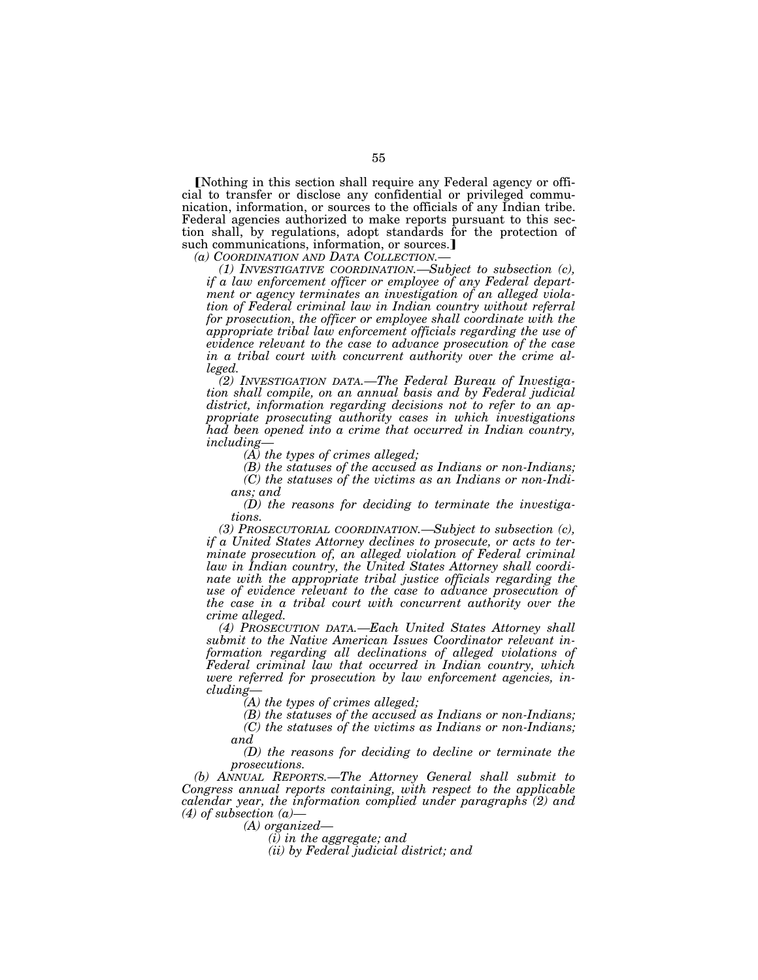Nothing in this section shall require any Federal agency or official to transfer or disclose any confidential or privileged communication, information, or sources to the officials of any Indian tribe. Federal agencies authorized to make reports pursuant to this section shall, by regulations, adopt standards for the protection of such communications, information, or sources.

*(a) COORDINATION AND DATA COLLECTION.— (1) INVESTIGATIVE COORDINATION.—Subject to subsection (c), if a law enforcement officer or employee of any Federal department or agency terminates an investigation of an alleged violation of Federal criminal law in Indian country without referral for prosecution, the officer or employee shall coordinate with the appropriate tribal law enforcement officials regarding the use of evidence relevant to the case to advance prosecution of the case in a tribal court with concurrent authority over the crime alleged.* 

*(2) INVESTIGATION DATA.—The Federal Bureau of Investigation shall compile, on an annual basis and by Federal judicial district, information regarding decisions not to refer to an appropriate prosecuting authority cases in which investigations had been opened into a crime that occurred in Indian country, including—* 

*(A) the types of crimes alleged;* 

*(B) the statuses of the accused as Indians or non-Indians; (C) the statuses of the victims as an Indians or non-Indi-*

*ans; and* 

*(D) the reasons for deciding to terminate the investigations.* 

*(3) PROSECUTORIAL COORDINATION.—Subject to subsection (c), if a United States Attorney declines to prosecute, or acts to terminate prosecution of, an alleged violation of Federal criminal law in Indian country, the United States Attorney shall coordinate with the appropriate tribal justice officials regarding the use of evidence relevant to the case to advance prosecution of the case in a tribal court with concurrent authority over the crime alleged.* 

*(4) PROSECUTION DATA.—Each United States Attorney shall submit to the Native American Issues Coordinator relevant information regarding all declinations of alleged violations of Federal criminal law that occurred in Indian country, which were referred for prosecution by law enforcement agencies, including—* 

*(A) the types of crimes alleged;* 

*(B) the statuses of the accused as Indians or non-Indians; (C) the statuses of the victims as Indians or non-Indians; and* 

*(D) the reasons for deciding to decline or terminate the prosecutions.* 

*(b) ANNUAL REPORTS.—The Attorney General shall submit to Congress annual reports containing, with respect to the applicable calendar year, the information complied under paragraphs (2) and (4) of subsection (a)—* 

*(A) organized—* 

*(i) in the aggregate; and* 

*(ii) by Federal judicial district; and*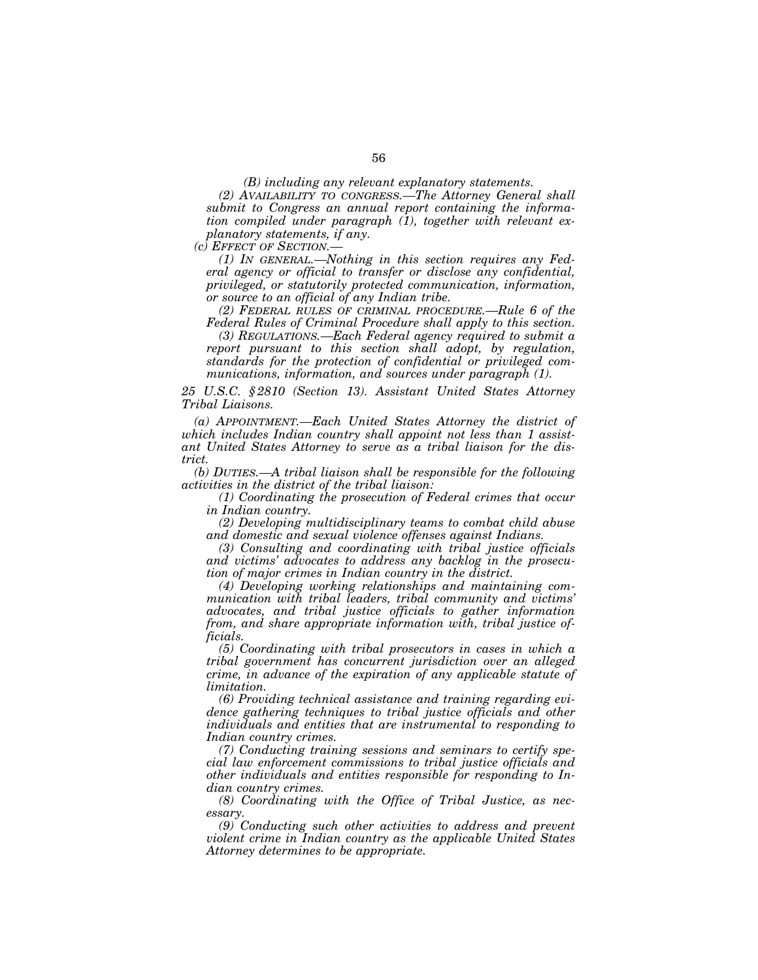*(B) including any relevant explanatory statements.* 

*(2) AVAILABILITY TO CONGRESS.—The Attorney General shall submit to Congress an annual report containing the information compiled under paragraph (1), together with relevant explanatory statements, if any.* 

*(c) EFFECT OF SECTION.—* 

*(1) IN GENERAL.—Nothing in this section requires any Federal agency or official to transfer or disclose any confidential, privileged, or statutorily protected communication, information, or source to an official of any Indian tribe.* 

*(2) FEDERAL RULES OF CRIMINAL PROCEDURE.—Rule 6 of the Federal Rules of Criminal Procedure shall apply to this section.* 

*(3) REGULATIONS.—Each Federal agency required to submit a report pursuant to this section shall adopt, by regulation, standards for the protection of confidential or privileged communications, information, and sources under paragraph (1).* 

*25 U.S.C. § 2810 (Section 13). Assistant United States Attorney Tribal Liaisons.* 

*(a) APPOINTMENT.—Each United States Attorney the district of which includes Indian country shall appoint not less than 1 assistant United States Attorney to serve as a tribal liaison for the district.* 

*(b) DUTIES.—A tribal liaison shall be responsible for the following activities in the district of the tribal liaison:* 

*(1) Coordinating the prosecution of Federal crimes that occur in Indian country.* 

*(2) Developing multidisciplinary teams to combat child abuse and domestic and sexual violence offenses against Indians.* 

*(3) Consulting and coordinating with tribal justice officials and victims' advocates to address any backlog in the prosecution of major crimes in Indian country in the district.* 

*(4) Developing working relationships and maintaining communication with tribal leaders, tribal community and victims' advocates, and tribal justice officials to gather information from, and share appropriate information with, tribal justice officials.* 

*(5) Coordinating with tribal prosecutors in cases in which a tribal government has concurrent jurisdiction over an alleged crime, in advance of the expiration of any applicable statute of limitation.* 

*(6) Providing technical assistance and training regarding evidence gathering techniques to tribal justice officials and other individuals and entities that are instrumental to responding to Indian country crimes.* 

*(7) Conducting training sessions and seminars to certify special law enforcement commissions to tribal justice officials and other individuals and entities responsible for responding to Indian country crimes.* 

*(8) Coordinating with the Office of Tribal Justice, as necessary.* 

*(9) Conducting such other activities to address and prevent violent crime in Indian country as the applicable United States Attorney determines to be appropriate.*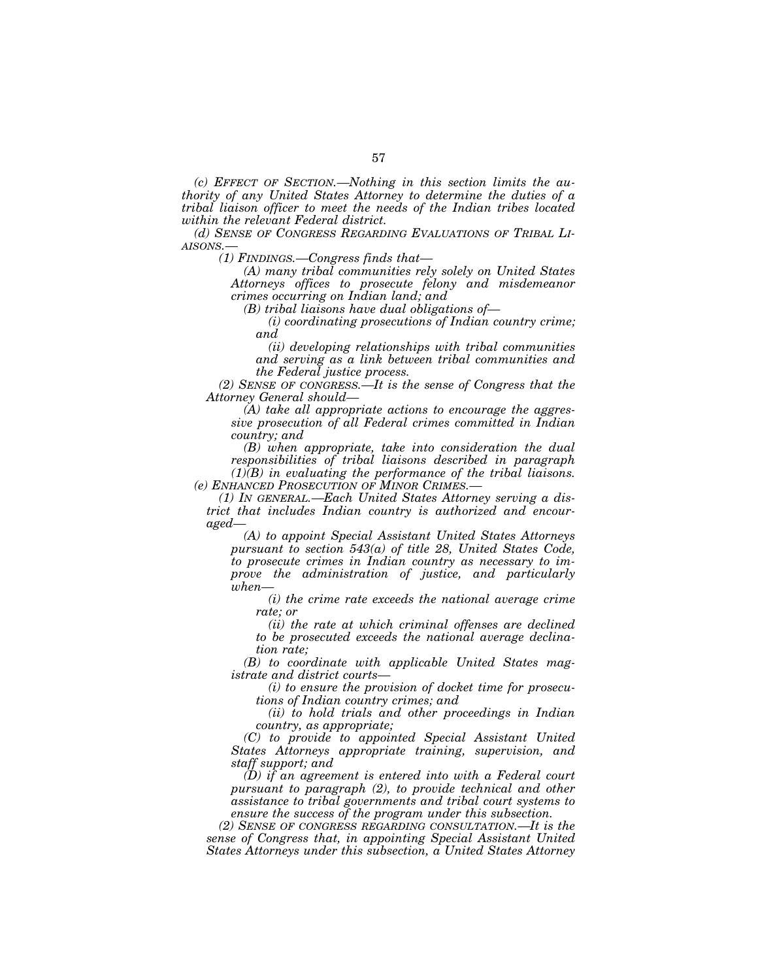*(c) EFFECT OF SECTION.—Nothing in this section limits the authority of any United States Attorney to determine the duties of a tribal liaison officer to meet the needs of the Indian tribes located within the relevant Federal district.* 

*(d) SENSE OF CONGRESS REGARDING EVALUATIONS OF TRIBAL LI-AISONS.—* 

*(1) FINDINGS.—Congress finds that—* 

*(A) many tribal communities rely solely on United States Attorneys offices to prosecute felony and misdemeanor crimes occurring on Indian land; and* 

*(B) tribal liaisons have dual obligations of—* 

*(i) coordinating prosecutions of Indian country crime; and* 

*(ii) developing relationships with tribal communities and serving as a link between tribal communities and the Federal justice process.* 

*(2) SENSE OF CONGRESS.—It is the sense of Congress that the Attorney General should—* 

*(A) take all appropriate actions to encourage the aggressive prosecution of all Federal crimes committed in Indian country; and* 

*(B) when appropriate, take into consideration the dual responsibilities of tribal liaisons described in paragraph (1)(B) in evaluating the performance of the tribal liaisons.* 

*(e) ENHANCED PROSECUTION OF MINOR CRIMES.— (1) IN GENERAL.—Each United States Attorney serving a dis-*

*trict that includes Indian country is authorized and encouraged—* 

*(A) to appoint Special Assistant United States Attorneys pursuant to section 543(a) of title 28, United States Code, to prosecute crimes in Indian country as necessary to improve the administration of justice, and particularly when—* 

*(i) the crime rate exceeds the national average crime rate; or* 

*(ii) the rate at which criminal offenses are declined to be prosecuted exceeds the national average declination rate;* 

*(B) to coordinate with applicable United States magistrate and district courts—* 

*(i) to ensure the provision of docket time for prosecutions of Indian country crimes; and* 

*(ii) to hold trials and other proceedings in Indian country, as appropriate;* 

*(C) to provide to appointed Special Assistant United States Attorneys appropriate training, supervision, and staff support; and* 

*(D) if an agreement is entered into with a Federal court pursuant to paragraph (2), to provide technical and other assistance to tribal governments and tribal court systems to ensure the success of the program under this subsection.* 

*(2) SENSE OF CONGRESS REGARDING CONSULTATION.—It is the sense of Congress that, in appointing Special Assistant United States Attorneys under this subsection, a United States Attorney*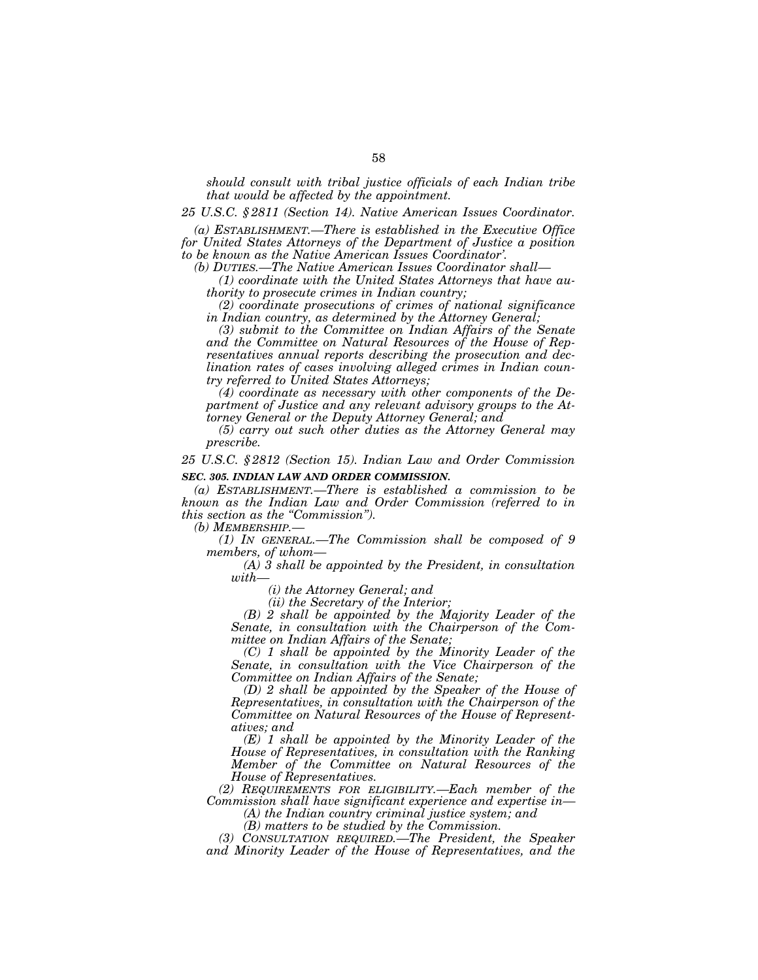*should consult with tribal justice officials of each Indian tribe that would be affected by the appointment.* 

*25 U.S.C. § 2811 (Section 14). Native American Issues Coordinator.* 

*(a) ESTABLISHMENT.—There is established in the Executive Office for United States Attorneys of the Department of Justice a position to be known as the Native American Issues Coordinator'.* 

*(b) DUTIES.—The Native American Issues Coordinator shall—* 

*(1) coordinate with the United States Attorneys that have authority to prosecute crimes in Indian country;* 

*(2) coordinate prosecutions of crimes of national significance in Indian country, as determined by the Attorney General;* 

*(3) submit to the Committee on Indian Affairs of the Senate and the Committee on Natural Resources of the House of Representatives annual reports describing the prosecution and declination rates of cases involving alleged crimes in Indian country referred to United States Attorneys;* 

*(4) coordinate as necessary with other components of the Department of Justice and any relevant advisory groups to the Attorney General or the Deputy Attorney General; and* 

*(5) carry out such other duties as the Attorney General may prescribe.* 

*25 U.S.C. § 2812 (Section 15). Indian Law and Order Commission SEC. 305. INDIAN LAW AND ORDER COMMISSION.* 

*(a) ESTABLISHMENT.—There is established a commission to be known as the Indian Law and Order Commission (referred to in this section as the ''Commission'').* 

*(b) MEMBERSHIP.—* 

*(1) IN GENERAL.—The Commission shall be composed of 9 members, of whom—* 

*(A) 3 shall be appointed by the President, in consultation with—* 

*(i) the Attorney General; and* 

*(ii) the Secretary of the Interior;* 

*(B) 2 shall be appointed by the Majority Leader of the Senate, in consultation with the Chairperson of the Committee on Indian Affairs of the Senate;* 

*(C) 1 shall be appointed by the Minority Leader of the Senate, in consultation with the Vice Chairperson of the Committee on Indian Affairs of the Senate;* 

*(D) 2 shall be appointed by the Speaker of the House of Representatives, in consultation with the Chairperson of the Committee on Natural Resources of the House of Representatives; and* 

*(E) 1 shall be appointed by the Minority Leader of the House of Representatives, in consultation with the Ranking Member of the Committee on Natural Resources of the House of Representatives.* 

*(2) REQUIREMENTS FOR ELIGIBILITY.—Each member of the Commission shall have significant experience and expertise in— (A) the Indian country criminal justice system; and* 

*(B) matters to be studied by the Commission.* 

*(3) CONSULTATION REQUIRED.—The President, the Speaker and Minority Leader of the House of Representatives, and the*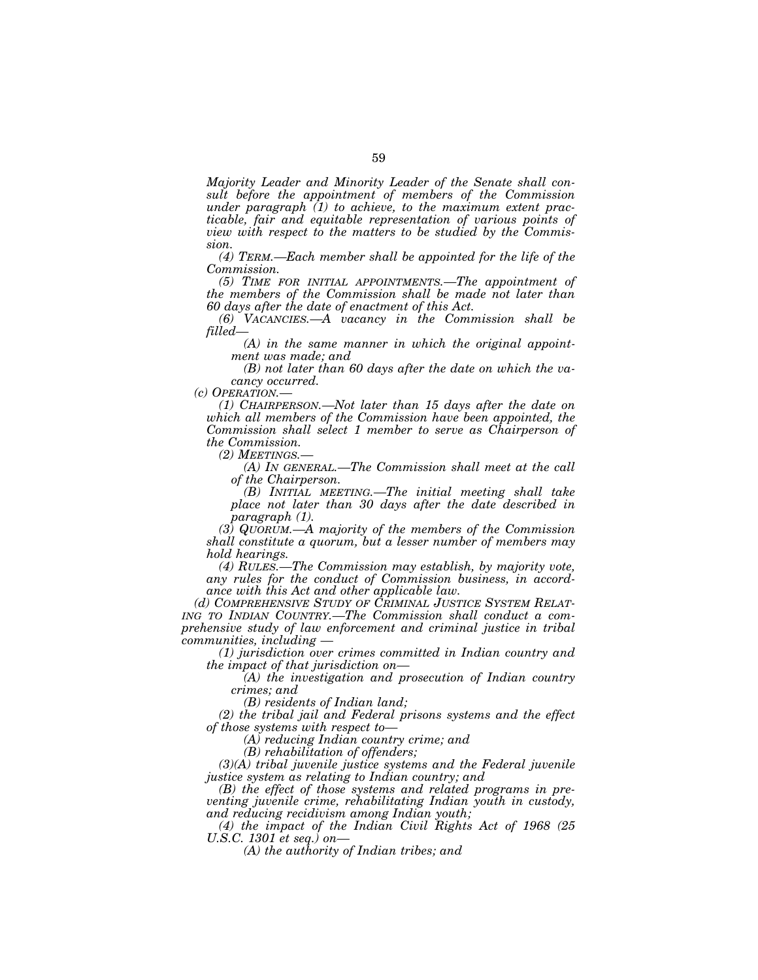*Majority Leader and Minority Leader of the Senate shall consult before the appointment of members of the Commission under paragraph (1) to achieve, to the maximum extent practicable, fair and equitable representation of various points of view with respect to the matters to be studied by the Commission.* 

*(4) TERM.—Each member shall be appointed for the life of the Commission.* 

*(5) TIME FOR INITIAL APPOINTMENTS.—The appointment of the members of the Commission shall be made not later than 60 days after the date of enactment of this Act.* 

*(6) VACANCIES.—A vacancy in the Commission shall be filled—* 

*(A) in the same manner in which the original appointment was made; and* 

*(B) not later than 60 days after the date on which the va-*

*cancy occurred.*<br> *(c) OPERATION.*—

*(1) CHAIRPERSON.—Not later than 15 days after the date on which all members of the Commission have been appointed, the Commission shall select 1 member to serve as Chairperson of the Commission.* 

*(A) IN GENERAL.—The Commission shall meet at the call of the Chairperson.* 

*(B) INITIAL MEETING.—The initial meeting shall take place not later than 30 days after the date described in paragraph (1).* 

*(3) QUORUM.—A majority of the members of the Commission shall constitute a quorum, but a lesser number of members may hold hearings.* 

*(4) RULES.—The Commission may establish, by majority vote, any rules for the conduct of Commission business, in accordance with this Act and other applicable law.* 

*(d) COMPREHENSIVE STUDY OF CRIMINAL JUSTICE SYSTEM RELAT- ING TO INDIAN COUNTRY.—The Commission shall conduct a comprehensive study of law enforcement and criminal justice in tribal communities, including —* 

*(1) jurisdiction over crimes committed in Indian country and the impact of that jurisdiction on—* 

*(A) the investigation and prosecution of Indian country crimes; and* 

*(B) residents of Indian land;* 

*(2) the tribal jail and Federal prisons systems and the effect of those systems with respect to—* 

*(A) reducing Indian country crime; and* 

*(B) rehabilitation of offenders;* 

*(3)(A) tribal juvenile justice systems and the Federal juvenile justice system as relating to Indian country; and* 

*(B) the effect of those systems and related programs in preventing juvenile crime, rehabilitating Indian youth in custody, and reducing recidivism among Indian youth;* 

*(4) the impact of the Indian Civil Rights Act of 1968 (25 U.S.C. 1301 et seq.) on—* 

*(A) the authority of Indian tribes; and*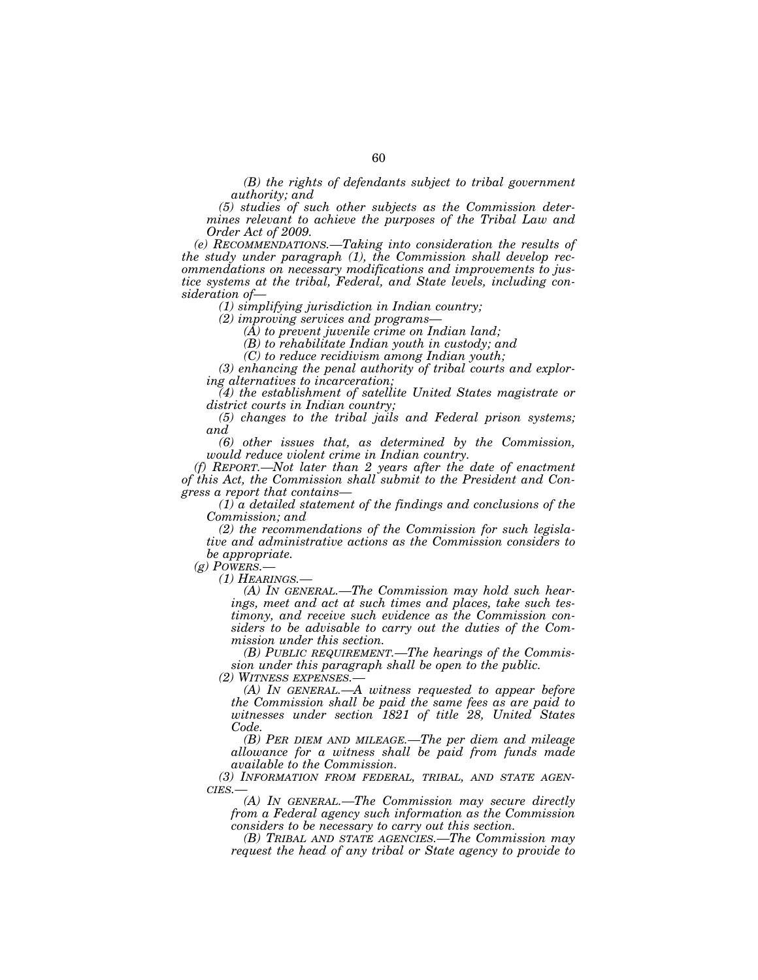*(B) the rights of defendants subject to tribal government authority; and* 

*(5) studies of such other subjects as the Commission determines relevant to achieve the purposes of the Tribal Law and Order Act of 2009.* 

*(e) RECOMMENDATIONS.—Taking into consideration the results of the study under paragraph (1), the Commission shall develop recommendations on necessary modifications and improvements to justice systems at the tribal, Federal, and State levels, including consideration of—* 

*(1) simplifying jurisdiction in Indian country;* 

*(2) improving services and programs—* 

*(A) to prevent juvenile crime on Indian land;* 

*(B) to rehabilitate Indian youth in custody; and* 

*(C) to reduce recidivism among Indian youth;* 

*(3) enhancing the penal authority of tribal courts and exploring alternatives to incarceration;* 

*(4) the establishment of satellite United States magistrate or district courts in Indian country;* 

*(5) changes to the tribal jails and Federal prison systems; and* 

*(6) other issues that, as determined by the Commission, would reduce violent crime in Indian country.* 

*(f) REPORT.—Not later than 2 years after the date of enactment of this Act, the Commission shall submit to the President and Congress a report that contains—* 

*(1) a detailed statement of the findings and conclusions of the Commission; and* 

*(2) the recommendations of the Commission for such legislative and administrative actions as the Commission considers to be appropriate.* 

*(g) POWERS.—* 

(A) IN GENERAL,—The Commission may hold such hear*ings, meet and act at such times and places, take such testimony, and receive such evidence as the Commission considers to be advisable to carry out the duties of the Commission under this section.* 

*(B) PUBLIC REQUIREMENT.—The hearings of the Commission under this paragraph shall be open to the public.* 

*(2) WITNESS EXPENSES.—* 

*(A) IN GENERAL.—A witness requested to appear before the Commission shall be paid the same fees as are paid to witnesses under section 1821 of title 28, United States Code.* 

*(B) PER DIEM AND MILEAGE.—The per diem and mileage allowance for a witness shall be paid from funds made available to the Commission.* 

*(3) INFORMATION FROM FEDERAL, TRIBAL, AND STATE AGEN- CIES.—* 

*(A) IN GENERAL.—The Commission may secure directly from a Federal agency such information as the Commission considers to be necessary to carry out this section.* 

*(B) TRIBAL AND STATE AGENCIES.—The Commission may request the head of any tribal or State agency to provide to*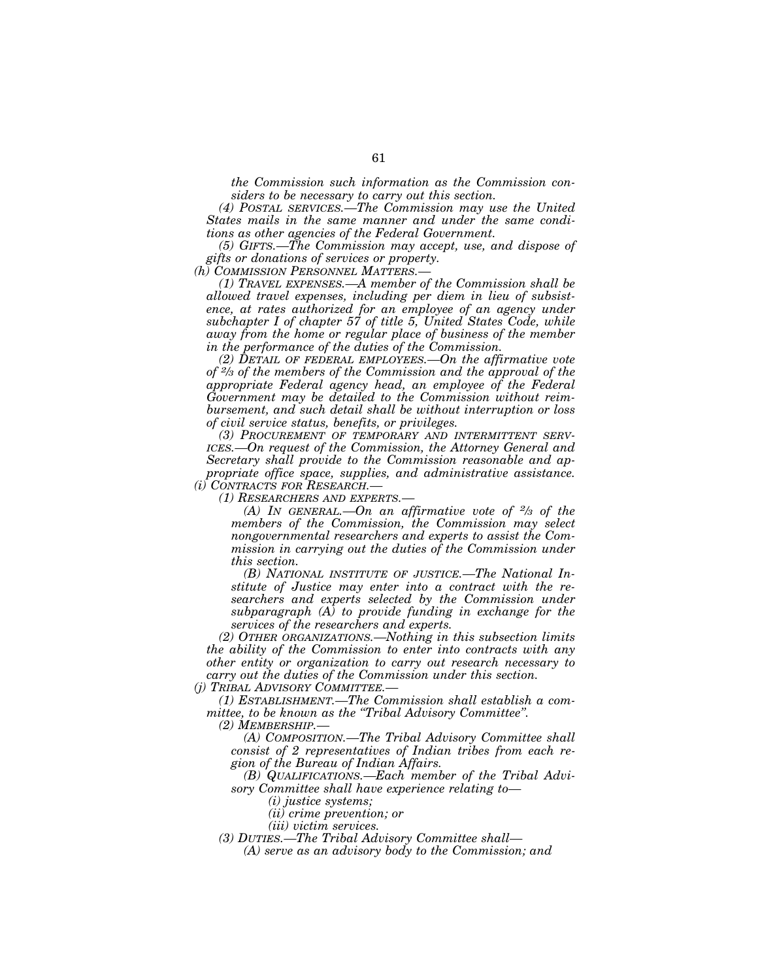*the Commission such information as the Commission considers to be necessary to carry out this section.* 

*(4) POSTAL SERVICES.—The Commission may use the United States mails in the same manner and under the same conditions as other agencies of the Federal Government.* 

*(5) GIFTS.—The Commission may accept, use, and dispose of gifts or donations of services or property.* 

*(h) COMMISSION PERSONNEL MATTERS.—* 

*(1) TRAVEL EXPENSES.—A member of the Commission shall be allowed travel expenses, including per diem in lieu of subsistence, at rates authorized for an employee of an agency under subchapter I of chapter 57 of title 5, United States Code, while away from the home or regular place of business of the member in the performance of the duties of the Commission.* 

*(2) DETAIL OF FEDERAL EMPLOYEES.—On the affirmative vote of 2⁄3 of the members of the Commission and the approval of the appropriate Federal agency head, an employee of the Federal Government may be detailed to the Commission without reimbursement, and such detail shall be without interruption or loss of civil service status, benefits, or privileges.* 

*(3) PROCUREMENT OF TEMPORARY AND INTERMITTENT SERV-ICES.—On request of the Commission, the Attorney General and Secretary shall provide to the Commission reasonable and appropriate office space, supplies, and administrative assistance. (i) CONTRACTS FOR RESEARCH.—* 

*(1) RESEARCHERS AND EXPERTS.—* 

*(A) IN GENERAL.—On an affirmative vote of 2⁄3 of the members of the Commission, the Commission may select nongovernmental researchers and experts to assist the Commission in carrying out the duties of the Commission under this section.* 

*(B) NATIONAL INSTITUTE OF JUSTICE.—The National Institute of Justice may enter into a contract with the researchers and experts selected by the Commission under subparagraph (A) to provide funding in exchange for the services of the researchers and experts.* 

*(2) OTHER ORGANIZATIONS.—Nothing in this subsection limits the ability of the Commission to enter into contracts with any other entity or organization to carry out research necessary to carry out the duties of the Commission under this section.* 

*(j) TRIBAL ADVISORY COMMITTEE.—* 

*(1) ESTABLISHMENT.—The Commission shall establish a committee, to be known as the ''Tribal Advisory Committee''.* 

*(2) MEMBERSHIP.—* 

*(A) COMPOSITION.—The Tribal Advisory Committee shall consist of 2 representatives of Indian tribes from each region of the Bureau of Indian Affairs.* 

*(B) QUALIFICATIONS.—Each member of the Tribal Advisory Committee shall have experience relating to—* 

*(i) justice systems;* 

*(ii) crime prevention; or* 

*(iii) victim services.* 

*(3) DUTIES.—The Tribal Advisory Committee shall—* 

*(A) serve as an advisory body to the Commission; and*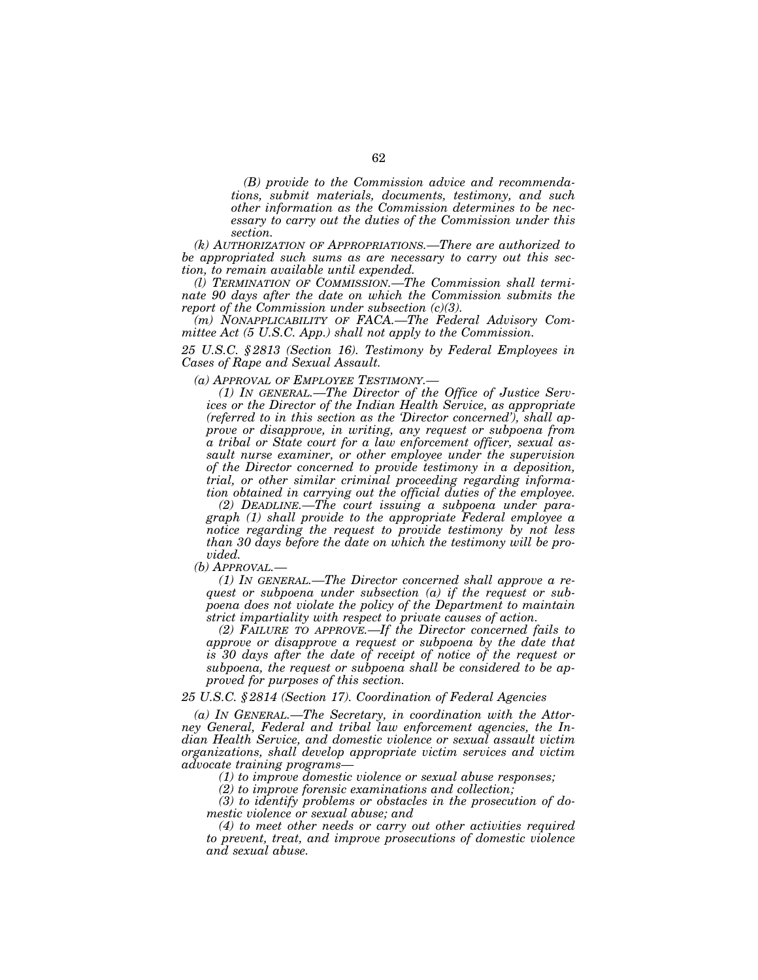*(B) provide to the Commission advice and recommendations, submit materials, documents, testimony, and such other information as the Commission determines to be necessary to carry out the duties of the Commission under this section.* 

*(k) AUTHORIZATION OF APPROPRIATIONS.—There are authorized to be appropriated such sums as are necessary to carry out this section, to remain available until expended.* 

*(l) TERMINATION OF COMMISSION.—The Commission shall terminate 90 days after the date on which the Commission submits the report of the Commission under subsection (c)(3).* 

*(m) NONAPPLICABILITY OF FACA.—The Federal Advisory Committee Act (5 U.S.C. App.) shall not apply to the Commission.* 

*25 U.S.C. § 2813 (Section 16). Testimony by Federal Employees in Cases of Rape and Sexual Assault.* 

*(a) APPROVAL OF EMPLOYEE TESTIMONY.—* 

*(1) IN GENERAL.—The Director of the Office of Justice Services or the Director of the Indian Health Service, as appropriate (referred to in this section as the 'Director concerned'), shall approve or disapprove, in writing, any request or subpoena from a tribal or State court for a law enforcement officer, sexual assault nurse examiner, or other employee under the supervision of the Director concerned to provide testimony in a deposition, trial, or other similar criminal proceeding regarding information obtained in carrying out the official duties of the employee.* 

*(2) DEADLINE.—The court issuing a subpoena under paragraph (1) shall provide to the appropriate Federal employee a notice regarding the request to provide testimony by not less than 30 days before the date on which the testimony will be provided.* 

*(b) APPROVAL.—* 

*(1) IN GENERAL.—The Director concerned shall approve a request or subpoena under subsection (a) if the request or subpoena does not violate the policy of the Department to maintain strict impartiality with respect to private causes of action.* 

*(2) FAILURE TO APPROVE.—If the Director concerned fails to approve or disapprove a request or subpoena by the date that is 30 days after the date of receipt of notice of the request or subpoena, the request or subpoena shall be considered to be approved for purposes of this section.* 

# *25 U.S.C. § 2814 (Section 17). Coordination of Federal Agencies*

*(a) IN GENERAL.—The Secretary, in coordination with the Attorney General, Federal and tribal law enforcement agencies, the Indian Health Service, and domestic violence or sexual assault victim organizations, shall develop appropriate victim services and victim advocate training programs—* 

*(1) to improve domestic violence or sexual abuse responses;* 

*(2) to improve forensic examinations and collection;* 

*(3) to identify problems or obstacles in the prosecution of domestic violence or sexual abuse; and* 

*(4) to meet other needs or carry out other activities required to prevent, treat, and improve prosecutions of domestic violence and sexual abuse.*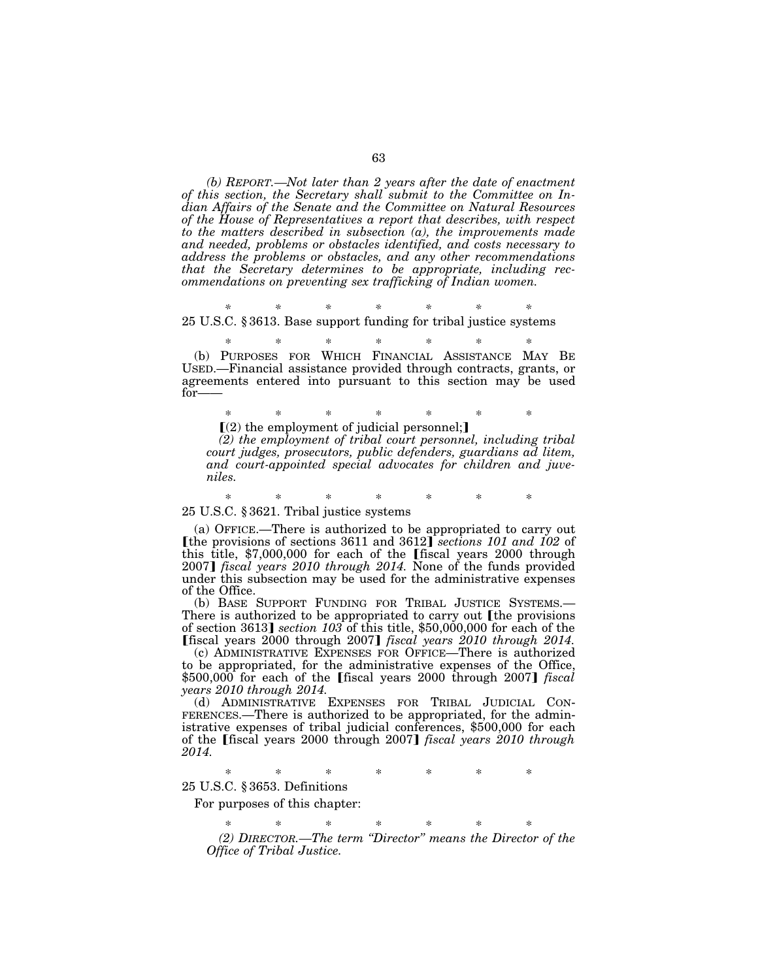*(b) REPORT.—Not later than 2 years after the date of enactment of this section, the Secretary shall submit to the Committee on Indian Affairs of the Senate and the Committee on Natural Resources of the House of Representatives a report that describes, with respect to the matters described in subsection (a), the improvements made and needed, problems or obstacles identified, and costs necessary to address the problems or obstacles, and any other recommendations that the Secretary determines to be appropriate, including recommendations on preventing sex trafficking of Indian women.* 

*\* \* \* \* \* \* \**  25 U.S.C. § 3613. Base support funding for tribal justice systems

\* \* \* \* \* \* \* (b) PURPOSES FOR WHICH FINANCIAL ASSISTANCE MAY BE USED.—Financial assistance provided through contracts, grants, or agreements entered into pursuant to this section may be used for——

\* \* \* \* \* \* \*  $\Gamma(2)$  the employment of judicial personnel;

*(2) the employment of tribal court personnel, including tribal court judges, prosecutors, public defenders, guardians ad litem, and court-appointed special advocates for children and juveniles.* 

\* \* \* \* \* \* \* 25 U.S.C. § 3621. Tribal justice systems

(a) OFFICE.—There is authorized to be appropriated to carry out **[the provisions of sections 3611 and 3612]** *sections 101 and 102 of* this title,  $$7,000,000$  for each of the [fiscal years 2000 through 2007] *fiscal years 2010 through 2014*. None of the funds provided under this subsection may be used for the administrative expenses of the Office.

(b) BASE SUPPORT FUNDING FOR TRIBAL JUSTICE SYSTEMS.— There is authorized to be appropriated to carry out [the provisions of section 3613¿ *section 103* of this title, \$50,000,000 for each of the **[fiscal years 2000 through 2007]** *fiscal years 2010 through 2014***.** 

(c) ADMINISTRATIVE EXPENSES FOR OFFICE—There is authorized to be appropriated, for the administrative expenses of the Office, \$500,000 for each of the [fiscal years 2000 through 2007] *fiscal years 2010 through 2014.* 

(d) ADMINISTRATIVE EXPENSES FOR TRIBAL JUDICIAL CON-FERENCES.—There is authorized to be appropriated, for the administrative expenses of tribal judicial conferences, \$500,000 for each of the [fiscal years 2000 through 2007] *fiscal years 2010 through 2014.* 

\* \* \* \* \* \* \*

25 U.S.C. § 3653. Definitions

For purposes of this chapter:

\* \* \* \* \* \* \* *(2) DIRECTOR.—The term ''Director'' means the Director of the Office of Tribal Justice.*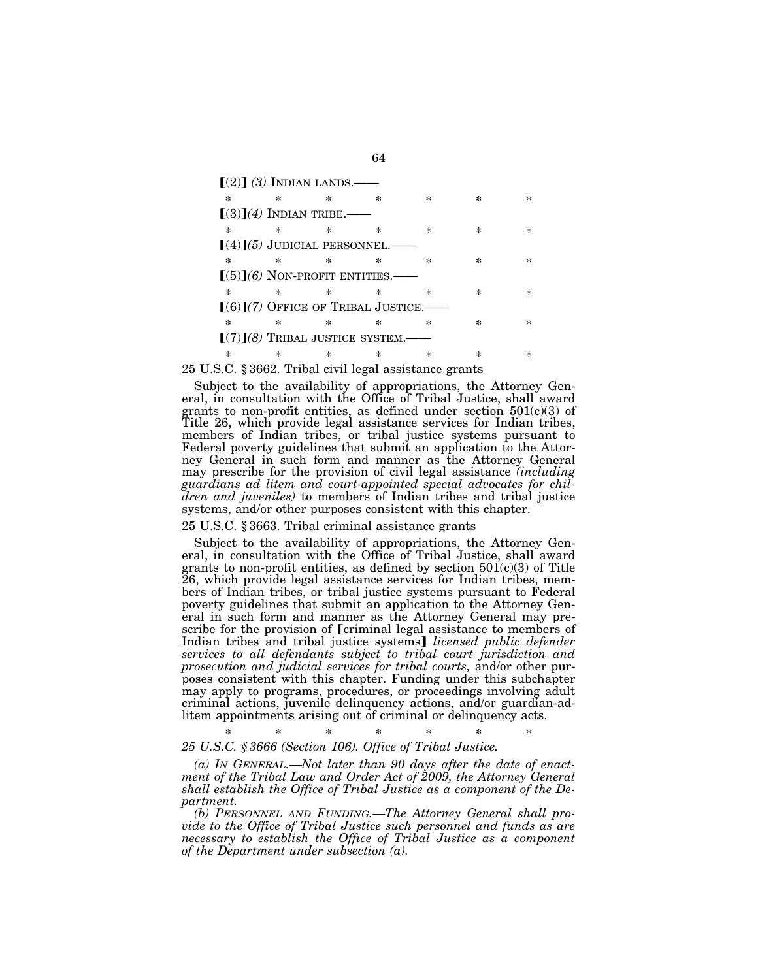| $(2)$ (3) INDIAN LANDS.——                    |        |        |        |        |           |        |
|----------------------------------------------|--------|--------|--------|--------|-----------|--------|
| $\ast$                                       | $\ast$ | $\ast$ | $\ast$ | ×      | $^{\ast}$ | $\ast$ |
| $(3)(4)$ INDIAN TRIBE.——                     |        |        |        |        |           |        |
| $\ast$                                       | $\ast$ | $\ast$ | $\ast$ | $\ast$ | $\ast$    | ×      |
| $\lceil (4) \rceil (5)$ JUDICIAL PERSONNEL.— |        |        |        |        |           |        |
| $\ast$                                       | $\ast$ | ×      | $\ast$ | $\ast$ | ×         | ×      |
| $(5)$ $(6)$ NON-PROFIT ENTITIES.             |        |        |        |        |           |        |
| $\ast$                                       | $\ast$ | $\ast$ | $\ast$ | *      | $\ast$    | ×      |
| $[(6)](7)$ Office of Tribal Justice.—        |        |        |        |        |           |        |
| $\ast$                                       | $\ast$ | ×      |        | ×      | ×         |        |
| $[(7)](8)$ TRIBAL JUSTICE SYSTEM.—           |        |        |        |        |           |        |
| $\ast$                                       |        |        |        | ×      |           |        |

## 25 U.S.C. § 3662. Tribal civil legal assistance grants

Subject to the availability of appropriations, the Attorney General, in consultation with the Office of Tribal Justice, shall award grants to non-profit entities, as defined under section  $501(c)(3)$  of Title 26, which provide legal assistance services for Indian tribes, members of Indian tribes, or tribal justice systems pursuant to Federal poverty guidelines that submit an application to the Attorney General in such form and manner as the Attorney General may prescribe for the provision of civil legal assistance *(including guardians ad litem and court-appointed special advocates for children and juveniles)* to members of Indian tribes and tribal justice systems, and/or other purposes consistent with this chapter.

## 25 U.S.C. § 3663. Tribal criminal assistance grants

Subject to the availability of appropriations, the Attorney General, in consultation with the Office of Tribal Justice, shall award grants to non-profit entities, as defined by section 501(c)(3) of Title 26, which provide legal assistance services for Indian tribes, members of Indian tribes, or tribal justice systems pursuant to Federal poverty guidelines that submit an application to the Attorney General in such form and manner as the Attorney General may prescribe for the provision of [criminal legal assistance to members of Indian tribes and tribal justice systems] *licensed public defender services to all defendants subject to tribal court jurisdiction and prosecution and judicial services for tribal courts,* and/or other purposes consistent with this chapter. Funding under this subchapter may apply to programs, procedures, or proceedings involving adult criminal actions, juvenile delinquency actions, and/or guardian-adlitem appointments arising out of criminal or delinquency acts.

#### \* \* \* \* \* \* \* *25 U.S.C. § 3666 (Section 106). Office of Tribal Justice.*

*(a) IN GENERAL.—Not later than 90 days after the date of enactment of the Tribal Law and Order Act of 2009, the Attorney General shall establish the Office of Tribal Justice as a component of the Department.* 

*(b) PERSONNEL AND FUNDING.—The Attorney General shall provide to the Office of Tribal Justice such personnel and funds as are necessary to establish the Office of Tribal Justice as a component of the Department under subsection (a).*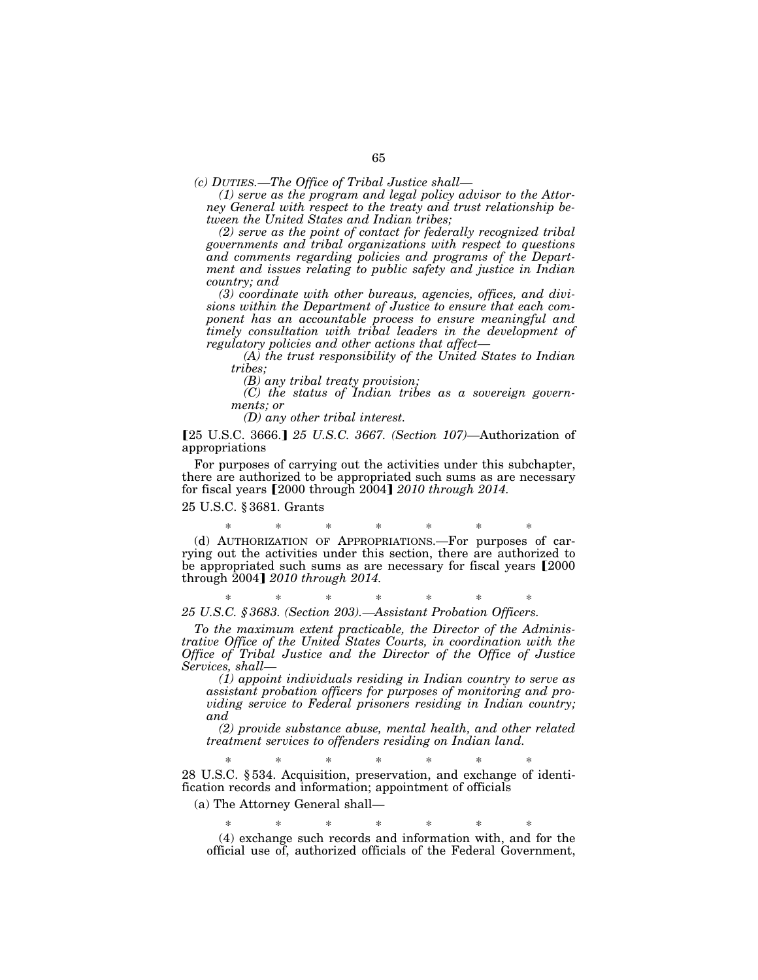*(c) DUTIES.—The Office of Tribal Justice shall—* 

*(1) serve as the program and legal policy advisor to the Attorney General with respect to the treaty and trust relationship between the United States and Indian tribes;* 

*(2) serve as the point of contact for federally recognized tribal governments and tribal organizations with respect to questions and comments regarding policies and programs of the Department and issues relating to public safety and justice in Indian country; and* 

*(3) coordinate with other bureaus, agencies, offices, and divisions within the Department of Justice to ensure that each component has an accountable process to ensure meaningful and timely consultation with tribal leaders in the development of regulatory policies and other actions that affect—* 

*(A) the trust responsibility of the United States to Indian tribes;* 

*(B) any tribal treaty provision;* 

*(C) the status of Indian tribes as a sovereign governments; or* 

*(D) any other tribal interest.* 

[25 U.S.C. 3666.] 25 U.S.C. 3667. (Section 107)-Authorization of appropriations

For purposes of carrying out the activities under this subchapter, there are authorized to be appropriated such sums as are necessary for fiscal years [2000 through 2004] 2010 through 2014.

25 U.S.C. § 3681. Grants

\* \* \* \* \* \* \* (d) AUTHORIZATION OF APPROPRIATIONS.—For purposes of carrying out the activities under this section, there are authorized to be appropriated such sums as are necessary for fiscal years [2000] through 2004] 2010 through 2014.

\* \* \* \* \* \* \* *25 U.S.C. § 3683. (Section 203).—Assistant Probation Officers.* 

*To the maximum extent practicable, the Director of the Administrative Office of the United States Courts, in coordination with the Office of Tribal Justice and the Director of the Office of Justice Services, shall—* 

*(1) appoint individuals residing in Indian country to serve as assistant probation officers for purposes of monitoring and providing service to Federal prisoners residing in Indian country; and* 

*(2) provide substance abuse, mental health, and other related treatment services to offenders residing on Indian land.* 

\* \* \* \* \* \* \* 28 U.S.C. § 534. Acquisition, preservation, and exchange of identification records and information; appointment of officials

(a) The Attorney General shall—

\* \* \* \* \* \* \* (4) exchange such records and information with, and for the official use of, authorized officials of the Federal Government,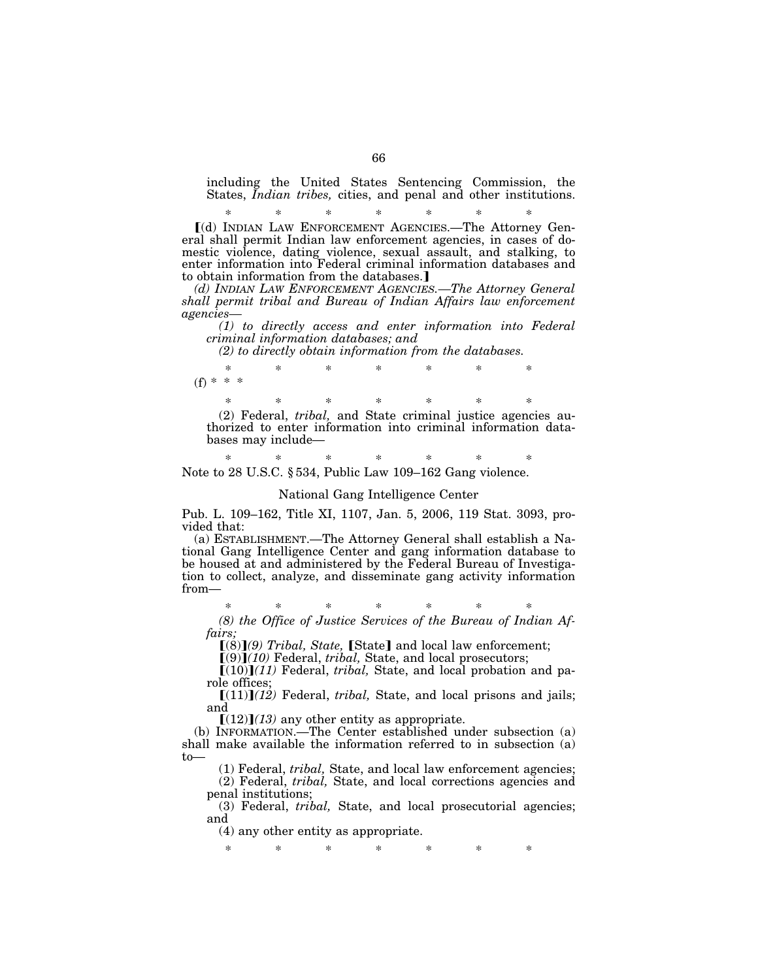including the United States Sentencing Commission, the States, *Indian tribes,* cities, and penal and other institutions.

\* \* \* \* \* \* \* ø(d) INDIAN LAW ENFORCEMENT AGENCIES.—The Attorney General shall permit Indian law enforcement agencies, in cases of domestic violence, dating violence, sexual assault, and stalking, to enter information into Federal criminal information databases and to obtain information from the databases.]

*(d) INDIAN LAW ENFORCEMENT AGENCIES.—The Attorney General shall permit tribal and Bureau of Indian Affairs law enforcement agencies—* 

*(1) to directly access and enter information into Federal criminal information databases; and* 

*(2) to directly obtain information from the databases.* 

\* \* \* \* \* \* \*  $(f) * * * *$ 

\* \* \* \* \* \* \*

(2) Federal, *tribal,* and State criminal justice agencies authorized to enter information into criminal information databases may include—

\* \* \* \* \* \* \* Note to 28 U.S.C. § 534, Public Law 109–162 Gang violence.

### National Gang Intelligence Center

Pub. L. 109–162, Title XI, 1107, Jan. 5, 2006, 119 Stat. 3093, provided that:

(a) ESTABLISHMENT.—The Attorney General shall establish a National Gang Intelligence Center and gang information database to be housed at and administered by the Federal Bureau of Investigation to collect, analyze, and disseminate gang activity information from—

\* \* \* \* \* \* \* *(8) the Office of Justice Services of the Bureau of Indian Af-*

*fairs;* 

[(8)](9) Tribal, State, [State] and local law enforcement;

 $[(9)](10)$  Federal, *tribal*, State, and local prosecutors;

 $[(10)](11)$  Federal, *tribal*, State, and local probation and parole offices;

 $[(11)]$  $(12)$  Federal, *tribal*, State, and local prisons and jails; and

 $[(12)](13)$  any other entity as appropriate.

(b) INFORMATION.—The Center established under subsection (a) shall make available the information referred to in subsection (a) to—

(1) Federal, *tribal,* State, and local law enforcement agencies; (2) Federal, *tribal,* State, and local corrections agencies and penal institutions;

(3) Federal, *tribal,* State, and local prosecutorial agencies; and

(4) any other entity as appropriate.

\* \* \* \* \* \* \*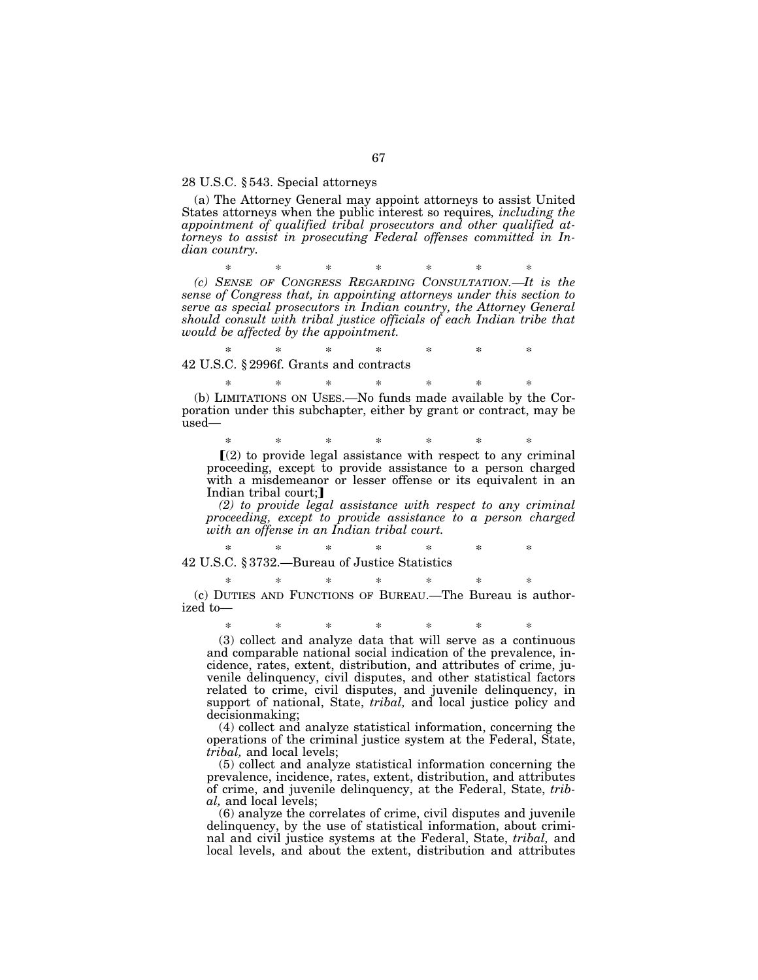#### 28 U.S.C. § 543. Special attorneys

(a) The Attorney General may appoint attorneys to assist United States attorneys when the public interest so requires*, including the appointment of qualified tribal prosecutors and other qualified attorneys to assist in prosecuting Federal offenses committed in Indian country.* 

\* \* \* \* \* \* \*

*(c) SENSE OF CONGRESS REGARDING CONSULTATION.—It is the sense of Congress that, in appointing attorneys under this section to serve as special prosecutors in Indian country, the Attorney General should consult with tribal justice officials of each Indian tribe that would be affected by the appointment.* 

\* \* \* \* \* \* \* 42 U.S.C. § 2996f. Grants and contracts

\* \* \* \* \* \* \* (b) LIMITATIONS ON USES.—No funds made available by the Corporation under this subchapter, either by grant or contract, may be used—

\* \* \* \* \* \* \*  $(2)$  to provide legal assistance with respect to any criminal proceeding, except to provide assistance to a person charged with a misdemeanor or lesser offense or its equivalent in an Indian tribal court;

*(2) to provide legal assistance with respect to any criminal proceeding, except to provide assistance to a person charged with an offense in an Indian tribal court.* 

\* \* \* \* \* \* \*

42 U.S.C. § 3732.—Bureau of Justice Statistics

\* \* \* \* \* \* \* (c) DUTIES AND FUNCTIONS OF BUREAU.—The Bureau is authorized to—

\* \* \* \* \* \* \*

(3) collect and analyze data that will serve as a continuous and comparable national social indication of the prevalence, incidence, rates, extent, distribution, and attributes of crime, juvenile delinquency, civil disputes, and other statistical factors related to crime, civil disputes, and juvenile delinquency, in support of national, State, *tribal,* and local justice policy and decisionmaking;

(4) collect and analyze statistical information, concerning the operations of the criminal justice system at the Federal, State, *tribal,* and local levels;

(5) collect and analyze statistical information concerning the prevalence, incidence, rates, extent, distribution, and attributes of crime, and juvenile delinquency, at the Federal, State, *tribal,* and local levels;

(6) analyze the correlates of crime, civil disputes and juvenile delinquency, by the use of statistical information, about criminal and civil justice systems at the Federal, State, *tribal,* and local levels, and about the extent, distribution and attributes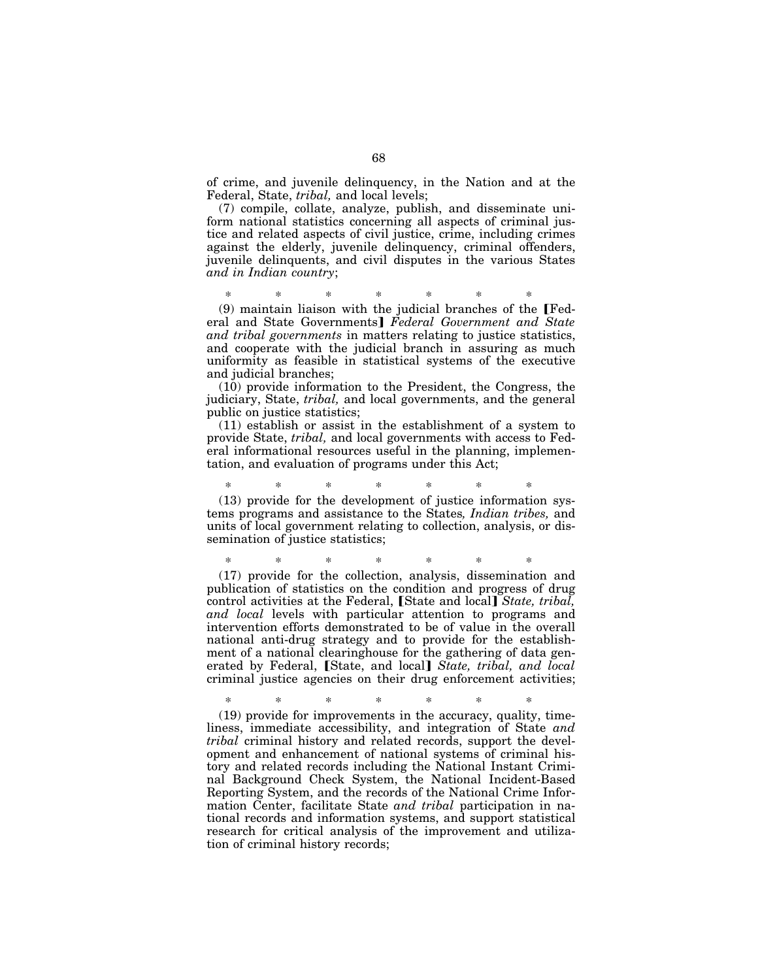of crime, and juvenile delinquency, in the Nation and at the Federal, State, *tribal,* and local levels;

(7) compile, collate, analyze, publish, and disseminate uniform national statistics concerning all aspects of criminal justice and related aspects of civil justice, crime, including crimes against the elderly, juvenile delinquency, criminal offenders, juvenile delinquents, and civil disputes in the various States *and in Indian country*;

\* \* \* \* \* \* \*

 $(9)$  maintain liaison with the judicial branches of the [Federal and State Governments] Federal Government and State *and tribal governments* in matters relating to justice statistics, and cooperate with the judicial branch in assuring as much uniformity as feasible in statistical systems of the executive and judicial branches;

(10) provide information to the President, the Congress, the judiciary, State, *tribal,* and local governments, and the general public on justice statistics;

(11) establish or assist in the establishment of a system to provide State, *tribal,* and local governments with access to Federal informational resources useful in the planning, implementation, and evaluation of programs under this Act;

# \* \* \* \* \* \* \* (13) provide for the development of justice information sys-

tems programs and assistance to the States*, Indian tribes,* and units of local government relating to collection, analysis, or dissemination of justice statistics;

\* \* \* \* \* \* \*

(17) provide for the collection, analysis, dissemination and publication of statistics on the condition and progress of drug control activities at the Federal, [State and local] *State, tribal*, *and local* levels with particular attention to programs and intervention efforts demonstrated to be of value in the overall national anti-drug strategy and to provide for the establishment of a national clearinghouse for the gathering of data generated by Federal, [State, and local] State, tribal, and local criminal justice agencies on their drug enforcement activities;

\* \* \* \* \* \* \*

(19) provide for improvements in the accuracy, quality, timeliness, immediate accessibility, and integration of State *and tribal* criminal history and related records, support the development and enhancement of national systems of criminal history and related records including the National Instant Criminal Background Check System, the National Incident-Based Reporting System, and the records of the National Crime Information Center, facilitate State *and tribal* participation in national records and information systems, and support statistical research for critical analysis of the improvement and utilization of criminal history records;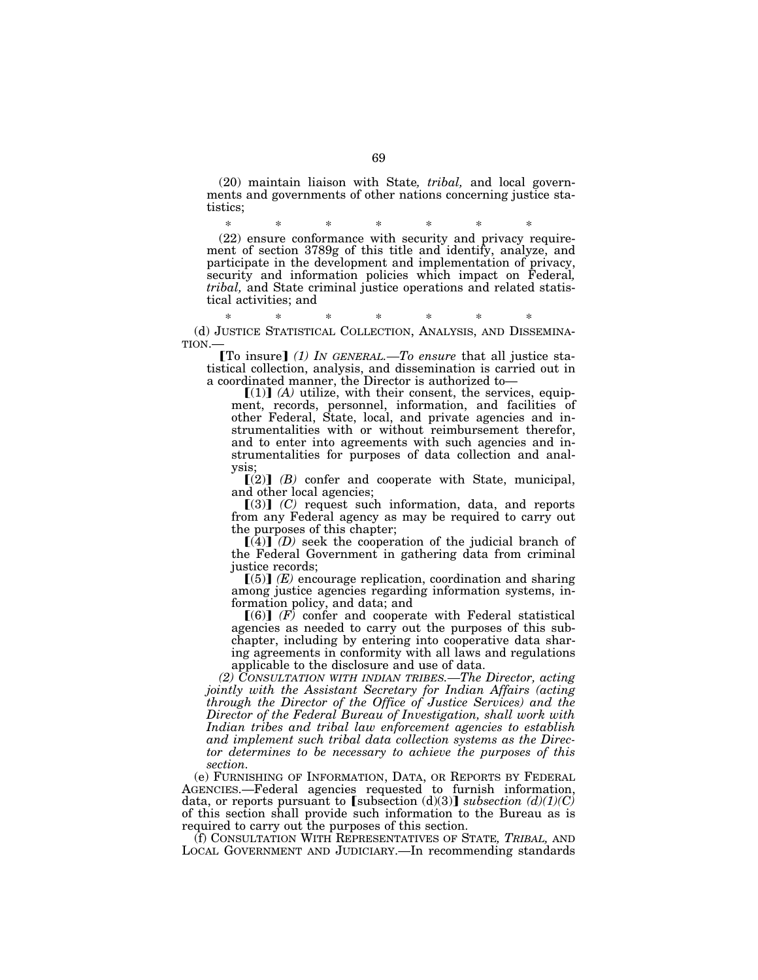(20) maintain liaison with State*, tribal,* and local governments and governments of other nations concerning justice statistics;

\* \* \* \* \* \* \* (22) ensure conformance with security and privacy requirement of section 3789g of this title and identify, analyze, and participate in the development and implementation of privacy, security and information policies which impact on Federal, tribal, and State criminal justice operations and related statistical activities; and

\* \* \* \* \* \* \* (d) JUSTICE STATISTICAL COLLECTION, ANALYSIS, AND DISSEMINATION.—

**[To insure]** (1) IN GENERAL.—To ensure that all justice statistical collection, analysis, and dissemination is carried out in a coordinated manner, the Director is authorized to—

 $[(1)]$   $(A)$  utilize, with their consent, the services, equipment, records, personnel, information, and facilities of other Federal, State, local, and private agencies and instrumentalities with or without reimbursement therefor, and to enter into agreements with such agencies and instrumentalities for purposes of data collection and analysis;

 $\lceil (2) \rceil$  *(B)* confer and cooperate with State, municipal, and other local agencies;

 $[(3)]$   $(C)$  request such information, data, and reports from any Federal agency as may be required to carry out the purposes of this chapter;

 $[(4)]$  *(D)* seek the cooperation of the judicial branch of the Federal Government in gathering data from criminal justice records;

 $[(5)]$   $(E)$  encourage replication, coordination and sharing among justice agencies regarding information systems, information policy, and data; and

 $[(6)]$   $(F)$  confer and cooperate with Federal statistical agencies as needed to carry out the purposes of this subchapter, including by entering into cooperative data sharing agreements in conformity with all laws and regulations applicable to the disclosure and use of data.

*(2) CONSULTATION WITH INDIAN TRIBES.—The Director, acting jointly with the Assistant Secretary for Indian Affairs (acting through the Director of the Office of Justice Services) and the Director of the Federal Bureau of Investigation, shall work with Indian tribes and tribal law enforcement agencies to establish and implement such tribal data collection systems as the Director determines to be necessary to achieve the purposes of this section.* 

(e) FURNISHING OF INFORMATION, DATA, OR REPORTS BY FEDERAL AGENCIES.—Federal agencies requested to furnish information, data, or reports pursuant to [subsection  $(d)(3)$ ] *subsection*  $(d)(1)(C)$ of this section shall provide such information to the Bureau as is required to carry out the purposes of this section.

(f) CONSULTATION WITH REPRESENTATIVES OF STATE*, TRIBAL,* AND LOCAL GOVERNMENT AND JUDICIARY.—In recommending standards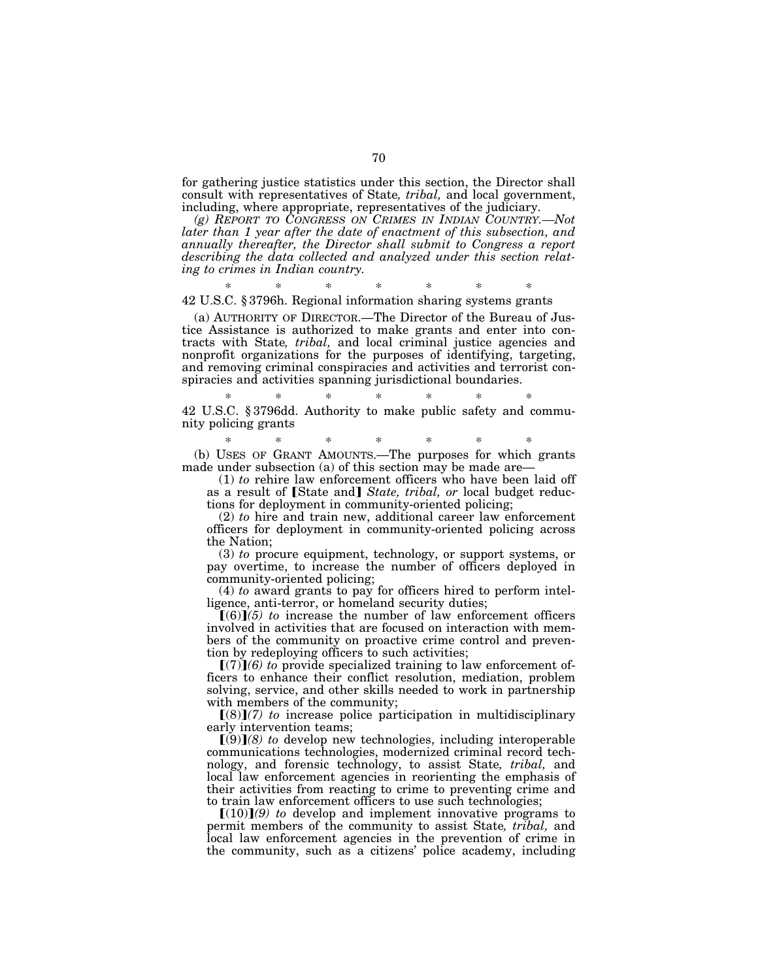for gathering justice statistics under this section, the Director shall consult with representatives of State*, tribal,* and local government, including, where appropriate, representatives of the judiciary.

*(g) REPORT TO CONGRESS ON CRIMES IN INDIAN COUNTRY.—Not later than 1 year after the date of enactment of this subsection, and annually thereafter, the Director shall submit to Congress a report describing the data collected and analyzed under this section relating to crimes in Indian country.* 

\* \* \* \* \* \* \*

42 U.S.C. § 3796h. Regional information sharing systems grants

(a) AUTHORITY OF DIRECTOR.—The Director of the Bureau of Justice Assistance is authorized to make grants and enter into contracts with State*, tribal,* and local criminal justice agencies and nonprofit organizations for the purposes of identifying, targeting, and removing criminal conspiracies and activities and terrorist conspiracies and activities spanning jurisdictional boundaries.

\* \* \* \* \* \* \* 42 U.S.C. § 3796dd. Authority to make public safety and community policing grants

\* \* \* \* \* \* \*

(b) USES OF GRANT AMOUNTS.—The purposes for which grants made under subsection (a) of this section may be made are—

(1) *to* rehire law enforcement officers who have been laid off as a result of [State and] *State, tribal, or* local budget reductions for deployment in community-oriented policing;

(2) *to* hire and train new, additional career law enforcement officers for deployment in community-oriented policing across the Nation;

(3) *to* procure equipment, technology, or support systems, or pay overtime, to increase the number of officers deployed in community-oriented policing;

(4) *to* award grants to pay for officers hired to perform intelligence, anti-terror, or homeland security duties;

 $(6)$  $(5)$  to increase the number of law enforcement officers involved in activities that are focused on interaction with members of the community on proactive crime control and prevention by redeploying officers to such activities;

 $[(7)](6)$  to provide specialized training to law enforcement officers to enhance their conflict resolution, mediation, problem solving, service, and other skills needed to work in partnership with members of the community;

 $[(8)](7)$  to increase police participation in multidisciplinary early intervention teams;

 $(9)(8)$  to develop new technologies, including interoperable communications technologies, modernized criminal record technology, and forensic technology, to assist State*, tribal,* and local law enforcement agencies in reorienting the emphasis of their activities from reacting to crime to preventing crime and to train law enforcement officers to use such technologies;

 $[(10)](9)$  to develop and implement innovative programs to permit members of the community to assist State*, tribal,* and local law enforcement agencies in the prevention of crime in the community, such as a citizens' police academy, including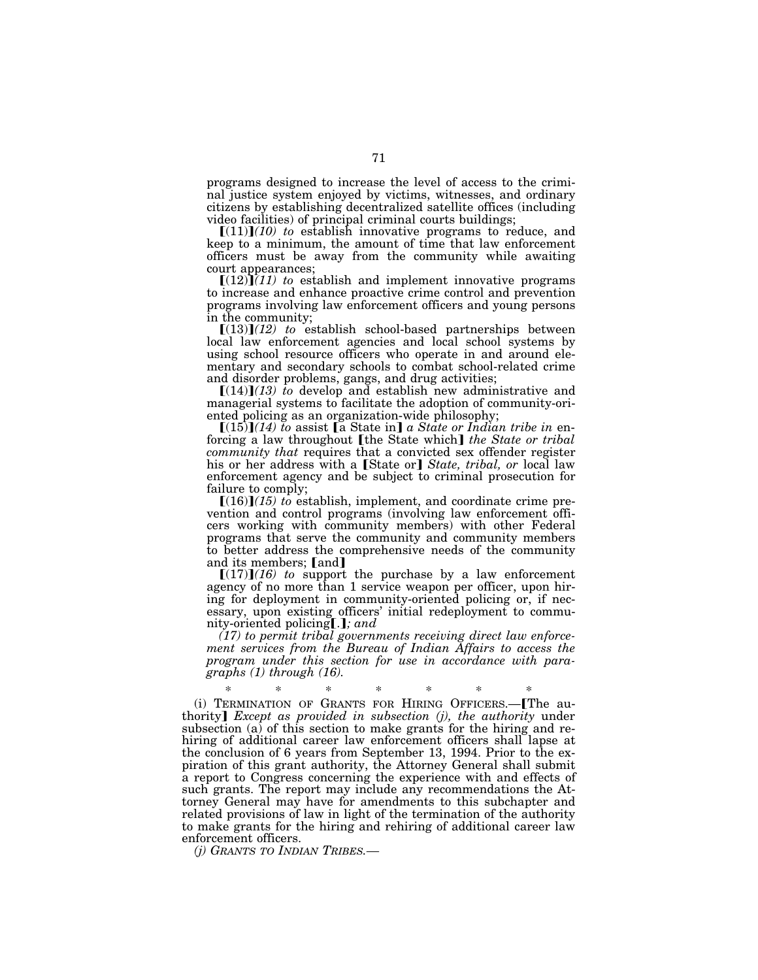programs designed to increase the level of access to the criminal justice system enjoyed by victims, witnesses, and ordinary citizens by establishing decentralized satellite offices (including video facilities) of principal criminal courts buildings;

 $[(11)](10)$  to establish innovative programs to reduce, and keep to a minimum, the amount of time that law enforcement officers must be away from the community while awaiting

court appearances;<br>  $[(12)](11)$  to establish and implement innovative programs to increase and enhance proactive crime control and prevention programs involving law enforcement officers and young persons in the community;

 $[(13)](12)$  to establish school-based partnerships between local law enforcement agencies and local school systems by using school resource officers who operate in and around elementary and secondary schools to combat school-related crime

and disorder problems, gangs, and drug activities;<br>
[(14)]*(13) to* develop and establish new administrative and managerial systems to facilitate the adoption of community-oriented policing as an organization-wide philosophy;

 $[(15)](14)$  to assist [a State in] a State or Indian tribe in enforcing a law throughout **[the State which]** *the State or tribal community that* requires that a convicted sex offender register his or her address with a [State or] *State, tribal, or* local law enforcement agency and be subject to criminal prosecution for failure to comply;

 $[(16)](15)$  to establish, implement, and coordinate crime prevention and control programs (involving law enforcement officers working with community members) with other Federal programs that serve the community and community members to better address the comprehensive needs of the community and its members; [and]

 $[(17)](16)$  to support the purchase by a law enforcement agency of no more than 1 service weapon per officer, upon hiring for deployment in community-oriented policing or, if necessary, upon existing officers' initial redeployment to community-oriented policing[.]; and

*(17) to permit tribal governments receiving direct law enforcement services from the Bureau of Indian Affairs to access the program under this section for use in accordance with paragraphs (1) through (16).* 

\* \* \* \* \* \* \* (i) TERMINATION OF GRANTS FOR HIRING OFFICERS.—øThe authority¿ *Except as provided in subsection (j), the authority* under subsection (a) of this section to make grants for the hiring and rehiring of additional career law enforcement officers shall lapse at the conclusion of 6 years from September 13, 1994. Prior to the expiration of this grant authority, the Attorney General shall submit a report to Congress concerning the experience with and effects of such grants. The report may include any recommendations the Attorney General may have for amendments to this subchapter and related provisions of law in light of the termination of the authority to make grants for the hiring and rehiring of additional career law enforcement officers.

*(j) GRANTS TO INDIAN TRIBES.—*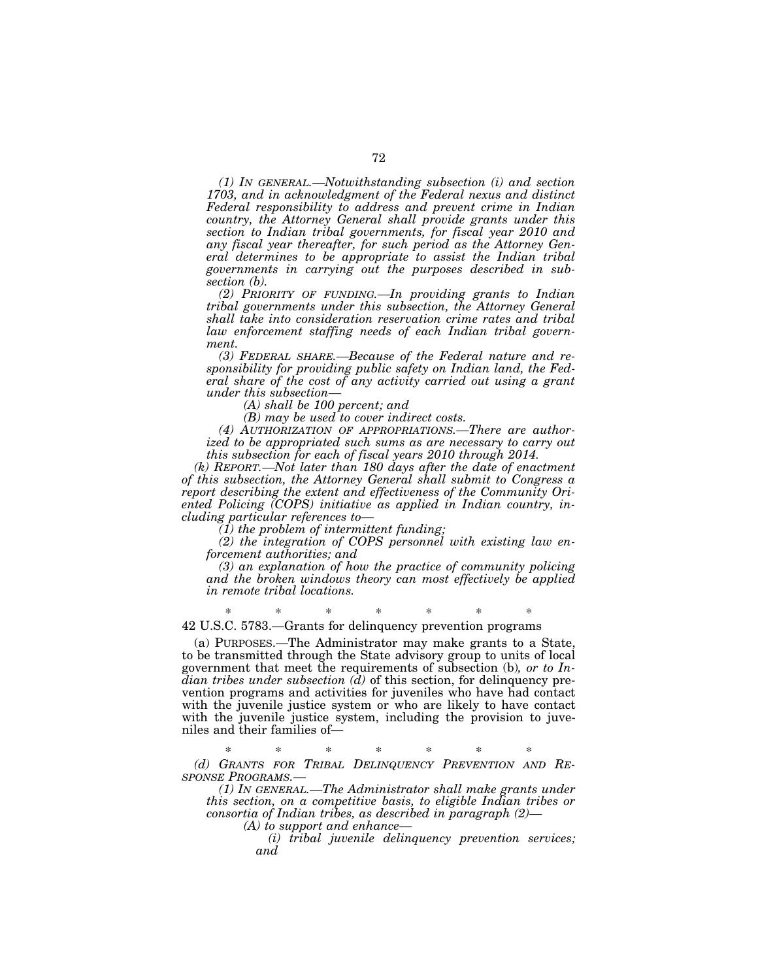*(1) IN GENERAL.—Notwithstanding subsection (i) and section 1703, and in acknowledgment of the Federal nexus and distinct Federal responsibility to address and prevent crime in Indian country, the Attorney General shall provide grants under this section to Indian tribal governments, for fiscal year 2010 and any fiscal year thereafter, for such period as the Attorney General determines to be appropriate to assist the Indian tribal governments in carrying out the purposes described in subsection (b).* 

*(2) PRIORITY OF FUNDING.—In providing grants to Indian tribal governments under this subsection, the Attorney General shall take into consideration reservation crime rates and tribal law enforcement staffing needs of each Indian tribal government.* 

*(3) FEDERAL SHARE.—Because of the Federal nature and responsibility for providing public safety on Indian land, the Federal share of the cost of any activity carried out using a grant under this subsection—* 

*(A) shall be 100 percent; and* 

*(B) may be used to cover indirect costs.* 

*(4) AUTHORIZATION OF APPROPRIATIONS.—There are authorized to be appropriated such sums as are necessary to carry out this subsection for each of fiscal years 2010 through 2014.* 

*(k) REPORT.—Not later than 180 days after the date of enactment of this subsection, the Attorney General shall submit to Congress a report describing the extent and effectiveness of the Community Oriented Policing (COPS) initiative as applied in Indian country, including particular references to—* 

*(1) the problem of intermittent funding;* 

*(2) the integration of COPS personnel with existing law enforcement authorities; and* 

*(3) an explanation of how the practice of community policing and the broken windows theory can most effectively be applied in remote tribal locations.* 

\* \* \* \* \* \* \* 42 U.S.C. 5783.—Grants for delinquency prevention programs

(a) PURPOSES.—The Administrator may make grants to a State, to be transmitted through the State advisory group to units of local government that meet the requirements of subsection (b)*, or to Indian tribes under subsection (d)* of this section, for delinquency prevention programs and activities for juveniles who have had contact with the juvenile justice system or who are likely to have contact with the juvenile justice system, including the provision to juveniles and their families of—

\* \* \* \* \* \* \* *(d) GRANTS FOR TRIBAL DELINQUENCY PREVENTION AND RE-*

*SPONSE PROGRAMS.— (1) IN GENERAL.—The Administrator shall make grants under this section, on a competitive basis, to eligible Indian tribes or consortia of Indian tribes, as described in paragraph (2)—* 

*(A) to support and enhance—* 

*(i) tribal juvenile delinquency prevention services; and*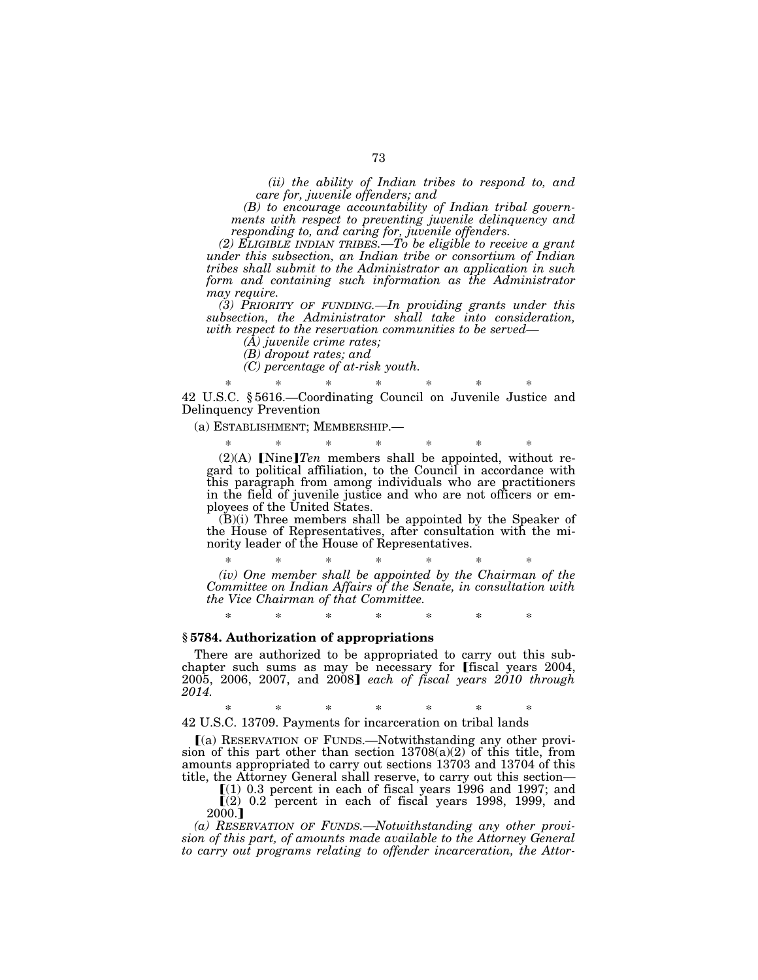*(ii) the ability of Indian tribes to respond to, and care for, juvenile offenders; and* 

*(B) to encourage accountability of Indian tribal governments with respect to preventing juvenile delinquency and responding to, and caring for, juvenile offenders.* 

*(2) ELIGIBLE INDIAN TRIBES.—To be eligible to receive a grant under this subsection, an Indian tribe or consortium of Indian tribes shall submit to the Administrator an application in such form and containing such information as the Administrator may require.* 

*(3) PRIORITY OF FUNDING.—In providing grants under this subsection, the Administrator shall take into consideration, with respect to the reservation communities to be served—* 

*(A) juvenile crime rates;* 

*(B) dropout rates; and* 

*(C) percentage of at-risk youth.* 

\* \* \* \* \* \* \* 42 U.S.C. § 5616.—Coordinating Council on Juvenile Justice and Delinquency Prevention

(a) ESTABLISHMENT; MEMBERSHIP.—

\* \* \* \* \* \* \*  $(2)(A)$  [Nine]*Ten* members shall be appointed, without regard to political affiliation, to the Council in accordance with this paragraph from among individuals who are practitioners in the field of juvenile justice and who are not officers or employees of the United States.

(B)(i) Three members shall be appointed by the Speaker of the House of Representatives, after consultation with the minority leader of the House of Representatives.

\* \* \* \* \* \* \* *(iv) One member shall be appointed by the Chairman of the Committee on Indian Affairs of the Senate, in consultation with the Vice Chairman of that Committee.* 

\* \* \* \* \* \* \*

## **§ 5784. Authorization of appropriations**

There are authorized to be appropriated to carry out this subchapter such sums as may be necessary for [fiscal years  $2004$ , 2005, 2006, 2007, and 2008¿ *each of fiscal years 2010 through 2014.* 

\* \* \* \* \* \* \*

42 U.S.C. 13709. Payments for incarceration on tribal lands

ø(a) RESERVATION OF FUNDS.—Notwithstanding any other provision of this part other than section  $13708(a)(2)$  of this title, from amounts appropriated to carry out sections 13703 and 13704 of this title, the Attorney General shall reserve, to carry out this section—

 $(1)$  0.3 percent in each of fiscal years 1996 and 1997; and  $(2)$  0.2 percent in each of fiscal years 1998, 1999, and 2000.]

*(a) RESERVATION OF FUNDS.—Notwithstanding any other provision of this part, of amounts made available to the Attorney General to carry out programs relating to offender incarceration, the Attor-*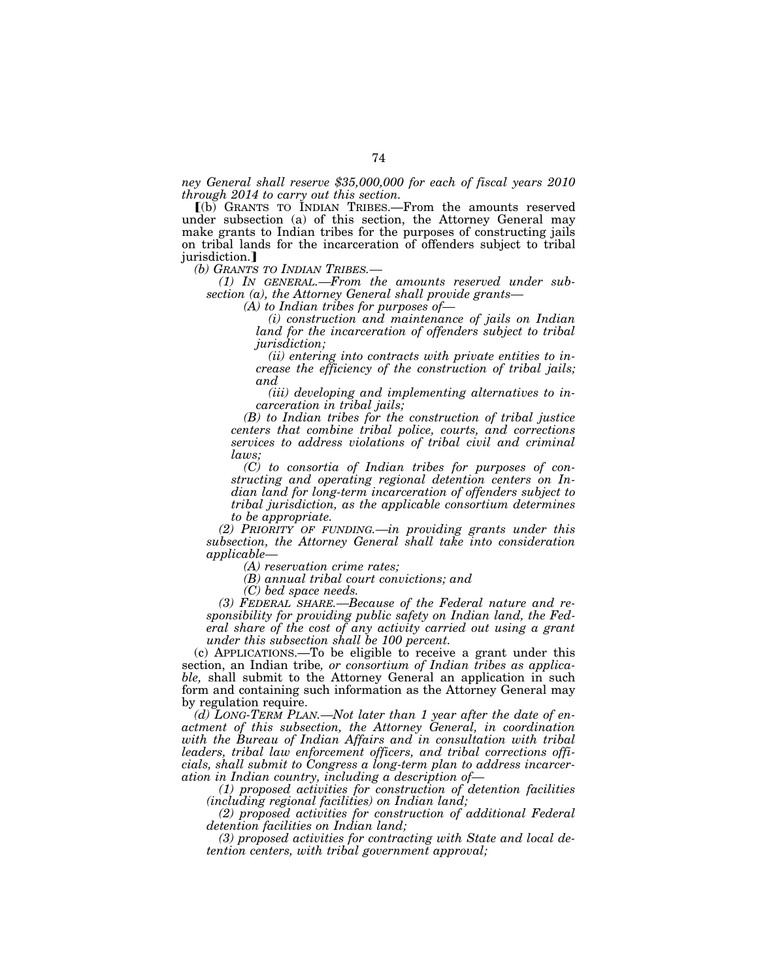*ney General shall reserve \$35,000,000 for each of fiscal years 2010 through 2014 to carry out this section.* 

ø(b) GRANTS TO INDIAN TRIBES.—From the amounts reserved under subsection (a) of this section, the Attorney General may make grants to Indian tribes for the purposes of constructing jails on tribal lands for the incarceration of offenders subject to tribal jurisdiction.]<br>(b) GRANTS TO INDIAN TRIBES.—

(1) IN GENERAL.—From the amounts reserved under sub*section (a), the Attorney General shall provide grants—* 

*(A) to Indian tribes for purposes of—* 

*(i) construction and maintenance of jails on Indian land for the incarceration of offenders subject to tribal jurisdiction;* 

*(ii) entering into contracts with private entities to increase the efficiency of the construction of tribal jails; and* 

*(iii) developing and implementing alternatives to incarceration in tribal jails;* 

*(B) to Indian tribes for the construction of tribal justice centers that combine tribal police, courts, and corrections services to address violations of tribal civil and criminal laws;* 

*(C) to consortia of Indian tribes for purposes of constructing and operating regional detention centers on Indian land for long-term incarceration of offenders subject to tribal jurisdiction, as the applicable consortium determines to be appropriate.* 

*(2) PRIORITY OF FUNDING.—in providing grants under this subsection, the Attorney General shall take into consideration applicable—* 

*(A) reservation crime rates;* 

*(B) annual tribal court convictions; and* 

*(C) bed space needs.* 

*(3) FEDERAL SHARE.—Because of the Federal nature and responsibility for providing public safety on Indian land, the Federal share of the cost of any activity carried out using a grant under this subsection shall be 100 percent.* 

(c) APPLICATIONS.—To be eligible to receive a grant under this section, an Indian tribe*, or consortium of Indian tribes as applicable,* shall submit to the Attorney General an application in such form and containing such information as the Attorney General may by regulation require.

*(d) LONG-TERM PLAN.—Not later than 1 year after the date of enactment of this subsection, the Attorney General, in coordination with the Bureau of Indian Affairs and in consultation with tribal leaders, tribal law enforcement officers, and tribal corrections officials, shall submit to Congress a long-term plan to address incarceration in Indian country, including a description of—* 

*(1) proposed activities for construction of detention facilities (including regional facilities) on Indian land;* 

*(2) proposed activities for construction of additional Federal detention facilities on Indian land;* 

*(3) proposed activities for contracting with State and local detention centers, with tribal government approval;*